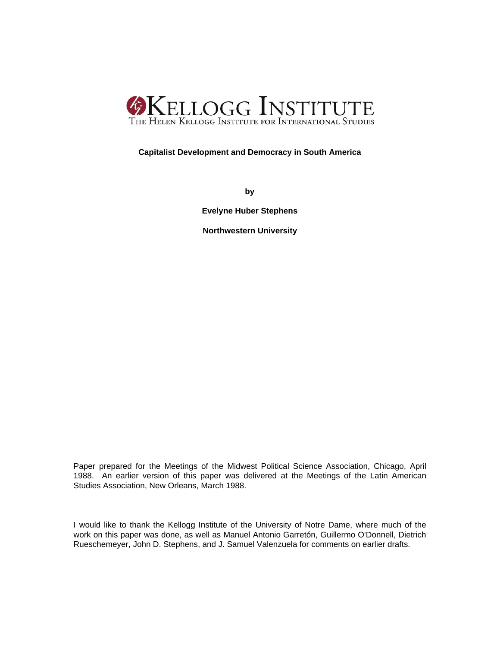

# **Capitalist Development and Democracy in South America**

**by**

**Evelyne Huber Stephens**

**Northwestern University**

Paper prepared for the Meetings of the Midwest Political Science Association, Chicago, April 1988. An earlier version of this paper was delivered at the Meetings of the Latin American Studies Association, New Orleans, March 1988.

I would like to thank the Kellogg Institute of the University of Notre Dame, where much of the work on this paper was done, as well as Manuel Antonio Garretón, Guillermo O'Donnell, Dietrich Rueschemeyer, John D. Stephens, and J. Samuel Valenzuela for comments on earlier drafts.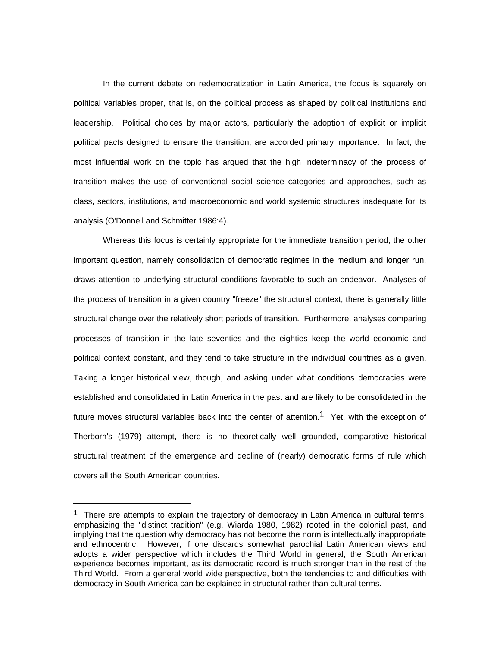In the current debate on redemocratization in Latin America, the focus is squarely on political variables proper, that is, on the political process as shaped by political institutions and leadership. Political choices by major actors, particularly the adoption of explicit or implicit political pacts designed to ensure the transition, are accorded primary importance. In fact, the most influential work on the topic has argued that the high indeterminacy of the process of transition makes the use of conventional social science categories and approaches, such as class, sectors, institutions, and macroeconomic and world systemic structures inadequate for its analysis (O'Donnell and Schmitter 1986:4).

Whereas this focus is certainly appropriate for the immediate transition period, the other important question, namely consolidation of democratic regimes in the medium and longer run, draws attention to underlying structural conditions favorable to such an endeavor. Analyses of the process of transition in a given country "freeze" the structural context; there is generally little structural change over the relatively short periods of transition. Furthermore, analyses comparing processes of transition in the late seventies and the eighties keep the world economic and political context constant, and they tend to take structure in the individual countries as a given. Taking a longer historical view, though, and asking under what conditions democracies were established and consolidated in Latin America in the past and are likely to be consolidated in the future moves structural variables back into the center of attention.<sup>1</sup> Yet, with the exception of Therborn's (1979) attempt, there is no theoretically well grounded, comparative historical structural treatment of the emergence and decline of (nearly) democratic forms of rule which covers all the South American countries.

 $1$  There are attempts to explain the trajectory of democracy in Latin America in cultural terms, emphasizing the "distinct tradition" (e.g. Wiarda 1980, 1982) rooted in the colonial past, and implying that the question why democracy has not become the norm is intellectually inappropriate and ethnocentric. However, if one discards somewhat parochial Latin American views and adopts a wider perspective which includes the Third World in general, the South American experience becomes important, as its democratic record is much stronger than in the rest of the Third World. From a general world wide perspective, both the tendencies to and difficulties with democracy in South America can be explained in structural rather than cultural terms.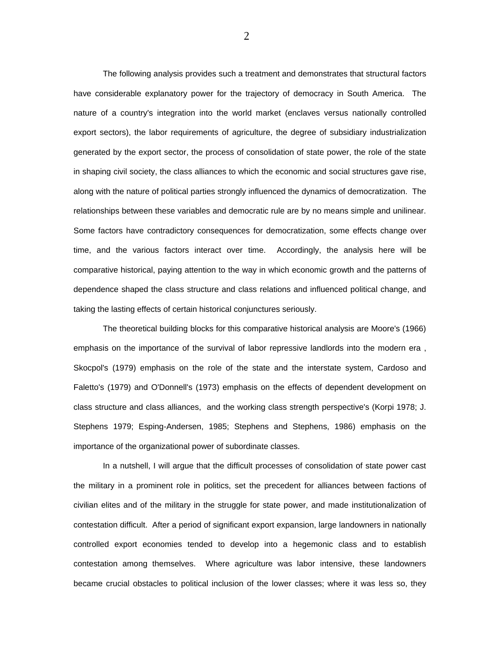The following analysis provides such a treatment and demonstrates that structural factors have considerable explanatory power for the trajectory of democracy in South America. The nature of a country's integration into the world market (enclaves versus nationally controlled export sectors), the labor requirements of agriculture, the degree of subsidiary industrialization generated by the export sector, the process of consolidation of state power, the role of the state in shaping civil society, the class alliances to which the economic and social structures gave rise, along with the nature of political parties strongly influenced the dynamics of democratization. The relationships between these variables and democratic rule are by no means simple and unilinear. Some factors have contradictory consequences for democratization, some effects change over time, and the various factors interact over time. Accordingly, the analysis here will be comparative historical, paying attention to the way in which economic growth and the patterns of dependence shaped the class structure and class relations and influenced political change, and taking the lasting effects of certain historical conjunctures seriously.

The theoretical building blocks for this comparative historical analysis are Moore's (1966) emphasis on the importance of the survival of labor repressive landlords into the modern era , Skocpol's (1979) emphasis on the role of the state and the interstate system, Cardoso and Faletto's (1979) and O'Donnell's (1973) emphasis on the effects of dependent development on class structure and class alliances, and the working class strength perspective's (Korpi 1978; J. Stephens 1979; Esping-Andersen, 1985; Stephens and Stephens, 1986) emphasis on the importance of the organizational power of subordinate classes.

In a nutshell, I will argue that the difficult processes of consolidation of state power cast the military in a prominent role in politics, set the precedent for alliances between factions of civilian elites and of the military in the struggle for state power, and made institutionalization of contestation difficult. After a period of significant export expansion, large landowners in nationally controlled export economies tended to develop into a hegemonic class and to establish contestation among themselves. Where agriculture was labor intensive, these landowners became crucial obstacles to political inclusion of the lower classes; where it was less so, they

2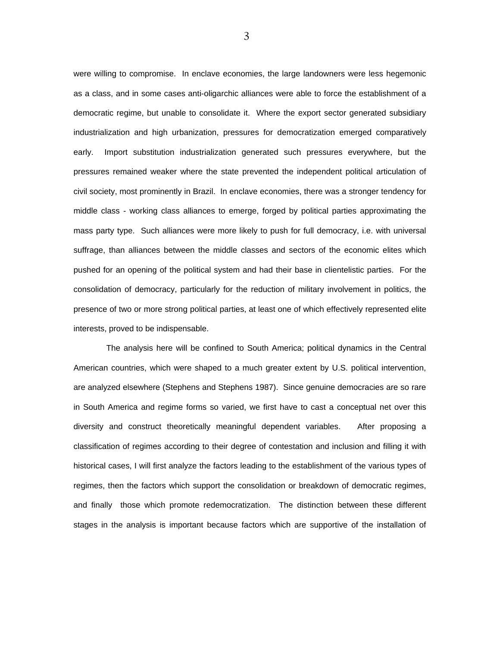were willing to compromise. In enclave economies, the large landowners were less hegemonic as a class, and in some cases anti-oligarchic alliances were able to force the establishment of a democratic regime, but unable to consolidate it. Where the export sector generated subsidiary industrialization and high urbanization, pressures for democratization emerged comparatively early. Import substitution industrialization generated such pressures everywhere, but the pressures remained weaker where the state prevented the independent political articulation of civil society, most prominently in Brazil. In enclave economies, there was a stronger tendency for middle class - working class alliances to emerge, forged by political parties approximating the mass party type. Such alliances were more likely to push for full democracy, i.e. with universal suffrage, than alliances between the middle classes and sectors of the economic elites which pushed for an opening of the political system and had their base in clientelistic parties. For the consolidation of democracy, particularly for the reduction of military involvement in politics, the presence of two or more strong political parties, at least one of which effectively represented elite interests, proved to be indispensable.

 The analysis here will be confined to South America; political dynamics in the Central American countries, which were shaped to a much greater extent by U.S. political intervention, are analyzed elsewhere (Stephens and Stephens 1987). Since genuine democracies are so rare in South America and regime forms so varied, we first have to cast a conceptual net over this diversity and construct theoretically meaningful dependent variables. After proposing a classification of regimes according to their degree of contestation and inclusion and filling it with historical cases, I will first analyze the factors leading to the establishment of the various types of regimes, then the factors which support the consolidation or breakdown of democratic regimes, and finally those which promote redemocratization. The distinction between these different stages in the analysis is important because factors which are supportive of the installation of

3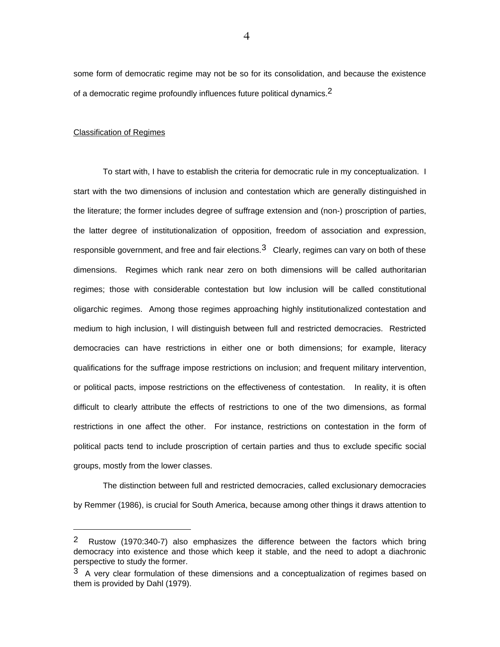some form of democratic regime may not be so for its consolidation, and because the existence of a democratic regime profoundly influences future political dynamics.<sup>2</sup>

## Classification of Regimes

 $\overline{a}$ 

To start with, I have to establish the criteria for democratic rule in my conceptualization. I start with the two dimensions of inclusion and contestation which are generally distinguished in the literature; the former includes degree of suffrage extension and (non-) proscription of parties, the latter degree of institutionalization of opposition, freedom of association and expression, responsible government, and free and fair elections. <sup>3</sup> Clearly, regimes can vary on both of these dimensions. Regimes which rank near zero on both dimensions will be called authoritarian regimes; those with considerable contestation but low inclusion will be called constitutional oligarchic regimes. Among those regimes approaching highly institutionalized contestation and medium to high inclusion, I will distinguish between full and restricted democracies. Restricted democracies can have restrictions in either one or both dimensions; for example, literacy qualifications for the suffrage impose restrictions on inclusion; and frequent military intervention, or political pacts, impose restrictions on the effectiveness of contestation. In reality, it is often difficult to clearly attribute the effects of restrictions to one of the two dimensions, as formal restrictions in one affect the other. For instance, restrictions on contestation in the form of political pacts tend to include proscription of certain parties and thus to exclude specific social groups, mostly from the lower classes.

The distinction between full and restricted democracies, called exclusionary democracies by Remmer (1986), is crucial for South America, because among other things it draws attention to

<sup>2</sup> Rustow (1970:340-7) also emphasizes the difference between the factors which bring democracy into existence and those which keep it stable, and the need to adopt a diachronic perspective to study the former.

<sup>3</sup> A very clear formulation of these dimensions and a conceptualization of regimes based on them is provided by Dahl (1979).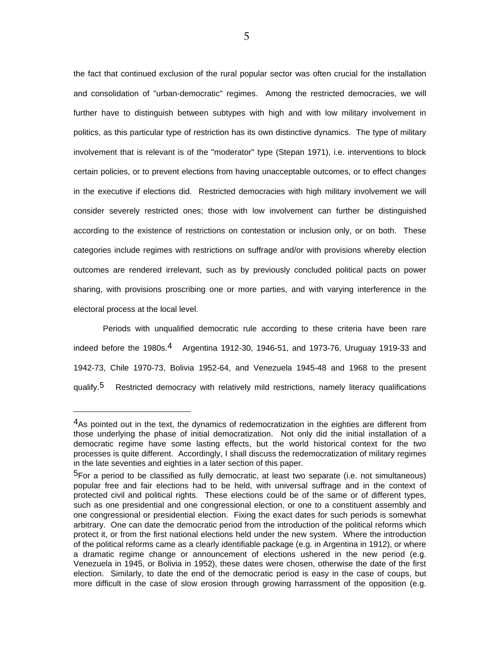the fact that continued exclusion of the rural popular sector was often crucial for the installation and consolidation of "urban-democratic" regimes. Among the restricted democracies, we will further have to distinguish between subtypes with high and with low military involvement in politics, as this particular type of restriction has its own distinctive dynamics. The type of military involvement that is relevant is of the "moderator" type (Stepan 1971), i.e. interventions to block certain policies, or to prevent elections from having unacceptable outcomes, or to effect changes in the executive if elections did. Restricted democracies with high military involvement we will consider severely restricted ones; those with low involvement can further be distinguished according to the existence of restrictions on contestation or inclusion only, or on both. These categories include regimes with restrictions on suffrage and/or with provisions whereby election outcomes are rendered irrelevant, such as by previously concluded political pacts on power sharing, with provisions proscribing one or more parties, and with varying interference in the electoral process at the local level.

Periods with unqualified democratic rule according to these criteria have been rare indeed before the 1980s.<sup>4</sup> Argentina 1912-30, 1946-51, and 1973-76, Uruguay 1919-33 and 1942-73, Chile 1970-73, Bolivia 1952-64, and Venezuela 1945-48 and 1968 to the present qualify.<sup>5</sup> Restricted democracy with relatively mild restrictions, namely literacy qualifications

<sup>&</sup>lt;sup>4</sup>As pointed out in the text, the dynamics of redemocratization in the eighties are different from those underlying the phase of initial democratization. Not only did the initial installation of a democratic regime have some lasting effects, but the world historical context for the two processes is quite different. Accordingly, I shall discuss the redemocratization of military regimes in the late seventies and eighties in a later section of this paper.

<sup>5</sup>For a period to be classified as fully democratic, at least two separate (i.e. not simultaneous) popular free and fair elections had to be held, with universal suffrage and in the context of protected civil and political rights. These elections could be of the same or of different types, such as one presidential and one congressional election, or one to a constituent assembly and one congressional or presidential election. Fixing the exact dates for such periods is somewhat arbitrary. One can date the democratic period from the introduction of the political reforms which protect it, or from the first national elections held under the new system. Where the introduction of the political reforms came as a clearly identifiable package (e.g. in Argentina in 1912), or where a dramatic regime change or announcement of elections ushered in the new period (e.g. Venezuela in 1945, or Bolivia in 1952), these dates were chosen, otherwise the date of the first election. Similarly, to date the end of the democratic period is easy in the case of coups, but more difficult in the case of slow erosion through growing harrassment of the opposition (e.g.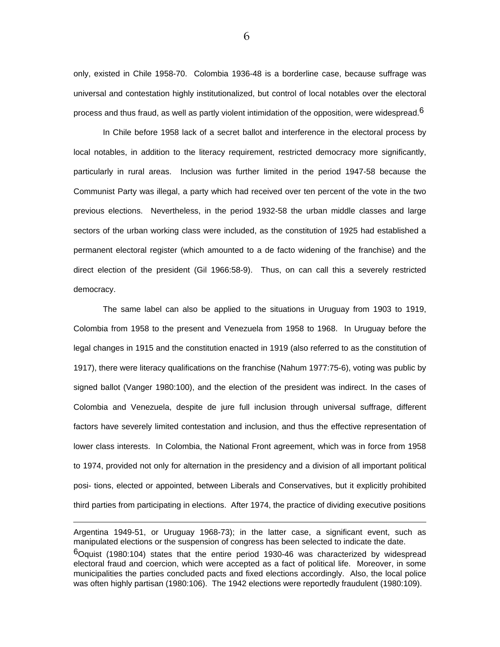only, existed in Chile 1958-70. Colombia 1936-48 is a borderline case, because suffrage was universal and contestation highly institutionalized, but control of local notables over the electoral process and thus fraud, as well as partly violent intimidation of the opposition, were widespread.<sup>6</sup>

In Chile before 1958 lack of a secret ballot and interference in the electoral process by local notables, in addition to the literacy requirement, restricted democracy more significantly, particularly in rural areas. Inclusion was further limited in the period 1947-58 because the Communist Party was illegal, a party which had received over ten percent of the vote in the two previous elections. Nevertheless, in the period 1932-58 the urban middle classes and large sectors of the urban working class were included, as the constitution of 1925 had established a permanent electoral register (which amounted to a de facto widening of the franchise) and the direct election of the president (Gil 1966:58-9). Thus, on can call this a severely restricted democracy.

The same label can also be applied to the situations in Uruguay from 1903 to 1919, Colombia from 1958 to the present and Venezuela from 1958 to 1968. In Uruguay before the legal changes in 1915 and the constitution enacted in 1919 (also referred to as the constitution of 1917), there were literacy qualifications on the franchise (Nahum 1977:75-6), voting was public by signed ballot (Vanger 1980:100), and the election of the president was indirect. In the cases of Colombia and Venezuela, despite de jure full inclusion through universal suffrage, different factors have severely limited contestation and inclusion, and thus the effective representation of lower class interests. In Colombia, the National Front agreement, which was in force from 1958 to 1974, provided not only for alternation in the presidency and a division of all important political posi- tions, elected or appointed, between Liberals and Conservatives, but it explicitly prohibited third parties from participating in elections. After 1974, the practice of dividing executive positions

 $\overline{a}$ 

6

Argentina 1949-51, or Uruguay 1968-73); in the latter case, a significant event, such as manipulated elections or the suspension of congress has been selected to indicate the date.  $6$ Oquist (1980:104) states that the entire period 1930-46 was characterized by widespread electoral fraud and coercion, which were accepted as a fact of political life. Moreover, in some municipalities the parties concluded pacts and fixed elections accordingly. Also, the local police was often highly partisan (1980:106). The 1942 elections were reportedly fraudulent (1980:109).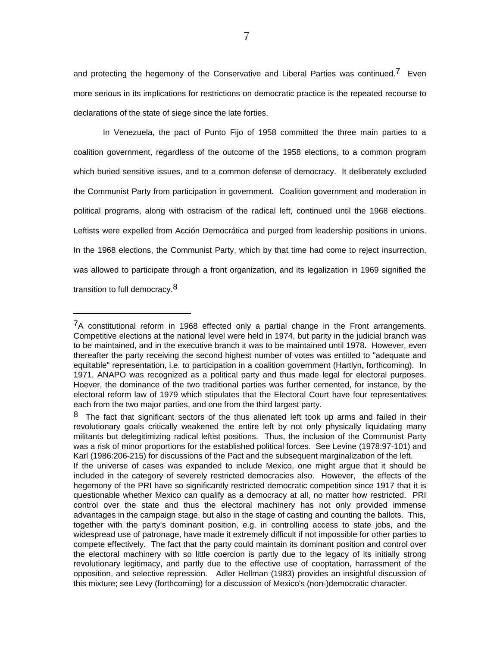and protecting the hegemony of the Conservative and Liberal Parties was continued.<sup>7</sup> Even more serious in its implications for restrictions on democratic practice is the repeated recourse to declarations of the state of siege since the late forties.

In Venezuela, the pact of Punto Fijo of 1958 committed the three main parties to a coalition government, regardless of the outcome of the 1958 elections, to a common program which buried sensitive issues, and to a common defense of democracy. It deliberately excluded the Communist Party from participation in government. Coalition government and moderation in political programs, along with ostracism of the radical left, continued until the 1968 elections. Leftists were expelled from Acción Democrática and purged from leadership positions in unions. In the 1968 elections, the Communist Party, which by that time had come to reject insurrection, was allowed to participate through a front organization, and its legalization in 1969 signified the transition to full democracy.<sup>8</sup>

<sup>&</sup>lt;sup>7</sup>A constitutional reform in 1968 effected only a partial change in the Front arrangements. Competitive elections at the national level were held in 1974, but parity in the judicial branch was to be maintained, and in the executive branch it was to be maintained until 1978. However, even thereafter the party receiving the second highest number of votes was entitled to "adequate and equitable" representation, i.e. to participation in a coalition government (Hartlyn, forthcoming). In 1971, ANAPO was recognized as a political party and thus made legal for electoral purposes. Hoever, the dominance of the two traditional parties was further cemented, for instance, by the electoral reform law of 1979 which stipulates that the Electoral Court have four representatives each from the two major parties, and one from the third largest party.

 $8$  The fact that significant sectors of the thus alienated left took up arms and failed in their revolutionary goals critically weakened the entire left by not only physically liquidating many militants but delegitimizing radical leftist positions. Thus, the inclusion of the Communist Party was a risk of minor proportions for the established political forces. See Levine (1978:97-101) and Karl (1986:206-215) for discussions of the Pact and the subsequent marginalization of the left. If the universe of cases was expanded to include Mexico, one might argue that it should be included in the category of severely restricted democracies also. However, the effects of the hegemony of the PRI have so significantly restricted democratic competition since 1917 that it is questionable whether Mexico can qualify as a democracy at all, no matter how restricted. PRI control over the state and thus the electoral machinery has not only provided immense advantages in the campaign stage, but also in the stage of casting and counting the ballots. This, together with the party's dominant position, e.g. in controlling access to state jobs, and the widespread use of patronage, have made it extremely difficult if not impossible for other parties to compete effectively. The fact that the party could maintain its dominant position and control over the electoral machinery with so little coercion is partly due to the legacy of its initially strong revolutionary legitimacy, and partly due to the effective use of cooptation, harrassment of the opposition, and selective repression. Adler Hellman (1983) provides an insightful discussion of this mixture; see Levy (forthcoming) for a discussion of Mexico's (non-)democratic character.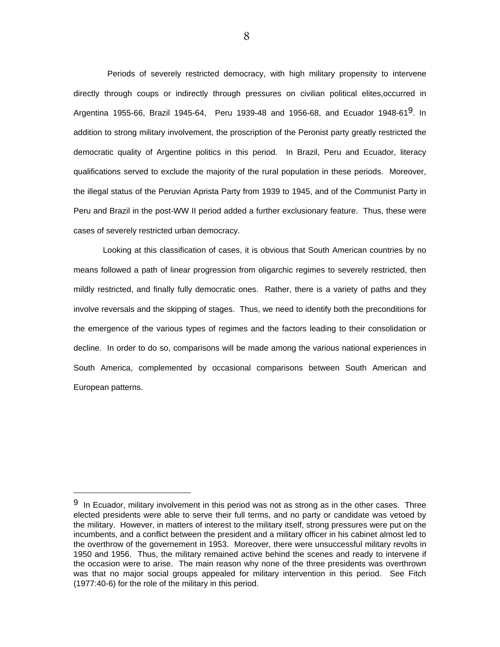Periods of severely restricted democracy, with high military propensity to intervene directly through coups or indirectly through pressures on civilian political elites,occurred in Argentina 1955-66, Brazil 1945-64, Peru 1939-48 and 1956-68, and Ecuador 1948-619. In addition to strong military involvement, the proscription of the Peronist party greatly restricted the democratic quality of Argentine politics in this period. In Brazil, Peru and Ecuador, literacy qualifications served to exclude the majority of the rural population in these periods. Moreover, the illegal status of the Peruvian Aprista Party from 1939 to 1945, and of the Communist Party in Peru and Brazil in the post-WW II period added a further exclusionary feature. Thus, these were cases of severely restricted urban democracy.

Looking at this classification of cases, it is obvious that South American countries by no means followed a path of linear progression from oligarchic regimes to severely restricted, then mildly restricted, and finally fully democratic ones. Rather, there is a variety of paths and they involve reversals and the skipping of stages. Thus, we need to identify both the preconditions for the emergence of the various types of regimes and the factors leading to their consolidation or decline. In order to do so, comparisons will be made among the various national experiences in South America, complemented by occasional comparisons between South American and European patterns.

<sup>9</sup> In Ecuador, military involvement in this period was not as strong as in the other cases. Three elected presidents were able to serve their full terms, and no party or candidate was vetoed by the military. However, in matters of interest to the military itself, strong pressures were put on the incumbents, and a conflict between the president and a military officer in his cabinet almost led to the overthrow of the governement in 1953. Moreover, there were unsuccessful military revolts in 1950 and 1956. Thus, the military remained active behind the scenes and ready to intervene if the occasion were to arise. The main reason why none of the three presidents was overthrown was that no major social groups appealed for military intervention in this period. See Fitch (1977:40-6) for the role of the military in this period.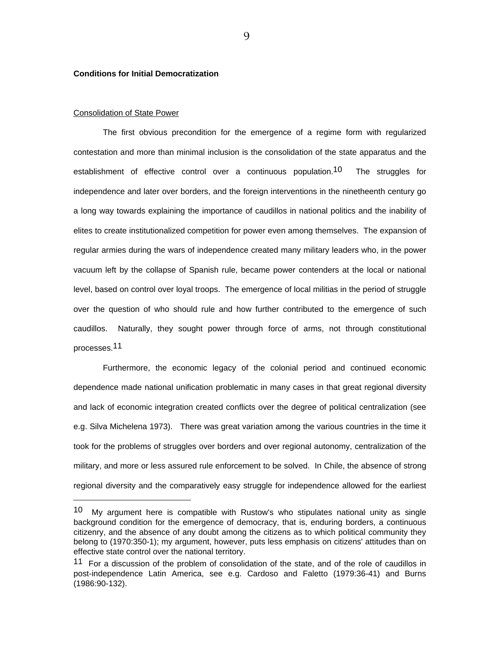## **Conditions for Initial Democratization**

#### Consolidation of State Power

 $\overline{a}$ 

The first obvious precondition for the emergence of a regime form with regularized contestation and more than minimal inclusion is the consolidation of the state apparatus and the establishment of effective control over a continuous population.<sup>10</sup> The struggles for independence and later over borders, and the foreign interventions in the ninetheenth century go a long way towards explaining the importance of caudillos in national politics and the inability of elites to create institutionalized competition for power even among themselves. The expansion of regular armies during the wars of independence created many military leaders who, in the power vacuum left by the collapse of Spanish rule, became power contenders at the local or national level, based on control over loyal troops. The emergence of local militias in the period of struggle over the question of who should rule and how further contributed to the emergence of such caudillos. Naturally, they sought power through force of arms, not through constitutional processes.11

Furthermore, the economic legacy of the colonial period and continued economic dependence made national unification problematic in many cases in that great regional diversity and lack of economic integration created conflicts over the degree of political centralization (see e.g. Silva Michelena 1973). There was great variation among the various countries in the time it took for the problems of struggles over borders and over regional autonomy, centralization of the military, and more or less assured rule enforcement to be solved. In Chile, the absence of strong regional diversity and the comparatively easy struggle for independence allowed for the earliest

<sup>10</sup> My argument here is compatible with Rustow's who stipulates national unity as single background condition for the emergence of democracy, that is, enduring borders, a continuous citizenry, and the absence of any doubt among the citizens as to which political community they belong to (1970:350-1); my argument, however, puts less emphasis on citizens' attitudes than on effective state control over the national territory.

<sup>&</sup>lt;sup>11</sup> For a discussion of the problem of consolidation of the state, and of the role of caudillos in post-independence Latin America, see e.g. Cardoso and Faletto (1979:36-41) and Burns (1986:90-132).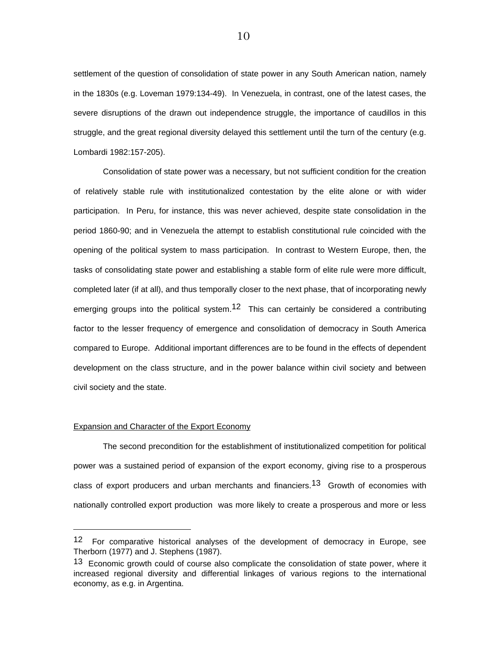settlement of the question of consolidation of state power in any South American nation, namely in the 1830s (e.g. Loveman 1979:134-49). In Venezuela, in contrast, one of the latest cases, the severe disruptions of the drawn out independence struggle, the importance of caudillos in this struggle, and the great regional diversity delayed this settlement until the turn of the century (e.g. Lombardi 1982:157-205).

Consolidation of state power was a necessary, but not sufficient condition for the creation of relatively stable rule with institutionalized contestation by the elite alone or with wider participation. In Peru, for instance, this was never achieved, despite state consolidation in the period 1860-90; and in Venezuela the attempt to establish constitutional rule coincided with the opening of the political system to mass participation. In contrast to Western Europe, then, the tasks of consolidating state power and establishing a stable form of elite rule were more difficult, completed later (if at all), and thus temporally closer to the next phase, that of incorporating newly emerging groups into the political system.<sup>12</sup> This can certainly be considered a contributing factor to the lesser frequency of emergence and consolidation of democracy in South America compared to Europe. Additional important differences are to be found in the effects of dependent development on the class structure, and in the power balance within civil society and between civil society and the state.

## Expansion and Character of the Export Economy

 $\overline{a}$ 

The second precondition for the establishment of institutionalized competition for political power was a sustained period of expansion of the export economy, giving rise to a prosperous class of export producers and urban merchants and financiers.<sup>13</sup> Growth of economies with nationally controlled export production was more likely to create a prosperous and more or less

<sup>12</sup> For comparative historical analyses of the development of democracy in Europe, see Therborn (1977) and J. Stephens (1987).

<sup>&</sup>lt;sup>13</sup> Economic growth could of course also complicate the consolidation of state power, where it increased regional diversity and differential linkages of various regions to the international economy, as e.g. in Argentina.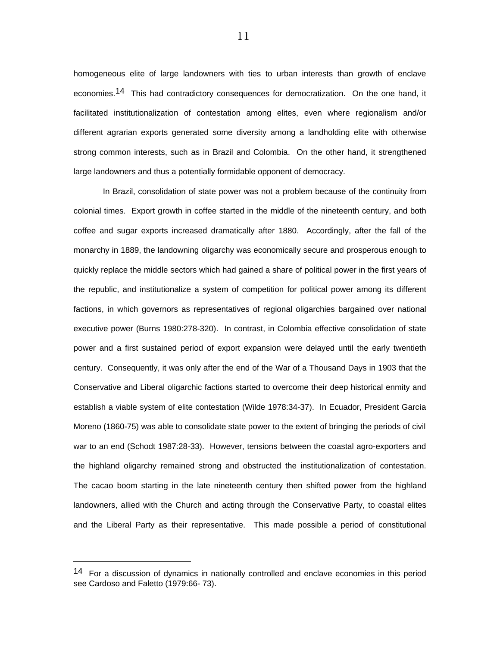homogeneous elite of large landowners with ties to urban interests than growth of enclave economies.<sup>14</sup> This had contradictory consequences for democratization. On the one hand, it facilitated institutionalization of contestation among elites, even where regionalism and/or different agrarian exports generated some diversity among a landholding elite with otherwise strong common interests, such as in Brazil and Colombia. On the other hand, it strengthened large landowners and thus a potentially formidable opponent of democracy.

In Brazil, consolidation of state power was not a problem because of the continuity from colonial times. Export growth in coffee started in the middle of the nineteenth century, and both coffee and sugar exports increased dramatically after 1880. Accordingly, after the fall of the monarchy in 1889, the landowning oligarchy was economically secure and prosperous enough to quickly replace the middle sectors which had gained a share of political power in the first years of the republic, and institutionalize a system of competition for political power among its different factions, in which governors as representatives of regional oligarchies bargained over national executive power (Burns 1980:278-320). In contrast, in Colombia effective consolidation of state power and a first sustained period of export expansion were delayed until the early twentieth century. Consequently, it was only after the end of the War of a Thousand Days in 1903 that the Conservative and Liberal oligarchic factions started to overcome their deep historical enmity and establish a viable system of elite contestation (Wilde 1978:34-37). In Ecuador, President García Moreno (1860-75) was able to consolidate state power to the extent of bringing the periods of civil war to an end (Schodt 1987:28-33). However, tensions between the coastal agro-exporters and the highland oligarchy remained strong and obstructed the institutionalization of contestation. The cacao boom starting in the late nineteenth century then shifted power from the highland landowners, allied with the Church and acting through the Conservative Party, to coastal elites and the Liberal Party as their representative. This made possible a period of constitutional

<sup>&</sup>lt;sup>14</sup> For a discussion of dynamics in nationally controlled and enclave economies in this period see Cardoso and Faletto (1979:66- 73).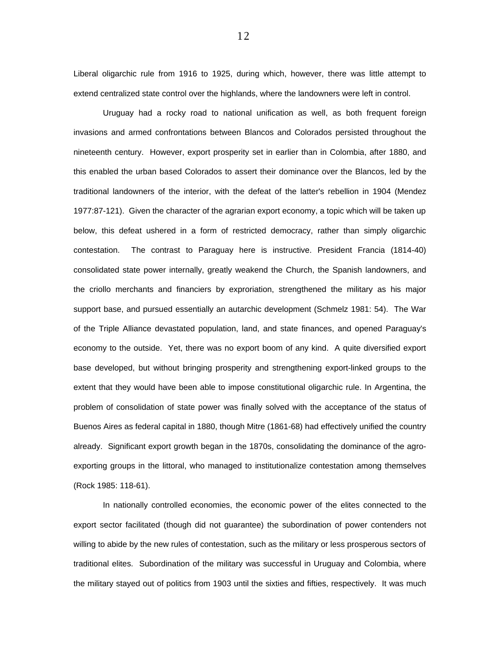Liberal oligarchic rule from 1916 to 1925, during which, however, there was little attempt to extend centralized state control over the highlands, where the landowners were left in control.

Uruguay had a rocky road to national unification as well, as both frequent foreign invasions and armed confrontations between Blancos and Colorados persisted throughout the nineteenth century. However, export prosperity set in earlier than in Colombia, after 1880, and this enabled the urban based Colorados to assert their dominance over the Blancos, led by the traditional landowners of the interior, with the defeat of the latter's rebellion in 1904 (Mendez 1977:87-121). Given the character of the agrarian export economy, a topic which will be taken up below, this defeat ushered in a form of restricted democracy, rather than simply oligarchic contestation. The contrast to Paraguay here is instructive. President Francia (1814-40) consolidated state power internally, greatly weakend the Church, the Spanish landowners, and the criollo merchants and financiers by exproriation, strengthened the military as his major support base, and pursued essentially an autarchic development (Schmelz 1981: 54). The War of the Triple Alliance devastated population, land, and state finances, and opened Paraguay's economy to the outside. Yet, there was no export boom of any kind. A quite diversified export base developed, but without bringing prosperity and strengthening export-linked groups to the extent that they would have been able to impose constitutional oligarchic rule. In Argentina, the problem of consolidation of state power was finally solved with the acceptance of the status of Buenos Aires as federal capital in 1880, though Mitre (1861-68) had effectively unified the country already. Significant export growth began in the 1870s, consolidating the dominance of the agroexporting groups in the littoral, who managed to institutionalize contestation among themselves (Rock 1985: 118-61).

In nationally controlled economies, the economic power of the elites connected to the export sector facilitated (though did not guarantee) the subordination of power contenders not willing to abide by the new rules of contestation, such as the military or less prosperous sectors of traditional elites. Subordination of the military was successful in Uruguay and Colombia, where the military stayed out of politics from 1903 until the sixties and fifties, respectively. It was much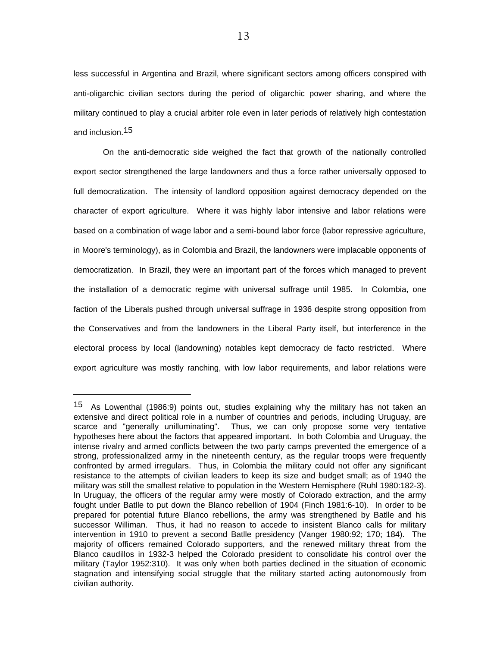less successful in Argentina and Brazil, where significant sectors among officers conspired with anti-oligarchic civilian sectors during the period of oligarchic power sharing, and where the military continued to play a crucial arbiter role even in later periods of relatively high contestation and inclusion.15

On the anti-democratic side weighed the fact that growth of the nationally controlled export sector strengthened the large landowners and thus a force rather universally opposed to full democratization. The intensity of landlord opposition against democracy depended on the character of export agriculture. Where it was highly labor intensive and labor relations were based on a combination of wage labor and a semi-bound labor force (labor repressive agriculture, in Moore's terminology), as in Colombia and Brazil, the landowners were implacable opponents of democratization. In Brazil, they were an important part of the forces which managed to prevent the installation of a democratic regime with universal suffrage until 1985. In Colombia, one faction of the Liberals pushed through universal suffrage in 1936 despite strong opposition from the Conservatives and from the landowners in the Liberal Party itself, but interference in the electoral process by local (landowning) notables kept democracy de facto restricted. Where export agriculture was mostly ranching, with low labor requirements, and labor relations were

<sup>15</sup> As Lowenthal (1986:9) points out, studies explaining why the military has not taken an extensive and direct political role in a number of countries and periods, including Uruguay, are scarce and "generally unilluminating". Thus, we can only propose some very tentative hypotheses here about the factors that appeared important. In both Colombia and Uruguay, the intense rivalry and armed conflicts between the two party camps prevented the emergence of a strong, professionalized army in the nineteenth century, as the regular troops were frequently confronted by armed irregulars. Thus, in Colombia the military could not offer any significant resistance to the attempts of civilian leaders to keep its size and budget small; as of 1940 the military was still the smallest relative to population in the Western Hemisphere (Ruhl 1980:182-3). In Uruguay, the officers of the regular army were mostly of Colorado extraction, and the army fought under Batlle to put down the Blanco rebellion of 1904 (Finch 1981:6-10). In order to be prepared for potential future Blanco rebellions, the army was strengthened by Batlle and his successor Williman. Thus, it had no reason to accede to insistent Blanco calls for military intervention in 1910 to prevent a second Batlle presidency (Vanger 1980:92; 170; 184). The majority of officers remained Colorado supporters, and the renewed military threat from the Blanco caudillos in 1932-3 helped the Colorado president to consolidate his control over the military (Taylor 1952:310). It was only when both parties declined in the situation of economic stagnation and intensifying social struggle that the military started acting autonomously from civilian authority.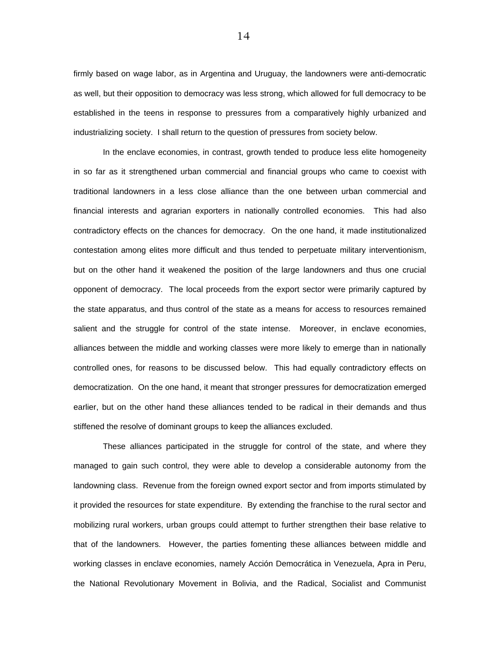firmly based on wage labor, as in Argentina and Uruguay, the landowners were anti-democratic as well, but their opposition to democracy was less strong, which allowed for full democracy to be established in the teens in response to pressures from a comparatively highly urbanized and industrializing society. I shall return to the question of pressures from society below.

In the enclave economies, in contrast, growth tended to produce less elite homogeneity in so far as it strengthened urban commercial and financial groups who came to coexist with traditional landowners in a less close alliance than the one between urban commercial and financial interests and agrarian exporters in nationally controlled economies. This had also contradictory effects on the chances for democracy. On the one hand, it made institutionalized contestation among elites more difficult and thus tended to perpetuate military interventionism, but on the other hand it weakened the position of the large landowners and thus one crucial opponent of democracy. The local proceeds from the export sector were primarily captured by the state apparatus, and thus control of the state as a means for access to resources remained salient and the struggle for control of the state intense. Moreover, in enclave economies, alliances between the middle and working classes were more likely to emerge than in nationally controlled ones, for reasons to be discussed below. This had equally contradictory effects on democratization. On the one hand, it meant that stronger pressures for democratization emerged earlier, but on the other hand these alliances tended to be radical in their demands and thus stiffened the resolve of dominant groups to keep the alliances excluded.

These alliances participated in the struggle for control of the state, and where they managed to gain such control, they were able to develop a considerable autonomy from the landowning class. Revenue from the foreign owned export sector and from imports stimulated by it provided the resources for state expenditure. By extending the franchise to the rural sector and mobilizing rural workers, urban groups could attempt to further strengthen their base relative to that of the landowners. However, the parties fomenting these alliances between middle and working classes in enclave economies, namely Acción Democrática in Venezuela, Apra in Peru, the National Revolutionary Movement in Bolivia, and the Radical, Socialist and Communist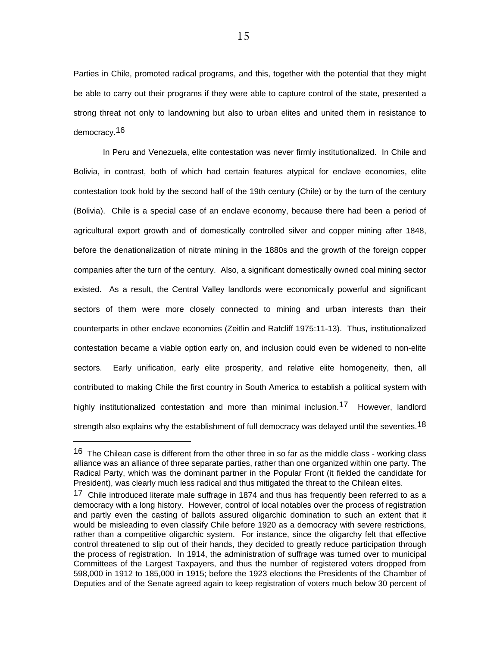Parties in Chile, promoted radical programs, and this, together with the potential that they might be able to carry out their programs if they were able to capture control of the state, presented a strong threat not only to landowning but also to urban elites and united them in resistance to democracy.16

In Peru and Venezuela, elite contestation was never firmly institutionalized. In Chile and Bolivia, in contrast, both of which had certain features atypical for enclave economies, elite contestation took hold by the second half of the 19th century (Chile) or by the turn of the century (Bolivia). Chile is a special case of an enclave economy, because there had been a period of agricultural export growth and of domestically controlled silver and copper mining after 1848, before the denationalization of nitrate mining in the 1880s and the growth of the foreign copper companies after the turn of the century. Also, a significant domestically owned coal mining sector existed. As a result, the Central Valley landlords were economically powerful and significant sectors of them were more closely connected to mining and urban interests than their counterparts in other enclave economies (Zeitlin and Ratcliff 1975:11-13). Thus, institutionalized contestation became a viable option early on, and inclusion could even be widened to non-elite sectors. Early unification, early elite prosperity, and relative elite homogeneity, then, all contributed to making Chile the first country in South America to establish a political system with highly institutionalized contestation and more than minimal inclusion.<sup>17</sup> However, landlord strength also explains why the establishment of full democracy was delayed until the seventies.<sup>18</sup>

<sup>&</sup>lt;sup>16</sup> The Chilean case is different from the other three in so far as the middle class - working class alliance was an alliance of three separate parties, rather than one organized within one party. The Radical Party, which was the dominant partner in the Popular Front (it fielded the candidate for President), was clearly much less radical and thus mitigated the threat to the Chilean elites.

<sup>&</sup>lt;sup>17</sup> Chile introduced literate male suffrage in 1874 and thus has frequently been referred to as a democracy with a long history. However, control of local notables over the process of registration and partly even the casting of ballots assured oligarchic domination to such an extent that it would be misleading to even classify Chile before 1920 as a democracy with severe restrictions, rather than a competitive oligarchic system. For instance, since the oligarchy felt that effective control threatened to slip out of their hands, they decided to greatly reduce participation through the process of registration. In 1914, the administration of suffrage was turned over to municipal Committees of the Largest Taxpayers, and thus the number of registered voters dropped from 598,000 in 1912 to 185,000 in 1915; before the 1923 elections the Presidents of the Chamber of Deputies and of the Senate agreed again to keep registration of voters much below 30 percent of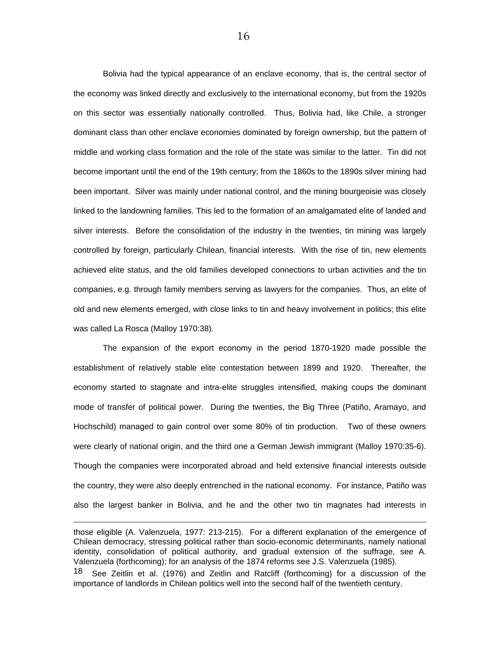Bolivia had the typical appearance of an enclave economy, that is, the central sector of the economy was linked directly and exclusively to the international economy, but from the 1920s on this sector was essentially nationally controlled. Thus, Bolivia had, like Chile, a stronger dominant class than other enclave economies dominated by foreign ownership, but the pattern of middle and working class formation and the role of the state was similar to the latter. Tin did not become important until the end of the 19th century; from the 1860s to the 1890s silver mining had been important. Silver was mainly under national control, and the mining bourgeoisie was closely linked to the landowning families. This led to the formation of an amalgamated elite of landed and silver interests. Before the consolidation of the industry in the twenties, tin mining was largely controlled by foreign, particularly Chilean, financial interests. With the rise of tin, new elements achieved elite status, and the old families developed connections to urban activities and the tin companies, e.g. through family members serving as lawyers for the companies. Thus, an elite of old and new elements emerged, with close links to tin and heavy involvement in politics; this elite was called La Rosca (Malloy 1970:38).

The expansion of the export economy in the period 1870-1920 made possible the establishment of relatively stable elite contestation between 1899 and 1920. Thereafter, the economy started to stagnate and intra-elite struggles intensified, making coups the dominant mode of transfer of political power. During the twenties, the Big Three (Patiño, Aramayo, and Hochschild) managed to gain control over some 80% of tin production. Two of these owners were clearly of national origin, and the third one a German Jewish immigrant (Malloy 1970:35-6). Though the companies were incorporated abroad and held extensive financial interests outside the country, they were also deeply entrenched in the national economy. For instance, Patiño was also the largest banker in Bolivia, and he and the other two tin magnates had interests in

those eligible (A. Valenzuela, 1977: 213-215). For a different explanation of the emergence of Chilean democracy, stressing political rather than socio-economic determinants, namely national identity, consolidation of political authority, and gradual extension of the suffrage, see A. Valenzuela (forthcoming); for an analysis of the 1874 reforms see J.S. Valenzuela (1985).

<sup>18</sup> See Zeitlin et al. (1976) and Zeitlin and Ratcliff (forthcoming) for a discussion of the importance of landlords in Chilean politics well into the second half of the twentieth century.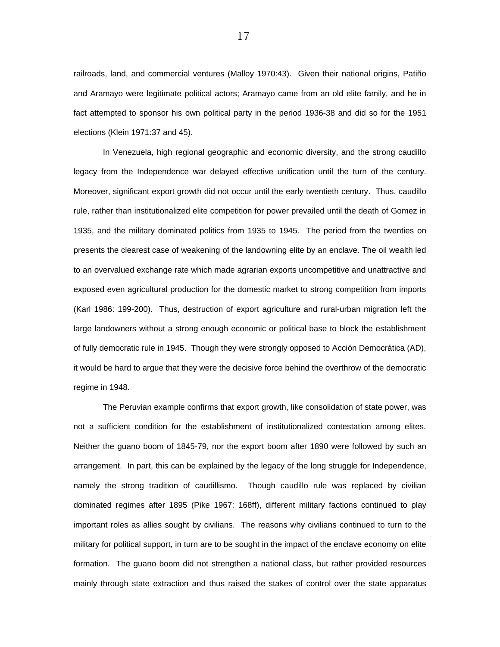railroads, land, and commercial ventures (Malloy 1970:43). Given their national origins, Patiño and Aramayo were legitimate political actors; Aramayo came from an old elite family, and he in fact attempted to sponsor his own political party in the period 1936-38 and did so for the 1951 elections (Klein 1971:37 and 45).

In Venezuela, high regional geographic and economic diversity, and the strong caudillo legacy from the Independence war delayed effective unification until the turn of the century. Moreover, significant export growth did not occur until the early twentieth century. Thus, caudillo rule, rather than institutionalized elite competition for power prevailed until the death of Gomez in 1935, and the military dominated politics from 1935 to 1945. The period from the twenties on presents the clearest case of weakening of the landowning elite by an enclave. The oil wealth led to an overvalued exchange rate which made agrarian exports uncompetitive and unattractive and exposed even agricultural production for the domestic market to strong competition from imports (Karl 1986: 199-200). Thus, destruction of export agriculture and rural-urban migration left the large landowners without a strong enough economic or political base to block the establishment of fully democratic rule in 1945. Though they were strongly opposed to Acción Democrática (AD), it would be hard to argue that they were the decisive force behind the overthrow of the democratic regime in 1948.

The Peruvian example confirms that export growth, like consolidation of state power, was not a sufficient condition for the establishment of institutionalized contestation among elites. Neither the guano boom of 1845-79, nor the export boom after 1890 were followed by such an arrangement. In part, this can be explained by the legacy of the long struggle for Independence, namely the strong tradition of caudillismo. Though caudillo rule was replaced by civilian dominated regimes after 1895 (Pike 1967: 168ff), different military factions continued to play important roles as allies sought by civilians. The reasons why civilians continued to turn to the military for political support, in turn are to be sought in the impact of the enclave economy on elite formation. The guano boom did not strengthen a national class, but rather provided resources mainly through state extraction and thus raised the stakes of control over the state apparatus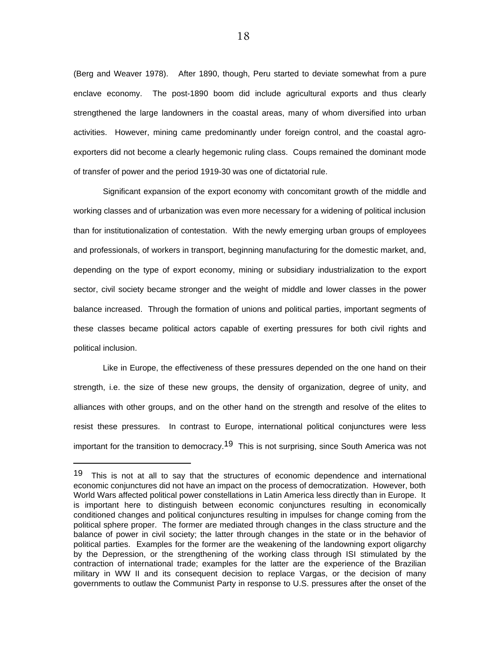(Berg and Weaver 1978). After 1890, though, Peru started to deviate somewhat from a pure enclave economy. The post-1890 boom did include agricultural exports and thus clearly strengthened the large landowners in the coastal areas, many of whom diversified into urban activities. However, mining came predominantly under foreign control, and the coastal agroexporters did not become a clearly hegemonic ruling class. Coups remained the dominant mode of transfer of power and the period 1919-30 was one of dictatorial rule.

Significant expansion of the export economy with concomitant growth of the middle and working classes and of urbanization was even more necessary for a widening of political inclusion than for institutionalization of contestation. With the newly emerging urban groups of employees and professionals, of workers in transport, beginning manufacturing for the domestic market, and, depending on the type of export economy, mining or subsidiary industrialization to the export sector, civil society became stronger and the weight of middle and lower classes in the power balance increased. Through the formation of unions and political parties, important segments of these classes became political actors capable of exerting pressures for both civil rights and political inclusion.

Like in Europe, the effectiveness of these pressures depended on the one hand on their strength, i.e. the size of these new groups, the density of organization, degree of unity, and alliances with other groups, and on the other hand on the strength and resolve of the elites to resist these pressures. In contrast to Europe, international political conjunctures were less important for the transition to democracy.<sup>19</sup> This is not surprising, since South America was not

<sup>19</sup> This is not at all to say that the structures of economic dependence and international economic conjunctures did not have an impact on the process of democratization. However, both World Wars affected political power constellations in Latin America less directly than in Europe. It is important here to distinguish between economic conjunctures resulting in economically conditioned changes and political conjunctures resulting in impulses for change coming from the political sphere proper. The former are mediated through changes in the class structure and the balance of power in civil society; the latter through changes in the state or in the behavior of political parties. Examples for the former are the weakening of the landowning export oligarchy by the Depression, or the strengthening of the working class through ISI stimulated by the contraction of international trade; examples for the latter are the experience of the Brazilian military in WW II and its consequent decision to replace Vargas, or the decision of many governments to outlaw the Communist Party in response to U.S. pressures after the onset of the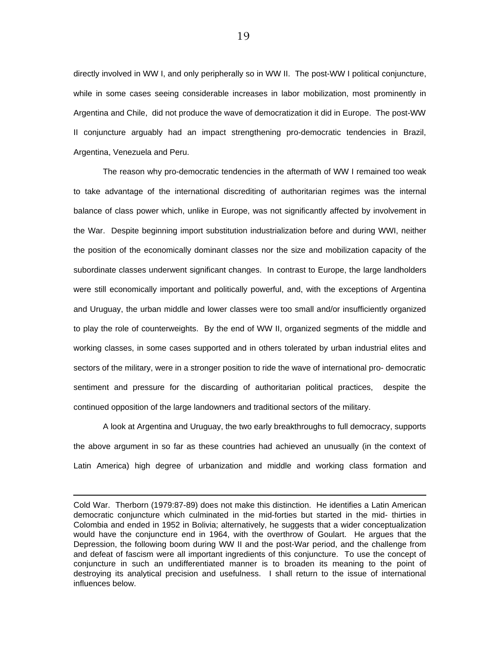directly involved in WW I, and only peripherally so in WW II. The post-WW I political conjuncture, while in some cases seeing considerable increases in labor mobilization, most prominently in Argentina and Chile, did not produce the wave of democratization it did in Europe. The post-WW II conjuncture arguably had an impact strengthening pro-democratic tendencies in Brazil, Argentina, Venezuela and Peru.

The reason why pro-democratic tendencies in the aftermath of WW I remained too weak to take advantage of the international discrediting of authoritarian regimes was the internal balance of class power which, unlike in Europe, was not significantly affected by involvement in the War. Despite beginning import substitution industrialization before and during WWI, neither the position of the economically dominant classes nor the size and mobilization capacity of the subordinate classes underwent significant changes. In contrast to Europe, the large landholders were still economically important and politically powerful, and, with the exceptions of Argentina and Uruguay, the urban middle and lower classes were too small and/or insufficiently organized to play the role of counterweights. By the end of WW II, organized segments of the middle and working classes, in some cases supported and in others tolerated by urban industrial elites and sectors of the military, were in a stronger position to ride the wave of international pro- democratic sentiment and pressure for the discarding of authoritarian political practices, despite the continued opposition of the large landowners and traditional sectors of the military.

A look at Argentina and Uruguay, the two early breakthroughs to full democracy, supports the above argument in so far as these countries had achieved an unusually (in the context of Latin America) high degree of urbanization and middle and working class formation and

Cold War. Therborn (1979:87-89) does not make this distinction. He identifies a Latin American democratic conjuncture which culminated in the mid-forties but started in the mid- thirties in Colombia and ended in 1952 in Bolivia; alternatively, he suggests that a wider conceptualization would have the conjuncture end in 1964, with the overthrow of Goulart. He argues that the Depression, the following boom during WW II and the post-War period, and the challenge from and defeat of fascism were all important ingredients of this conjuncture. To use the concept of conjuncture in such an undifferentiated manner is to broaden its meaning to the point of destroying its analytical precision and usefulness. I shall return to the issue of international influences below.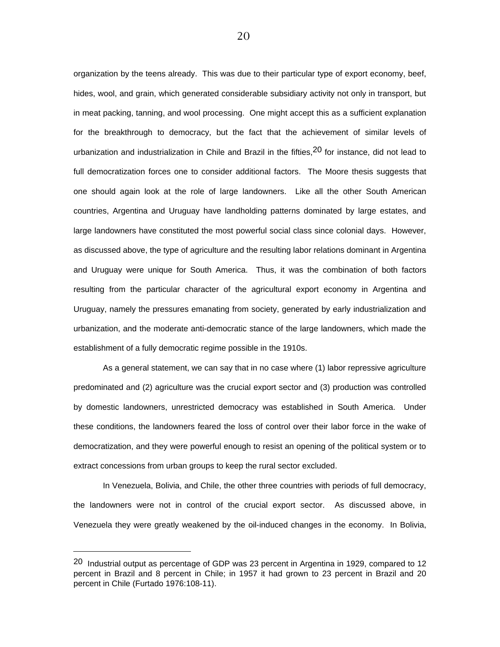organization by the teens already. This was due to their particular type of export economy, beef, hides, wool, and grain, which generated considerable subsidiary activity not only in transport, but in meat packing, tanning, and wool processing. One might accept this as a sufficient explanation for the breakthrough to democracy, but the fact that the achievement of similar levels of urbanization and industrialization in Chile and Brazil in the fifties,<sup>20</sup> for instance, did not lead to full democratization forces one to consider additional factors. The Moore thesis suggests that one should again look at the role of large landowners. Like all the other South American countries, Argentina and Uruguay have landholding patterns dominated by large estates, and large landowners have constituted the most powerful social class since colonial days. However, as discussed above, the type of agriculture and the resulting labor relations dominant in Argentina and Uruguay were unique for South America. Thus, it was the combination of both factors resulting from the particular character of the agricultural export economy in Argentina and Uruguay, namely the pressures emanating from society, generated by early industrialization and urbanization, and the moderate anti-democratic stance of the large landowners, which made the establishment of a fully democratic regime possible in the 1910s.

As a general statement, we can say that in no case where (1) labor repressive agriculture predominated and (2) agriculture was the crucial export sector and (3) production was controlled by domestic landowners, unrestricted democracy was established in South America. Under these conditions, the landowners feared the loss of control over their labor force in the wake of democratization, and they were powerful enough to resist an opening of the political system or to extract concessions from urban groups to keep the rural sector excluded.

In Venezuela, Bolivia, and Chile, the other three countries with periods of full democracy, the landowners were not in control of the crucial export sector. As discussed above, in Venezuela they were greatly weakened by the oil-induced changes in the economy. In Bolivia,

<sup>20</sup> Industrial output as percentage of GDP was 23 percent in Argentina in 1929, compared to 12 percent in Brazil and 8 percent in Chile; in 1957 it had grown to 23 percent in Brazil and 20 percent in Chile (Furtado 1976:108-11).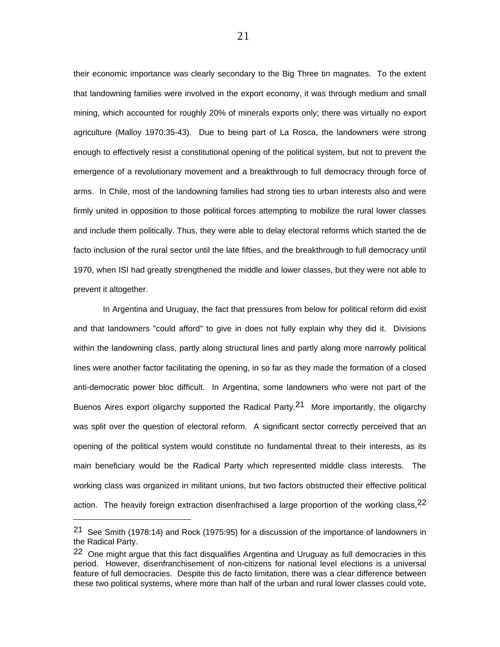their economic importance was clearly secondary to the Big Three tin magnates. To the extent that landowning families were involved in the export economy, it was through medium and small mining, which accounted for roughly 20% of minerals exports only; there was virtually no export agriculture (Malloy 1970:35-43). Due to being part of La Rosca, the landowners were strong enough to effectively resist a constitutional opening of the political system, but not to prevent the emergence of a revolutionary movement and a breakthrough to full democracy through force of arms. In Chile, most of the landowning families had strong ties to urban interests also and were firmly united in opposition to those political forces attempting to mobilize the rural lower classes and include them politically. Thus, they were able to delay electoral reforms which started the de facto inclusion of the rural sector until the late fifties, and the breakthrough to full democracy until 1970, when ISI had greatly strengthened the middle and lower classes, but they were not able to prevent it altogether.

In Argentina and Uruguay, the fact that pressures from below for political reform did exist and that landowners "could afford" to give in does not fully explain why they did it. Divisions within the landowning class, partly along structural lines and partly along more narrowly political lines were another factor facilitating the opening, in so far as they made the formation of a closed anti-democratic power bloc difficult. In Argentina, some landowners who were not part of the Buenos Aires export oligarchy supported the Radical Party.<sup>21</sup> More importantly, the oligarchy was split over the question of electoral reform. A significant sector correctly perceived that an opening of the political system would constitute no fundamental threat to their interests, as its main beneficiary would be the Radical Party which represented middle class interests. The working class was organized in militant unions, but two factors obstructed their effective political action. The heavily foreign extraction disenfrachised a large proportion of the working class,  $22$ 

<sup>&</sup>lt;sup>21</sup> See Smith (1978:14) and Rock (1975:95) for a discussion of the importance of landowners in the Radical Party.

<sup>22</sup> One might argue that this fact disqualifies Argentina and Uruguay as full democracies in this period. However, disenfranchisement of non-citizens for national level elections is a universal feature of full democracies. Despite this de facto limitation, there was a clear difference between these two political systems, where more than half of the urban and rural lower classes could vote,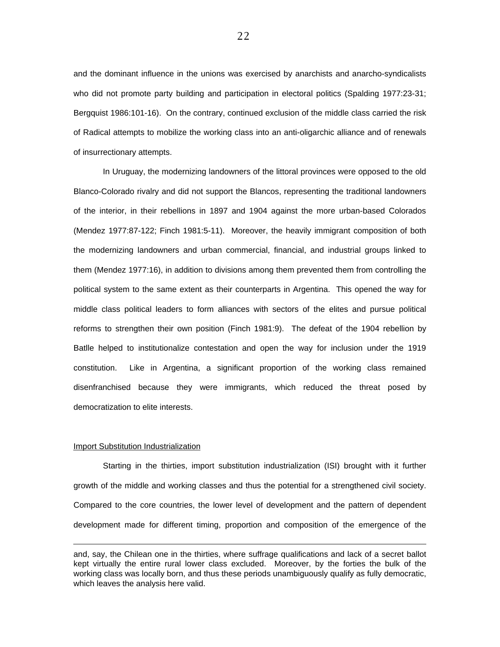and the dominant influence in the unions was exercised by anarchists and anarcho-syndicalists who did not promote party building and participation in electoral politics (Spalding 1977:23-31; Bergquist 1986:101-16). On the contrary, continued exclusion of the middle class carried the risk of Radical attempts to mobilize the working class into an anti-oligarchic alliance and of renewals of insurrectionary attempts.

In Uruguay, the modernizing landowners of the littoral provinces were opposed to the old Blanco-Colorado rivalry and did not support the Blancos, representing the traditional landowners of the interior, in their rebellions in 1897 and 1904 against the more urban-based Colorados (Mendez 1977:87-122; Finch 1981:5-11). Moreover, the heavily immigrant composition of both the modernizing landowners and urban commercial, financial, and industrial groups linked to them (Mendez 1977:16), in addition to divisions among them prevented them from controlling the political system to the same extent as their counterparts in Argentina. This opened the way for middle class political leaders to form alliances with sectors of the elites and pursue political reforms to strengthen their own position (Finch 1981:9). The defeat of the 1904 rebellion by Batlle helped to institutionalize contestation and open the way for inclusion under the 1919 constitution. Like in Argentina, a significant proportion of the working class remained disenfranchised because they were immigrants, which reduced the threat posed by democratization to elite interests.

#### Import Substitution Industrialization

 $\overline{a}$ 

Starting in the thirties, import substitution industrialization (ISI) brought with it further growth of the middle and working classes and thus the potential for a strengthened civil society. Compared to the core countries, the lower level of development and the pattern of dependent development made for different timing, proportion and composition of the emergence of the

and, say, the Chilean one in the thirties, where suffrage qualifications and lack of a secret ballot kept virtually the entire rural lower class excluded. Moreover, by the forties the bulk of the working class was locally born, and thus these periods unambiguously qualify as fully democratic, which leaves the analysis here valid.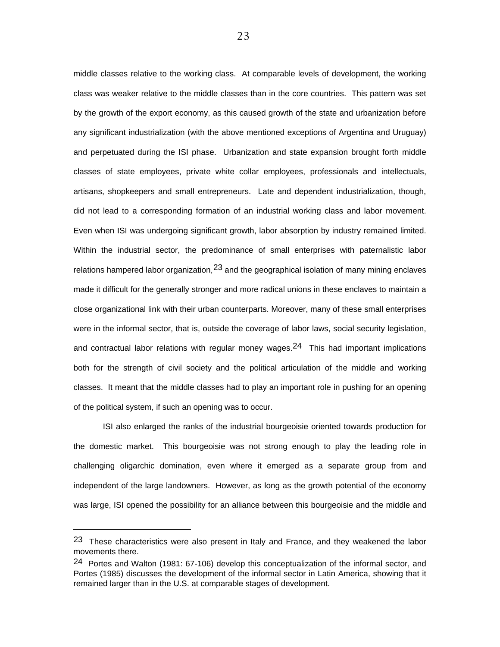middle classes relative to the working class. At comparable levels of development, the working class was weaker relative to the middle classes than in the core countries. This pattern was set by the growth of the export economy, as this caused growth of the state and urbanization before any significant industrialization (with the above mentioned exceptions of Argentina and Uruguay) and perpetuated during the ISI phase. Urbanization and state expansion brought forth middle classes of state employees, private white collar employees, professionals and intellectuals, artisans, shopkeepers and small entrepreneurs. Late and dependent industrialization, though, did not lead to a corresponding formation of an industrial working class and labor movement. Even when ISI was undergoing significant growth, labor absorption by industry remained limited. Within the industrial sector, the predominance of small enterprises with paternalistic labor relations hampered labor organization,  $23$  and the geographical isolation of many mining enclaves made it difficult for the generally stronger and more radical unions in these enclaves to maintain a close organizational link with their urban counterparts. Moreover, many of these small enterprises were in the informal sector, that is, outside the coverage of labor laws, social security legislation, and contractual labor relations with regular money wages.<sup>24</sup> This had important implications both for the strength of civil society and the political articulation of the middle and working classes. It meant that the middle classes had to play an important role in pushing for an opening of the political system, if such an opening was to occur.

ISI also enlarged the ranks of the industrial bourgeoisie oriented towards production for the domestic market. This bourgeoisie was not strong enough to play the leading role in challenging oligarchic domination, even where it emerged as a separate group from and independent of the large landowners. However, as long as the growth potential of the economy was large, ISI opened the possibility for an alliance between this bourgeoisie and the middle and

<sup>&</sup>lt;sup>23</sup> These characteristics were also present in Italy and France, and they weakened the labor movements there.

<sup>24</sup> Portes and Walton (1981: 67-106) develop this conceptualization of the informal sector, and Portes (1985) discusses the development of the informal sector in Latin America, showing that it remained larger than in the U.S. at comparable stages of development.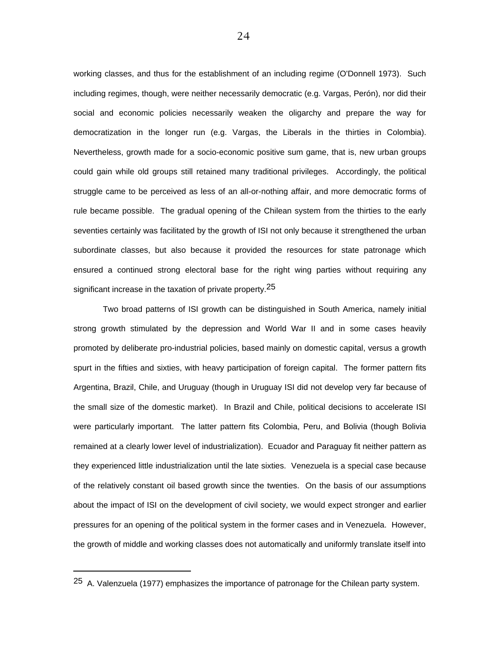working classes, and thus for the establishment of an including regime (O'Donnell 1973). Such including regimes, though, were neither necessarily democratic (e.g. Vargas, Perón), nor did their social and economic policies necessarily weaken the oligarchy and prepare the way for democratization in the longer run (e.g. Vargas, the Liberals in the thirties in Colombia). Nevertheless, growth made for a socio-economic positive sum game, that is, new urban groups could gain while old groups still retained many traditional privileges. Accordingly, the political struggle came to be perceived as less of an all-or-nothing affair, and more democratic forms of rule became possible. The gradual opening of the Chilean system from the thirties to the early seventies certainly was facilitated by the growth of ISI not only because it strengthened the urban subordinate classes, but also because it provided the resources for state patronage which ensured a continued strong electoral base for the right wing parties without requiring any significant increase in the taxation of private property.<sup>25</sup>

Two broad patterns of ISI growth can be distinguished in South America, namely initial strong growth stimulated by the depression and World War II and in some cases heavily promoted by deliberate pro-industrial policies, based mainly on domestic capital, versus a growth spurt in the fifties and sixties, with heavy participation of foreign capital. The former pattern fits Argentina, Brazil, Chile, and Uruguay (though in Uruguay ISI did not develop very far because of the small size of the domestic market). In Brazil and Chile, political decisions to accelerate ISI were particularly important. The latter pattern fits Colombia, Peru, and Bolivia (though Bolivia remained at a clearly lower level of industrialization). Ecuador and Paraguay fit neither pattern as they experienced little industrialization until the late sixties. Venezuela is a special case because of the relatively constant oil based growth since the twenties. On the basis of our assumptions about the impact of ISI on the development of civil society, we would expect stronger and earlier pressures for an opening of the political system in the former cases and in Venezuela. However, the growth of middle and working classes does not automatically and uniformly translate itself into

<sup>&</sup>lt;sup>25</sup> A. Valenzuela (1977) emphasizes the importance of patronage for the Chilean party system.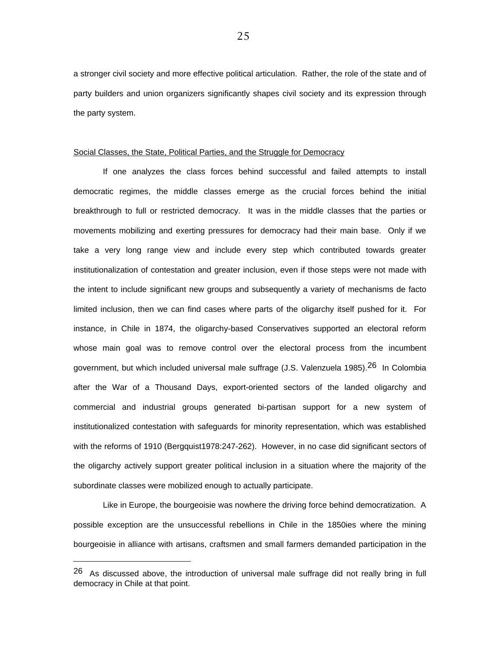a stronger civil society and more effective political articulation. Rather, the role of the state and of party builders and union organizers significantly shapes civil society and its expression through the party system.

## Social Classes, the State, Political Parties, and the Struggle for Democracy

If one analyzes the class forces behind successful and failed attempts to install democratic regimes, the middle classes emerge as the crucial forces behind the initial breakthrough to full or restricted democracy. It was in the middle classes that the parties or movements mobilizing and exerting pressures for democracy had their main base. Only if we take a very long range view and include every step which contributed towards greater institutionalization of contestation and greater inclusion, even if those steps were not made with the intent to include significant new groups and subsequently a variety of mechanisms de facto limited inclusion, then we can find cases where parts of the oligarchy itself pushed for it. For instance, in Chile in 1874, the oligarchy-based Conservatives supported an electoral reform whose main goal was to remove control over the electoral process from the incumbent government, but which included universal male suffrage (J.S. Valenzuela 1985).<sup>26</sup> In Colombia after the War of a Thousand Days, export-oriented sectors of the landed oligarchy and commercial and industrial groups generated bi-partisan support for a new system of institutionalized contestation with safeguards for minority representation, which was established with the reforms of 1910 (Bergquist1978:247-262). However, in no case did significant sectors of the oligarchy actively support greater political inclusion in a situation where the majority of the subordinate classes were mobilized enough to actually participate.

Like in Europe, the bourgeoisie was nowhere the driving force behind democratization. A possible exception are the unsuccessful rebellions in Chile in the 1850ies where the mining bourgeoisie in alliance with artisans, craftsmen and small farmers demanded participation in the

 $26$  As discussed above, the introduction of universal male suffrage did not really bring in full democracy in Chile at that point.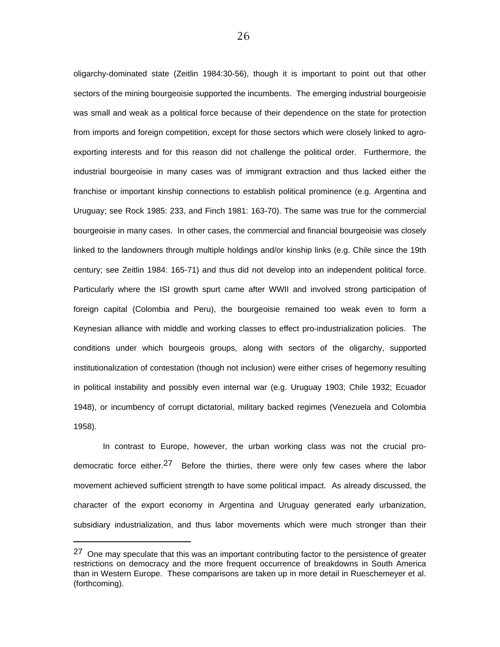oligarchy-dominated state (Zeitlin 1984:30-56), though it is important to point out that other sectors of the mining bourgeoisie supported the incumbents. The emerging industrial bourgeoisie was small and weak as a political force because of their dependence on the state for protection from imports and foreign competition, except for those sectors which were closely linked to agroexporting interests and for this reason did not challenge the political order. Furthermore, the industrial bourgeoisie in many cases was of immigrant extraction and thus lacked either the franchise or important kinship connections to establish political prominence (e.g. Argentina and Uruguay; see Rock 1985: 233, and Finch 1981: 163-70). The same was true for the commercial bourgeoisie in many cases. In other cases, the commercial and financial bourgeoisie was closely linked to the landowners through multiple holdings and/or kinship links (e.g. Chile since the 19th century; see Zeitlin 1984: 165-71) and thus did not develop into an independent political force. Particularly where the ISI growth spurt came after WWII and involved strong participation of foreign capital (Colombia and Peru), the bourgeoisie remained too weak even to form a Keynesian alliance with middle and working classes to effect pro-industrialization policies. The conditions under which bourgeois groups, along with sectors of the oligarchy, supported institutionalization of contestation (though not inclusion) were either crises of hegemony resulting in political instability and possibly even internal war (e.g. Uruguay 1903; Chile 1932; Ecuador 1948), or incumbency of corrupt dictatorial, military backed regimes (Venezuela and Colombia 1958).

In contrast to Europe, however, the urban working class was not the crucial prodemocratic force either. $27$  Before the thirties, there were only few cases where the labor movement achieved sufficient strength to have some political impact. As already discussed, the character of the export economy in Argentina and Uruguay generated early urbanization, subsidiary industrialization, and thus labor movements which were much stronger than their

<sup>&</sup>lt;sup>27</sup> One may speculate that this was an important contributing factor to the persistence of greater restrictions on democracy and the more frequent occurrence of breakdowns in South America than in Western Europe. These comparisons are taken up in more detail in Rueschemeyer et al. (forthcoming).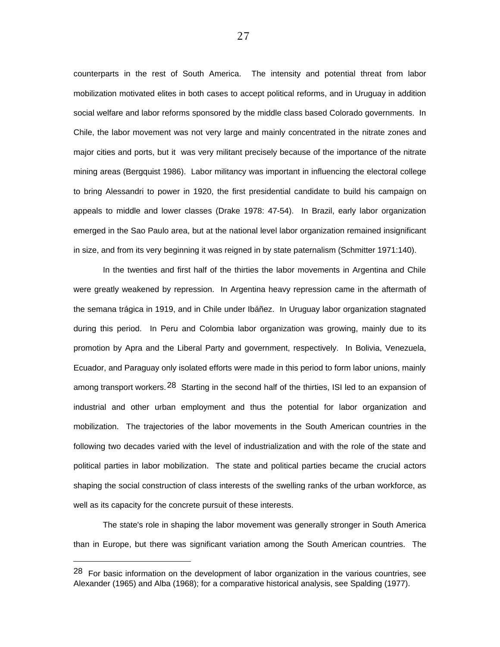counterparts in the rest of South America. The intensity and potential threat from labor mobilization motivated elites in both cases to accept political reforms, and in Uruguay in addition social welfare and labor reforms sponsored by the middle class based Colorado governments. In Chile, the labor movement was not very large and mainly concentrated in the nitrate zones and major cities and ports, but it was very militant precisely because of the importance of the nitrate mining areas (Bergquist 1986). Labor militancy was important in influencing the electoral college to bring Alessandri to power in 1920, the first presidential candidate to build his campaign on appeals to middle and lower classes (Drake 1978: 47-54). In Brazil, early labor organization emerged in the Sao Paulo area, but at the national level labor organization remained insignificant in size, and from its very beginning it was reigned in by state paternalism (Schmitter 1971:140).

In the twenties and first half of the thirties the labor movements in Argentina and Chile were greatly weakened by repression. In Argentina heavy repression came in the aftermath of the semana trágica in 1919, and in Chile under Ibáñez. In Uruguay labor organization stagnated during this period. In Peru and Colombia labor organization was growing, mainly due to its promotion by Apra and the Liberal Party and government, respectively. In Bolivia, Venezuela, Ecuador, and Paraguay only isolated efforts were made in this period to form labor unions, mainly among transport workers.<sup>28</sup> Starting in the second half of the thirties, ISI led to an expansion of industrial and other urban employment and thus the potential for labor organization and mobilization. The trajectories of the labor movements in the South American countries in the following two decades varied with the level of industrialization and with the role of the state and political parties in labor mobilization. The state and political parties became the crucial actors shaping the social construction of class interests of the swelling ranks of the urban workforce, as well as its capacity for the concrete pursuit of these interests.

The state's role in shaping the labor movement was generally stronger in South America than in Europe, but there was significant variation among the South American countries. The

 $28$  For basic information on the development of labor organization in the various countries, see Alexander (1965) and Alba (1968); for a comparative historical analysis, see Spalding (1977).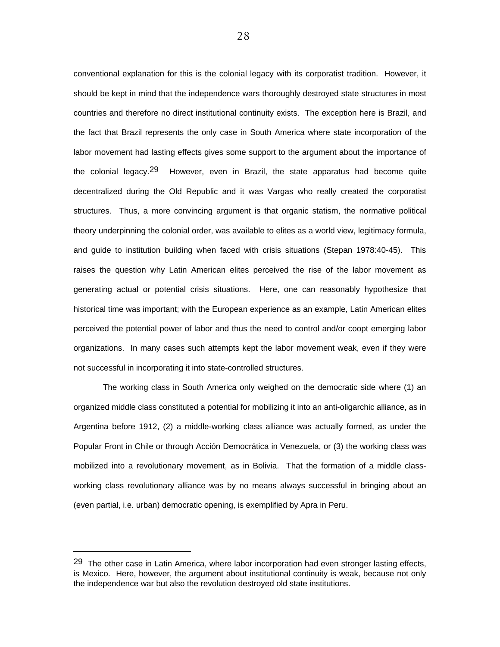conventional explanation for this is the colonial legacy with its corporatist tradition. However, it should be kept in mind that the independence wars thoroughly destroyed state structures in most countries and therefore no direct institutional continuity exists. The exception here is Brazil, and the fact that Brazil represents the only case in South America where state incorporation of the labor movement had lasting effects gives some support to the argument about the importance of the colonial legacy.<sup>29</sup> However, even in Brazil, the state apparatus had become quite decentralized during the Old Republic and it was Vargas who really created the corporatist structures. Thus, a more convincing argument is that organic statism, the normative political theory underpinning the colonial order, was available to elites as a world view, legitimacy formula, and guide to institution building when faced with crisis situations (Stepan 1978:40-45). This raises the question why Latin American elites perceived the rise of the labor movement as generating actual or potential crisis situations. Here, one can reasonably hypothesize that historical time was important; with the European experience as an example, Latin American elites perceived the potential power of labor and thus the need to control and/or coopt emerging labor organizations. In many cases such attempts kept the labor movement weak, even if they were not successful in incorporating it into state-controlled structures.

The working class in South America only weighed on the democratic side where (1) an organized middle class constituted a potential for mobilizing it into an anti-oligarchic alliance, as in Argentina before 1912, (2) a middle-working class alliance was actually formed, as under the Popular Front in Chile or through Acción Democrática in Venezuela, or (3) the working class was mobilized into a revolutionary movement, as in Bolivia. That the formation of a middle classworking class revolutionary alliance was by no means always successful in bringing about an (even partial, i.e. urban) democratic opening, is exemplified by Apra in Peru.

 $29$  The other case in Latin America, where labor incorporation had even stronger lasting effects, is Mexico. Here, however, the argument about institutional continuity is weak, because not only the independence war but also the revolution destroyed old state institutions.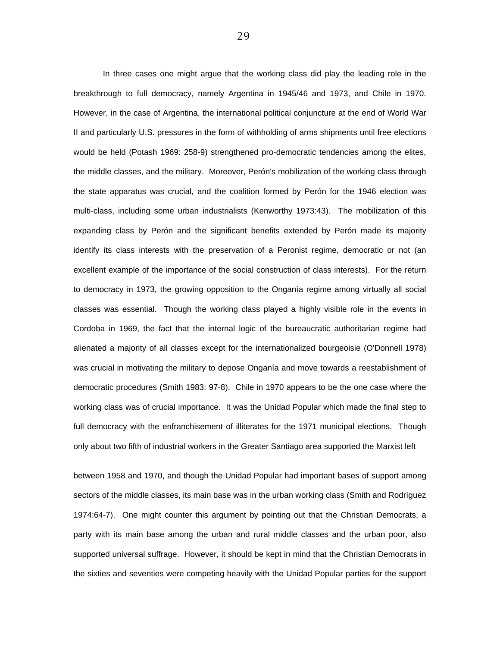In three cases one might argue that the working class did play the leading role in the breakthrough to full democracy, namely Argentina in 1945/46 and 1973, and Chile in 1970. However, in the case of Argentina, the international political conjuncture at the end of World War II and particularly U.S. pressures in the form of withholding of arms shipments until free elections would be held (Potash 1969: 258-9) strengthened pro-democratic tendencies among the elites, the middle classes, and the military. Moreover, Perón's mobilization of the working class through the state apparatus was crucial, and the coalition formed by Perón for the 1946 election was multi-class, including some urban industrialists (Kenworthy 1973:43). The mobilization of this expanding class by Perón and the significant benefits extended by Perón made its majority identify its class interests with the preservation of a Peronist regime, democratic or not (an excellent example of the importance of the social construction of class interests). For the return to democracy in 1973, the growing opposition to the Onganía regime among virtually all social classes was essential. Though the working class played a highly visible role in the events in Cordoba in 1969, the fact that the internal logic of the bureaucratic authoritarian regime had alienated a majority of all classes except for the internationalized bourgeoisie (O'Donnell 1978) was crucial in motivating the military to depose Onganía and move towards a reestablishment of democratic procedures (Smith 1983: 97-8). Chile in 1970 appears to be the one case where the working class was of crucial importance. It was the Unidad Popular which made the final step to full democracy with the enfranchisement of illiterates for the 1971 municipal elections. Though only about two fifth of industrial workers in the Greater Santiago area supported the Marxist left

between 1958 and 1970, and though the Unidad Popular had important bases of support among sectors of the middle classes, its main base was in the urban working class (Smith and Rodríguez 1974:64-7). One might counter this argument by pointing out that the Christian Democrats, a party with its main base among the urban and rural middle classes and the urban poor, also supported universal suffrage. However, it should be kept in mind that the Christian Democrats in the sixties and seventies were competing heavily with the Unidad Popular parties for the support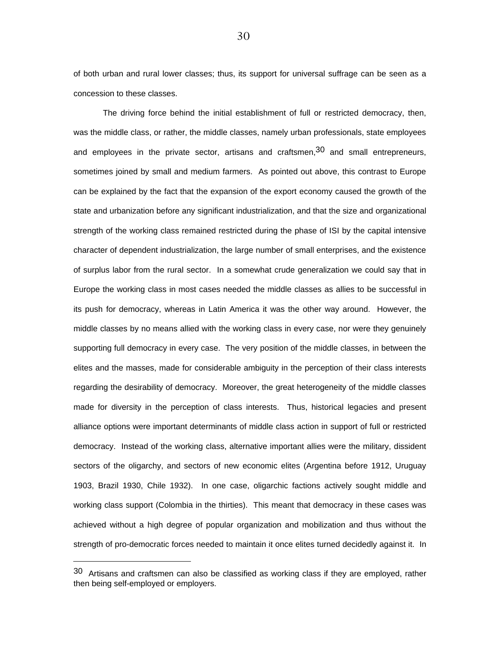of both urban and rural lower classes; thus, its support for universal suffrage can be seen as a concession to these classes.

The driving force behind the initial establishment of full or restricted democracy, then, was the middle class, or rather, the middle classes, namely urban professionals, state employees and employees in the private sector, artisans and craftsmen,  $30$  and small entrepreneurs, sometimes joined by small and medium farmers. As pointed out above, this contrast to Europe can be explained by the fact that the expansion of the export economy caused the growth of the state and urbanization before any significant industrialization, and that the size and organizational strength of the working class remained restricted during the phase of ISI by the capital intensive character of dependent industrialization, the large number of small enterprises, and the existence of surplus labor from the rural sector. In a somewhat crude generalization we could say that in Europe the working class in most cases needed the middle classes as allies to be successful in its push for democracy, whereas in Latin America it was the other way around. However, the middle classes by no means allied with the working class in every case, nor were they genuinely supporting full democracy in every case. The very position of the middle classes, in between the elites and the masses, made for considerable ambiguity in the perception of their class interests regarding the desirability of democracy. Moreover, the great heterogeneity of the middle classes made for diversity in the perception of class interests. Thus, historical legacies and present alliance options were important determinants of middle class action in support of full or restricted democracy. Instead of the working class, alternative important allies were the military, dissident sectors of the oligarchy, and sectors of new economic elites (Argentina before 1912, Uruguay 1903, Brazil 1930, Chile 1932). In one case, oligarchic factions actively sought middle and working class support (Colombia in the thirties). This meant that democracy in these cases was achieved without a high degree of popular organization and mobilization and thus without the strength of pro-democratic forces needed to maintain it once elites turned decidedly against it. In

<sup>30</sup> Artisans and craftsmen can also be classified as working class if they are employed, rather then being self-employed or employers.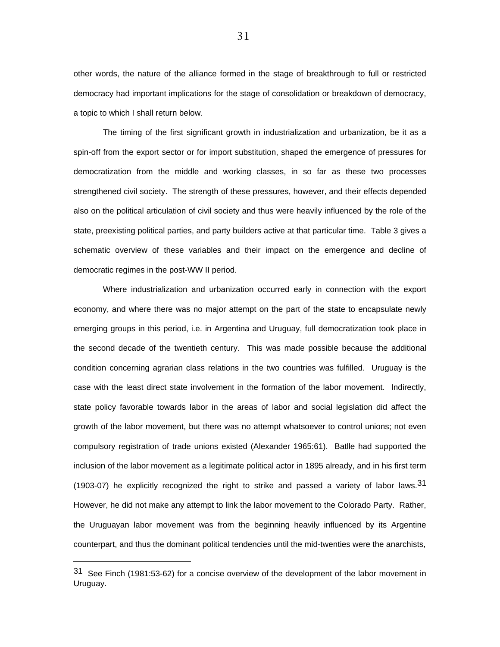other words, the nature of the alliance formed in the stage of breakthrough to full or restricted democracy had important implications for the stage of consolidation or breakdown of democracy, a topic to which I shall return below.

The timing of the first significant growth in industrialization and urbanization, be it as a spin-off from the export sector or for import substitution, shaped the emergence of pressures for democratization from the middle and working classes, in so far as these two processes strengthened civil society. The strength of these pressures, however, and their effects depended also on the political articulation of civil society and thus were heavily influenced by the role of the state, preexisting political parties, and party builders active at that particular time. Table 3 gives a schematic overview of these variables and their impact on the emergence and decline of democratic regimes in the post-WW II period.

Where industrialization and urbanization occurred early in connection with the export economy, and where there was no major attempt on the part of the state to encapsulate newly emerging groups in this period, i.e. in Argentina and Uruguay, full democratization took place in the second decade of the twentieth century. This was made possible because the additional condition concerning agrarian class relations in the two countries was fulfilled. Uruguay is the case with the least direct state involvement in the formation of the labor movement. Indirectly, state policy favorable towards labor in the areas of labor and social legislation did affect the growth of the labor movement, but there was no attempt whatsoever to control unions; not even compulsory registration of trade unions existed (Alexander 1965:61). Batlle had supported the inclusion of the labor movement as a legitimate political actor in 1895 already, and in his first term (1903-07) he explicitly recognized the right to strike and passed a variety of labor laws.  $31$ However, he did not make any attempt to link the labor movement to the Colorado Party. Rather, the Uruguayan labor movement was from the beginning heavily influenced by its Argentine counterpart, and thus the dominant political tendencies until the mid-twenties were the anarchists,

<sup>31</sup> See Finch (1981:53-62) for a concise overview of the development of the labor movement in Uruguay.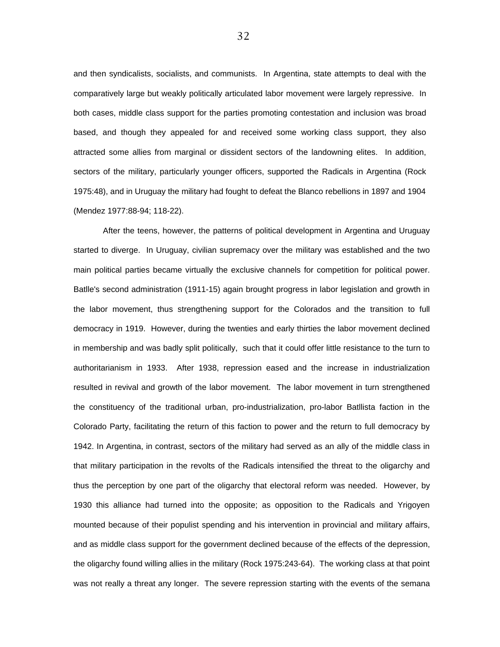and then syndicalists, socialists, and communists. In Argentina, state attempts to deal with the comparatively large but weakly politically articulated labor movement were largely repressive. In both cases, middle class support for the parties promoting contestation and inclusion was broad based, and though they appealed for and received some working class support, they also attracted some allies from marginal or dissident sectors of the landowning elites. In addition, sectors of the military, particularly younger officers, supported the Radicals in Argentina (Rock 1975:48), and in Uruguay the military had fought to defeat the Blanco rebellions in 1897 and 1904 (Mendez 1977:88-94; 118-22).

After the teens, however, the patterns of political development in Argentina and Uruguay started to diverge. In Uruguay, civilian supremacy over the military was established and the two main political parties became virtually the exclusive channels for competition for political power. Batlle's second administration (1911-15) again brought progress in labor legislation and growth in the labor movement, thus strengthening support for the Colorados and the transition to full democracy in 1919. However, during the twenties and early thirties the labor movement declined in membership and was badly split politically, such that it could offer little resistance to the turn to authoritarianism in 1933. After 1938, repression eased and the increase in industrialization resulted in revival and growth of the labor movement. The labor movement in turn strengthened the constituency of the traditional urban, pro-industrialization, pro-labor Batllista faction in the Colorado Party, facilitating the return of this faction to power and the return to full democracy by 1942. In Argentina, in contrast, sectors of the military had served as an ally of the middle class in that military participation in the revolts of the Radicals intensified the threat to the oligarchy and thus the perception by one part of the oligarchy that electoral reform was needed. However, by 1930 this alliance had turned into the opposite; as opposition to the Radicals and Yrigoyen mounted because of their populist spending and his intervention in provincial and military affairs, and as middle class support for the government declined because of the effects of the depression, the oligarchy found willing allies in the military (Rock 1975:243-64). The working class at that point was not really a threat any longer. The severe repression starting with the events of the semana

32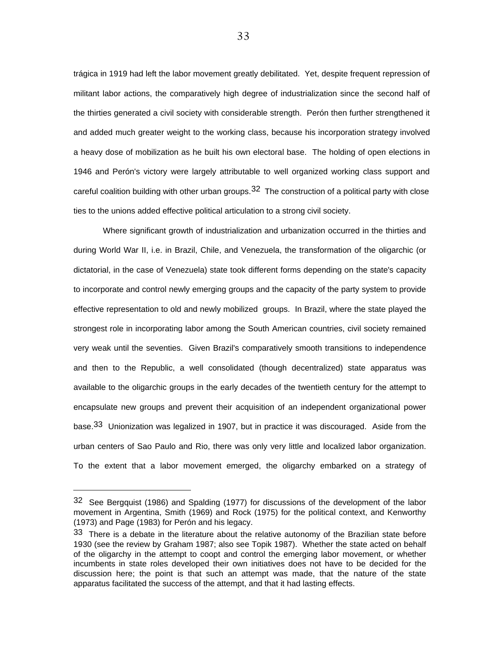trágica in 1919 had left the labor movement greatly debilitated. Yet, despite frequent repression of militant labor actions, the comparatively high degree of industrialization since the second half of the thirties generated a civil society with considerable strength. Perón then further strengthened it and added much greater weight to the working class, because his incorporation strategy involved a heavy dose of mobilization as he built his own electoral base. The holding of open elections in 1946 and Perón's victory were largely attributable to well organized working class support and careful coalition building with other urban groups.<sup>32</sup> The construction of a political party with close ties to the unions added effective political articulation to a strong civil society.

 Where significant growth of industrialization and urbanization occurred in the thirties and during World War II, i.e. in Brazil, Chile, and Venezuela, the transformation of the oligarchic (or dictatorial, in the case of Venezuela) state took different forms depending on the state's capacity to incorporate and control newly emerging groups and the capacity of the party system to provide effective representation to old and newly mobilized groups. In Brazil, where the state played the strongest role in incorporating labor among the South American countries, civil society remained very weak until the seventies. Given Brazil's comparatively smooth transitions to independence and then to the Republic, a well consolidated (though decentralized) state apparatus was available to the oligarchic groups in the early decades of the twentieth century for the attempt to encapsulate new groups and prevent their acquisition of an independent organizational power base.<sup>33</sup> Unionization was legalized in 1907, but in practice it was discouraged. Aside from the urban centers of Sao Paulo and Rio, there was only very little and localized labor organization. To the extent that a labor movement emerged, the oligarchy embarked on a strategy of

<sup>32</sup> See Bergquist (1986) and Spalding (1977) for discussions of the development of the labor movement in Argentina, Smith (1969) and Rock (1975) for the political context, and Kenworthy (1973) and Page (1983) for Perón and his legacy.

<sup>33</sup> There is a debate in the literature about the relative autonomy of the Brazilian state before 1930 (see the review by Graham 1987; also see Topik 1987). Whether the state acted on behalf of the oligarchy in the attempt to coopt and control the emerging labor movement, or whether incumbents in state roles developed their own initiatives does not have to be decided for the discussion here; the point is that such an attempt was made, that the nature of the state apparatus facilitated the success of the attempt, and that it had lasting effects.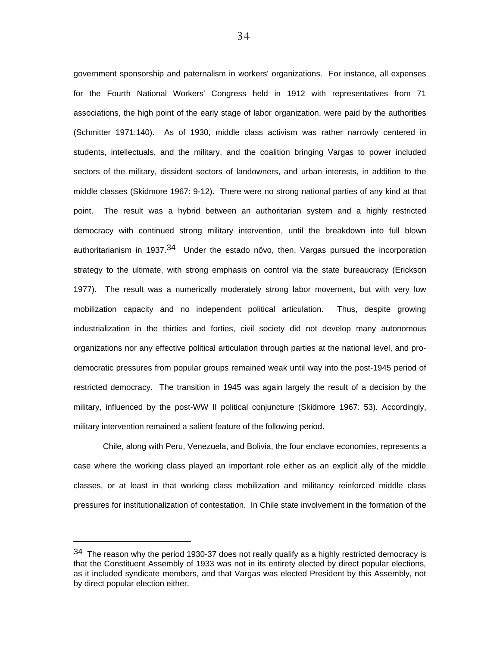government sponsorship and paternalism in workers' organizations. For instance, all expenses for the Fourth National Workers' Congress held in 1912 with representatives from 71 associations, the high point of the early stage of labor organization, were paid by the authorities (Schmitter 1971:140). As of 1930, middle class activism was rather narrowly centered in students, intellectuals, and the military, and the coalition bringing Vargas to power included sectors of the military, dissident sectors of landowners, and urban interests, in addition to the middle classes (Skidmore 1967: 9-12). There were no strong national parties of any kind at that point. The result was a hybrid between an authoritarian system and a highly restricted democracy with continued strong military intervention, until the breakdown into full blown authoritarianism in 1937.<sup>34</sup> Under the estado nôvo, then, Vargas pursued the incorporation strategy to the ultimate, with strong emphasis on control via the state bureaucracy (Erickson 1977). The result was a numerically moderately strong labor movement, but with very low mobilization capacity and no independent political articulation. Thus, despite growing industrialization in the thirties and forties, civil society did not develop many autonomous organizations nor any effective political articulation through parties at the national level, and prodemocratic pressures from popular groups remained weak until way into the post-1945 period of restricted democracy. The transition in 1945 was again largely the result of a decision by the military, influenced by the post-WW II political conjuncture (Skidmore 1967: 53). Accordingly, military intervention remained a salient feature of the following period.

Chile, along with Peru, Venezuela, and Bolivia, the four enclave economies, represents a case where the working class played an important role either as an explicit ally of the middle classes, or at least in that working class mobilization and militancy reinforced middle class pressures for institutionalization of contestation. In Chile state involvement in the formation of the

 $34$  The reason why the period 1930-37 does not really qualify as a highly restricted democracy is that the Constituent Assembly of 1933 was not in its entirety elected by direct popular elections, as it included syndicate members, and that Vargas was elected President by this Assembly, not by direct popular election either.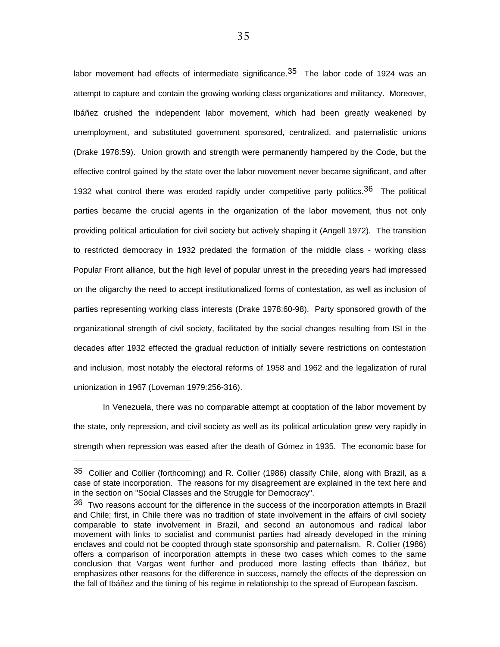labor movement had effects of intermediate significance.<sup>35</sup> The labor code of 1924 was an attempt to capture and contain the growing working class organizations and militancy. Moreover, Ibáñez crushed the independent labor movement, which had been greatly weakened by unemployment, and substituted government sponsored, centralized, and paternalistic unions (Drake 1978:59). Union growth and strength were permanently hampered by the Code, but the effective control gained by the state over the labor movement never became significant, and after 1932 what control there was eroded rapidly under competitive party politics.<sup>36</sup> The political parties became the crucial agents in the organization of the labor movement, thus not only providing political articulation for civil society but actively shaping it (Angell 1972). The transition to restricted democracy in 1932 predated the formation of the middle class - working class Popular Front alliance, but the high level of popular unrest in the preceding years had impressed on the oligarchy the need to accept institutionalized forms of contestation, as well as inclusion of parties representing working class interests (Drake 1978:60-98). Party sponsored growth of the organizational strength of civil society, facilitated by the social changes resulting from ISI in the decades after 1932 effected the gradual reduction of initially severe restrictions on contestation and inclusion, most notably the electoral reforms of 1958 and 1962 and the legalization of rural unionization in 1967 (Loveman 1979:256-316).

In Venezuela, there was no comparable attempt at cooptation of the labor movement by the state, only repression, and civil society as well as its political articulation grew very rapidly in strength when repression was eased after the death of Gómez in 1935. The economic base for

<sup>35</sup> Collier and Collier (forthcoming) and R. Collier (1986) classify Chile, along with Brazil, as a case of state incorporation. The reasons for my disagreement are explained in the text here and in the section on "Social Classes and the Struggle for Democracy".

<sup>36</sup> Two reasons account for the difference in the success of the incorporation attempts in Brazil and Chile; first, in Chile there was no tradition of state involvement in the affairs of civil society comparable to state involvement in Brazil, and second an autonomous and radical labor movement with links to socialist and communist parties had already developed in the mining enclaves and could not be coopted through state sponsorship and paternalism. R. Collier (1986) offers a comparison of incorporation attempts in these two cases which comes to the same conclusion that Vargas went further and produced more lasting effects than Ibáñez, but emphasizes other reasons for the difference in success, namely the effects of the depression on the fall of Ibáñez and the timing of his regime in relationship to the spread of European fascism.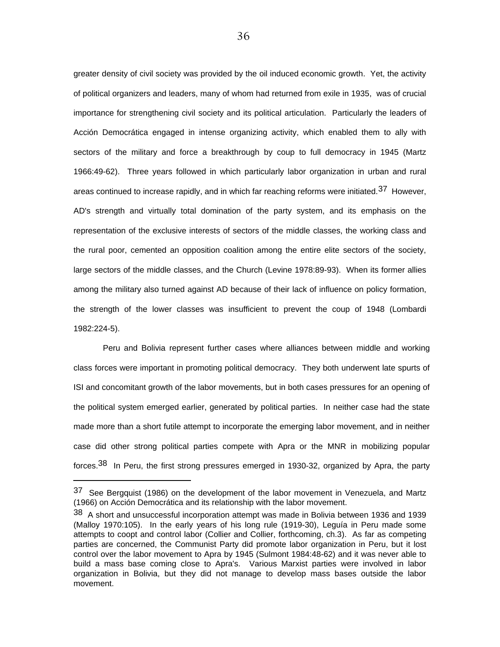greater density of civil society was provided by the oil induced economic growth. Yet, the activity of political organizers and leaders, many of whom had returned from exile in 1935, was of crucial importance for strengthening civil society and its political articulation. Particularly the leaders of Acción Democrática engaged in intense organizing activity, which enabled them to ally with sectors of the military and force a breakthrough by coup to full democracy in 1945 (Martz 1966:49-62). Three years followed in which particularly labor organization in urban and rural areas continued to increase rapidly, and in which far reaching reforms were initiated.<sup>37</sup> However, AD's strength and virtually total domination of the party system, and its emphasis on the representation of the exclusive interests of sectors of the middle classes, the working class and the rural poor, cemented an opposition coalition among the entire elite sectors of the society, large sectors of the middle classes, and the Church (Levine 1978:89-93). When its former allies among the military also turned against AD because of their lack of influence on policy formation, the strength of the lower classes was insufficient to prevent the coup of 1948 (Lombardi 1982:224-5).

Peru and Bolivia represent further cases where alliances between middle and working class forces were important in promoting political democracy. They both underwent late spurts of ISI and concomitant growth of the labor movements, but in both cases pressures for an opening of the political system emerged earlier, generated by political parties. In neither case had the state made more than a short futile attempt to incorporate the emerging labor movement, and in neither case did other strong political parties compete with Apra or the MNR in mobilizing popular forces.<sup>38</sup> In Peru, the first strong pressures emerged in 1930-32, organized by Apra, the party

<sup>37</sup> See Bergquist (1986) on the development of the labor movement in Venezuela, and Martz (1966) on Acción Democrática and its relationship with the labor movement.

<sup>38</sup> A short and unsuccessful incorporation attempt was made in Bolivia between 1936 and 1939 (Malloy 1970:105). In the early years of his long rule (1919-30), Leguía in Peru made some attempts to coopt and control labor (Collier and Collier, forthcoming, ch.3). As far as competing parties are concerned, the Communist Party did promote labor organization in Peru, but it lost control over the labor movement to Apra by 1945 (Sulmont 1984:48-62) and it was never able to build a mass base coming close to Apra's. Various Marxist parties were involved in labor organization in Bolivia, but they did not manage to develop mass bases outside the labor movement.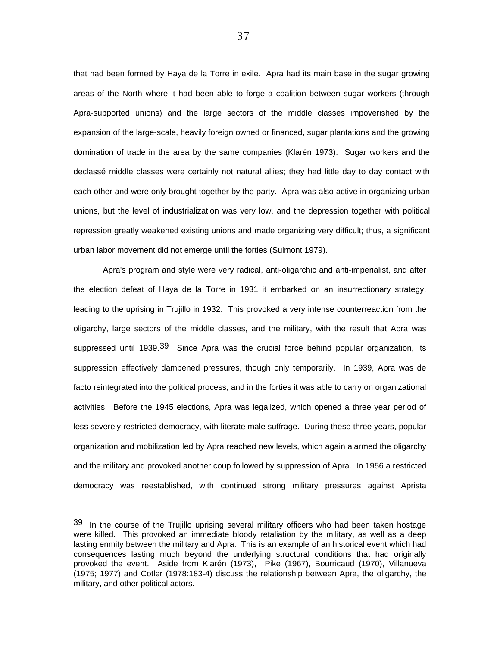that had been formed by Haya de la Torre in exile. Apra had its main base in the sugar growing areas of the North where it had been able to forge a coalition between sugar workers (through Apra-supported unions) and the large sectors of the middle classes impoverished by the expansion of the large-scale, heavily foreign owned or financed, sugar plantations and the growing domination of trade in the area by the same companies (Klarén 1973). Sugar workers and the declassé middle classes were certainly not natural allies; they had little day to day contact with each other and were only brought together by the party. Apra was also active in organizing urban unions, but the level of industrialization was very low, and the depression together with political repression greatly weakened existing unions and made organizing very difficult; thus, a significant urban labor movement did not emerge until the forties (Sulmont 1979).

Apra's program and style were very radical, anti-oligarchic and anti-imperialist, and after the election defeat of Haya de la Torre in 1931 it embarked on an insurrectionary strategy, leading to the uprising in Trujillo in 1932. This provoked a very intense counterreaction from the oligarchy, large sectors of the middle classes, and the military, with the result that Apra was suppressed until 1939.<sup>39</sup> Since Apra was the crucial force behind popular organization, its suppression effectively dampened pressures, though only temporarily. In 1939, Apra was de facto reintegrated into the political process, and in the forties it was able to carry on organizational activities. Before the 1945 elections, Apra was legalized, which opened a three year period of less severely restricted democracy, with literate male suffrage. During these three years, popular organization and mobilization led by Apra reached new levels, which again alarmed the oligarchy and the military and provoked another coup followed by suppression of Apra. In 1956 a restricted democracy was reestablished, with continued strong military pressures against Aprista

<sup>39</sup> In the course of the Trujillo uprising several military officers who had been taken hostage were killed. This provoked an immediate bloody retaliation by the military, as well as a deep lasting enmity between the military and Apra. This is an example of an historical event which had consequences lasting much beyond the underlying structural conditions that had originally provoked the event. Aside from Klarén (1973), Pike (1967), Bourricaud (1970), Villanueva (1975; 1977) and Cotler (1978:183-4) discuss the relationship between Apra, the oligarchy, the military, and other political actors.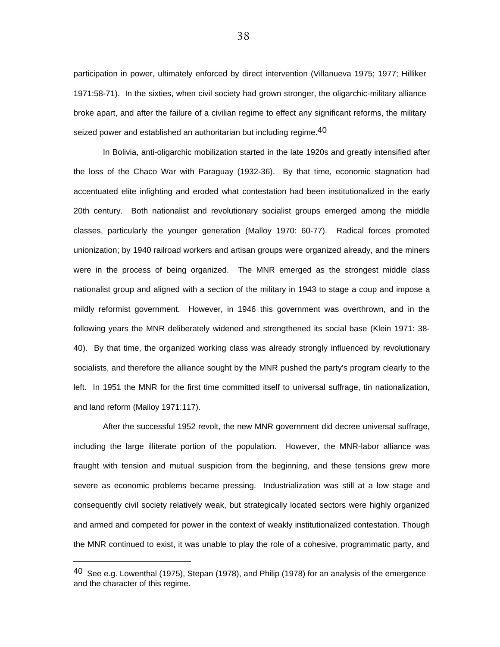participation in power, ultimately enforced by direct intervention (Villanueva 1975; 1977; Hilliker 1971:58-71). In the sixties, when civil society had grown stronger, the oligarchic-military alliance broke apart, and after the failure of a civilian regime to effect any significant reforms, the military seized power and established an authoritarian but including regime.<sup>40</sup>

In Bolivia, anti-oligarchic mobilization started in the late 1920s and greatly intensified after the loss of the Chaco War with Paraguay (1932-36). By that time, economic stagnation had accentuated elite infighting and eroded what contestation had been institutionalized in the early 20th century. Both nationalist and revolutionary socialist groups emerged among the middle classes, particularly the younger generation (Malloy 1970: 60-77). Radical forces promoted unionization; by 1940 railroad workers and artisan groups were organized already, and the miners were in the process of being organized. The MNR emerged as the strongest middle class nationalist group and aligned with a section of the military in 1943 to stage a coup and impose a mildly reformist government. However, in 1946 this government was overthrown, and in the following years the MNR deliberately widened and strengthened its social base (Klein 1971: 38- 40). By that time, the organized working class was already strongly influenced by revolutionary socialists, and therefore the alliance sought by the MNR pushed the party's program clearly to the left. In 1951 the MNR for the first time committed itself to universal suffrage, tin nationalization, and land reform (Malloy 1971:117).

After the successful 1952 revolt, the new MNR government did decree universal suffrage, including the large illiterate portion of the population. However, the MNR-labor alliance was fraught with tension and mutual suspicion from the beginning, and these tensions grew more severe as economic problems became pressing. Industrialization was still at a low stage and consequently civil society relatively weak, but strategically located sectors were highly organized and armed and competed for power in the context of weakly institutionalized contestation. Though the MNR continued to exist, it was unable to play the role of a cohesive, programmatic party, and

<sup>&</sup>lt;sup>40</sup> See e.g. Lowenthal (1975), Stepan (1978), and Philip (1978) for an analysis of the emergence and the character of this regime.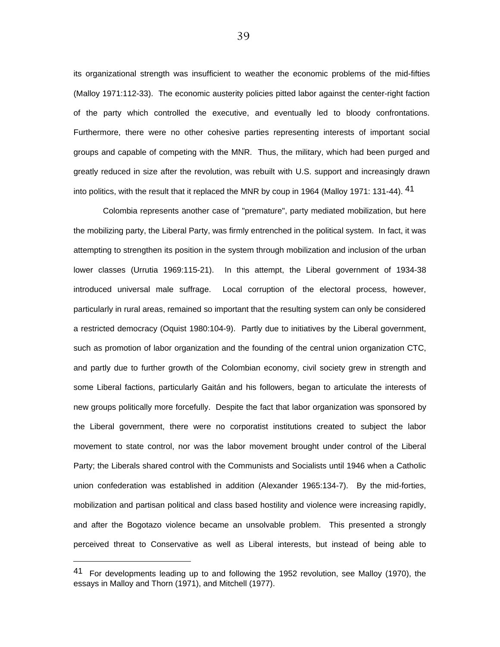its organizational strength was insufficient to weather the economic problems of the mid-fifties (Malloy 1971:112-33). The economic austerity policies pitted labor against the center-right faction of the party which controlled the executive, and eventually led to bloody confrontations. Furthermore, there were no other cohesive parties representing interests of important social groups and capable of competing with the MNR. Thus, the military, which had been purged and greatly reduced in size after the revolution, was rebuilt with U.S. support and increasingly drawn into politics, with the result that it replaced the MNR by coup in 1964 (Malloy 1971: 131-44).  $41$ 

Colombia represents another case of "premature", party mediated mobilization, but here the mobilizing party, the Liberal Party, was firmly entrenched in the political system. In fact, it was attempting to strengthen its position in the system through mobilization and inclusion of the urban lower classes (Urrutia 1969:115-21). In this attempt, the Liberal government of 1934-38 introduced universal male suffrage. Local corruption of the electoral process, however, particularly in rural areas, remained so important that the resulting system can only be considered a restricted democracy (Oquist 1980:104-9). Partly due to initiatives by the Liberal government, such as promotion of labor organization and the founding of the central union organization CTC, and partly due to further growth of the Colombian economy, civil society grew in strength and some Liberal factions, particularly Gaitán and his followers, began to articulate the interests of new groups politically more forcefully. Despite the fact that labor organization was sponsored by the Liberal government, there were no corporatist institutions created to subject the labor movement to state control, nor was the labor movement brought under control of the Liberal Party; the Liberals shared control with the Communists and Socialists until 1946 when a Catholic union confederation was established in addition (Alexander 1965:134-7). By the mid-forties, mobilization and partisan political and class based hostility and violence were increasing rapidly, and after the Bogotazo violence became an unsolvable problem. This presented a strongly perceived threat to Conservative as well as Liberal interests, but instead of being able to

<sup>41</sup> For developments leading up to and following the 1952 revolution, see Malloy (1970), the essays in Malloy and Thorn (1971), and Mitchell (1977).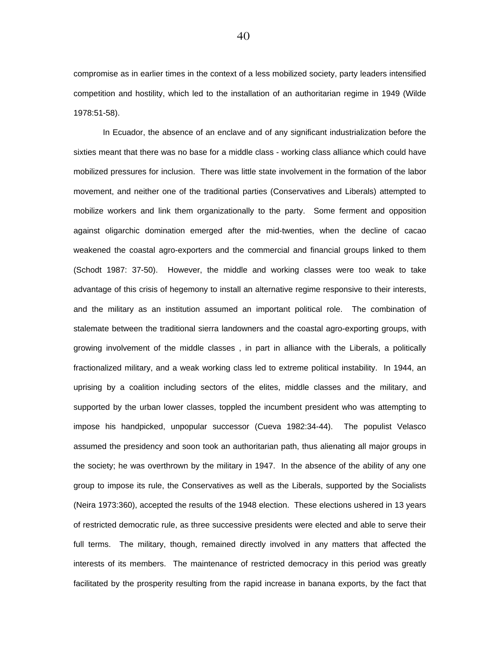compromise as in earlier times in the context of a less mobilized society, party leaders intensified competition and hostility, which led to the installation of an authoritarian regime in 1949 (Wilde 1978:51-58).

In Ecuador, the absence of an enclave and of any significant industrialization before the sixties meant that there was no base for a middle class - working class alliance which could have mobilized pressures for inclusion. There was little state involvement in the formation of the labor movement, and neither one of the traditional parties (Conservatives and Liberals) attempted to mobilize workers and link them organizationally to the party. Some ferment and opposition against oligarchic domination emerged after the mid-twenties, when the decline of cacao weakened the coastal agro-exporters and the commercial and financial groups linked to them (Schodt 1987: 37-50). However, the middle and working classes were too weak to take advantage of this crisis of hegemony to install an alternative regime responsive to their interests, and the military as an institution assumed an important political role. The combination of stalemate between the traditional sierra landowners and the coastal agro-exporting groups, with growing involvement of the middle classes , in part in alliance with the Liberals, a politically fractionalized military, and a weak working class led to extreme political instability. In 1944, an uprising by a coalition including sectors of the elites, middle classes and the military, and supported by the urban lower classes, toppled the incumbent president who was attempting to impose his handpicked, unpopular successor (Cueva 1982:34-44). The populist Velasco assumed the presidency and soon took an authoritarian path, thus alienating all major groups in the society; he was overthrown by the military in 1947. In the absence of the ability of any one group to impose its rule, the Conservatives as well as the Liberals, supported by the Socialists (Neira 1973:360), accepted the results of the 1948 election. These elections ushered in 13 years of restricted democratic rule, as three successive presidents were elected and able to serve their full terms. The military, though, remained directly involved in any matters that affected the interests of its members. The maintenance of restricted democracy in this period was greatly facilitated by the prosperity resulting from the rapid increase in banana exports, by the fact that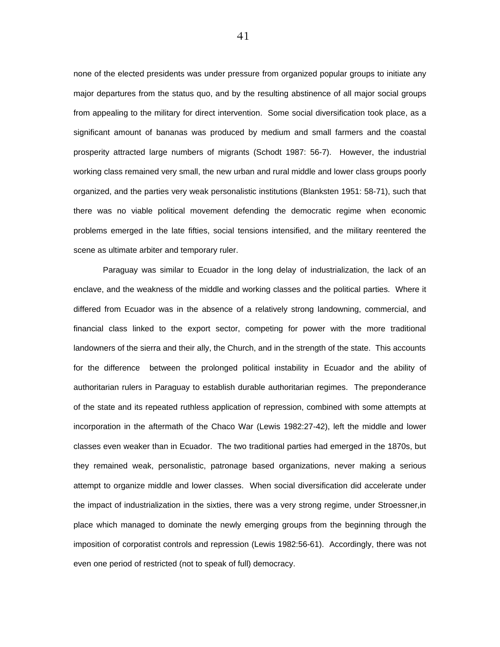none of the elected presidents was under pressure from organized popular groups to initiate any major departures from the status quo, and by the resulting abstinence of all major social groups from appealing to the military for direct intervention. Some social diversification took place, as a significant amount of bananas was produced by medium and small farmers and the coastal prosperity attracted large numbers of migrants (Schodt 1987: 56-7). However, the industrial working class remained very small, the new urban and rural middle and lower class groups poorly organized, and the parties very weak personalistic institutions (Blanksten 1951: 58-71), such that there was no viable political movement defending the democratic regime when economic problems emerged in the late fifties, social tensions intensified, and the military reentered the scene as ultimate arbiter and temporary ruler.

Paraguay was similar to Ecuador in the long delay of industrialization, the lack of an enclave, and the weakness of the middle and working classes and the political parties. Where it differed from Ecuador was in the absence of a relatively strong landowning, commercial, and financial class linked to the export sector, competing for power with the more traditional landowners of the sierra and their ally, the Church, and in the strength of the state. This accounts for the difference between the prolonged political instability in Ecuador and the ability of authoritarian rulers in Paraguay to establish durable authoritarian regimes. The preponderance of the state and its repeated ruthless application of repression, combined with some attempts at incorporation in the aftermath of the Chaco War (Lewis 1982:27-42), left the middle and lower classes even weaker than in Ecuador. The two traditional parties had emerged in the 1870s, but they remained weak, personalistic, patronage based organizations, never making a serious attempt to organize middle and lower classes. When social diversification did accelerate under the impact of industrialization in the sixties, there was a very strong regime, under Stroessner,in place which managed to dominate the newly emerging groups from the beginning through the imposition of corporatist controls and repression (Lewis 1982:56-61). Accordingly, there was not even one period of restricted (not to speak of full) democracy.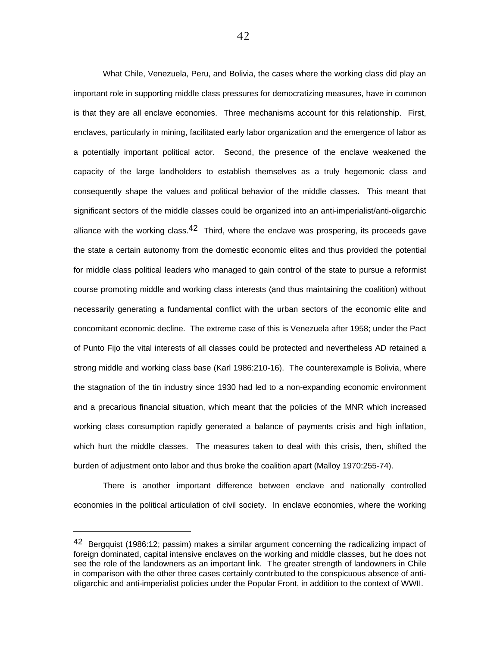What Chile, Venezuela, Peru, and Bolivia, the cases where the working class did play an important role in supporting middle class pressures for democratizing measures, have in common is that they are all enclave economies. Three mechanisms account for this relationship. First, enclaves, particularly in mining, facilitated early labor organization and the emergence of labor as a potentially important political actor. Second, the presence of the enclave weakened the capacity of the large landholders to establish themselves as a truly hegemonic class and consequently shape the values and political behavior of the middle classes. This meant that significant sectors of the middle classes could be organized into an anti-imperialist/anti-oligarchic alliance with the working class.  $42$  Third, where the enclave was prospering, its proceeds gave the state a certain autonomy from the domestic economic elites and thus provided the potential for middle class political leaders who managed to gain control of the state to pursue a reformist course promoting middle and working class interests (and thus maintaining the coalition) without necessarily generating a fundamental conflict with the urban sectors of the economic elite and concomitant economic decline. The extreme case of this is Venezuela after 1958; under the Pact of Punto Fijo the vital interests of all classes could be protected and nevertheless AD retained a strong middle and working class base (Karl 1986:210-16). The counterexample is Bolivia, where the stagnation of the tin industry since 1930 had led to a non-expanding economic environment and a precarious financial situation, which meant that the policies of the MNR which increased working class consumption rapidly generated a balance of payments crisis and high inflation, which hurt the middle classes. The measures taken to deal with this crisis, then, shifted the burden of adjustment onto labor and thus broke the coalition apart (Malloy 1970:255-74).

There is another important difference between enclave and nationally controlled economies in the political articulation of civil society. In enclave economies, where the working

<sup>42</sup> Bergquist (1986:12; passim) makes a similar argument concerning the radicalizing impact of foreign dominated, capital intensive enclaves on the working and middle classes, but he does not see the role of the landowners as an important link. The greater strength of landowners in Chile in comparison with the other three cases certainly contributed to the conspicuous absence of antioligarchic and anti-imperialist policies under the Popular Front, in addition to the context of WWII.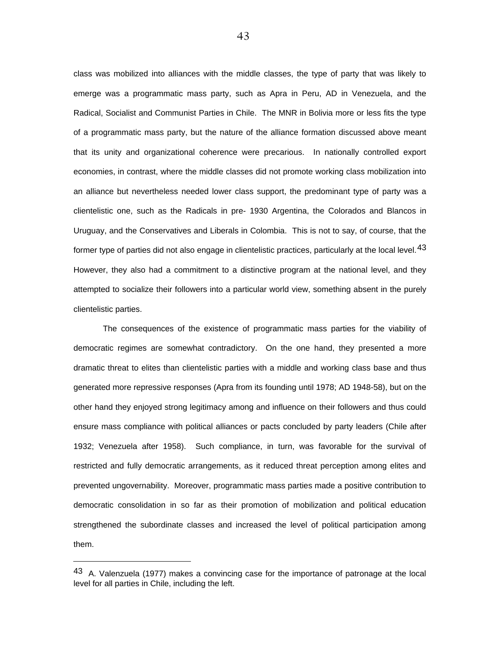class was mobilized into alliances with the middle classes, the type of party that was likely to emerge was a programmatic mass party, such as Apra in Peru, AD in Venezuela, and the Radical, Socialist and Communist Parties in Chile. The MNR in Bolivia more or less fits the type of a programmatic mass party, but the nature of the alliance formation discussed above meant that its unity and organizational coherence were precarious. In nationally controlled export economies, in contrast, where the middle classes did not promote working class mobilization into an alliance but nevertheless needed lower class support, the predominant type of party was a clientelistic one, such as the Radicals in pre- 1930 Argentina, the Colorados and Blancos in Uruguay, and the Conservatives and Liberals in Colombia. This is not to say, of course, that the former type of parties did not also engage in clientelistic practices, particularly at the local level.  $43$ However, they also had a commitment to a distinctive program at the national level, and they attempted to socialize their followers into a particular world view, something absent in the purely clientelistic parties.

The consequences of the existence of programmatic mass parties for the viability of democratic regimes are somewhat contradictory. On the one hand, they presented a more dramatic threat to elites than clientelistic parties with a middle and working class base and thus generated more repressive responses (Apra from its founding until 1978; AD 1948-58), but on the other hand they enjoyed strong legitimacy among and influence on their followers and thus could ensure mass compliance with political alliances or pacts concluded by party leaders (Chile after 1932; Venezuela after 1958). Such compliance, in turn, was favorable for the survival of restricted and fully democratic arrangements, as it reduced threat perception among elites and prevented ungovernability. Moreover, programmatic mass parties made a positive contribution to democratic consolidation in so far as their promotion of mobilization and political education strengthened the subordinate classes and increased the level of political participation among them.

<sup>43</sup> A. Valenzuela (1977) makes a convincing case for the importance of patronage at the local level for all parties in Chile, including the left.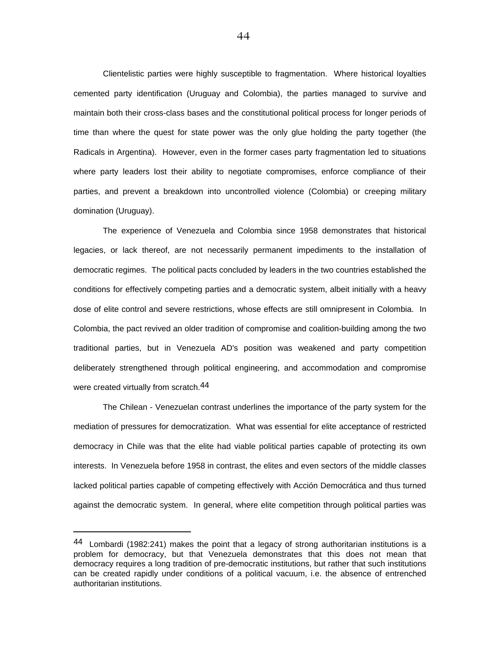Clientelistic parties were highly susceptible to fragmentation. Where historical loyalties cemented party identification (Uruguay and Colombia), the parties managed to survive and maintain both their cross-class bases and the constitutional political process for longer periods of time than where the quest for state power was the only glue holding the party together (the Radicals in Argentina). However, even in the former cases party fragmentation led to situations where party leaders lost their ability to negotiate compromises, enforce compliance of their parties, and prevent a breakdown into uncontrolled violence (Colombia) or creeping military domination (Uruguay).

The experience of Venezuela and Colombia since 1958 demonstrates that historical legacies, or lack thereof, are not necessarily permanent impediments to the installation of democratic regimes. The political pacts concluded by leaders in the two countries established the conditions for effectively competing parties and a democratic system, albeit initially with a heavy dose of elite control and severe restrictions, whose effects are still omnipresent in Colombia. In Colombia, the pact revived an older tradition of compromise and coalition-building among the two traditional parties, but in Venezuela AD's position was weakened and party competition deliberately strengthened through political engineering, and accommodation and compromise were created virtually from scratch.<sup>44</sup>

The Chilean - Venezuelan contrast underlines the importance of the party system for the mediation of pressures for democratization. What was essential for elite acceptance of restricted democracy in Chile was that the elite had viable political parties capable of protecting its own interests. In Venezuela before 1958 in contrast, the elites and even sectors of the middle classes lacked political parties capable of competing effectively with Acción Democrática and thus turned against the democratic system. In general, where elite competition through political parties was

<sup>44</sup> Lombardi (1982:241) makes the point that a legacy of strong authoritarian institutions is a problem for democracy, but that Venezuela demonstrates that this does not mean that democracy requires a long tradition of pre-democratic institutions, but rather that such institutions can be created rapidly under conditions of a political vacuum, i.e. the absence of entrenched authoritarian institutions.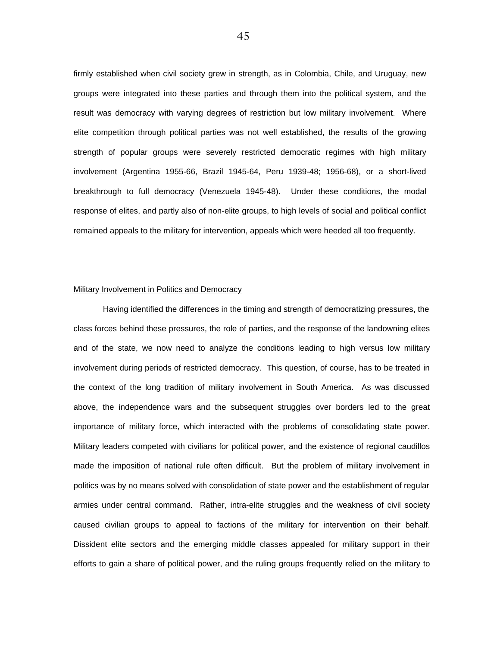firmly established when civil society grew in strength, as in Colombia, Chile, and Uruguay, new groups were integrated into these parties and through them into the political system, and the result was democracy with varying degrees of restriction but low military involvement. Where elite competition through political parties was not well established, the results of the growing strength of popular groups were severely restricted democratic regimes with high military involvement (Argentina 1955-66, Brazil 1945-64, Peru 1939-48; 1956-68), or a short-lived breakthrough to full democracy (Venezuela 1945-48). Under these conditions, the modal response of elites, and partly also of non-elite groups, to high levels of social and political conflict remained appeals to the military for intervention, appeals which were heeded all too frequently.

## Military Involvement in Politics and Democracy

Having identified the differences in the timing and strength of democratizing pressures, the class forces behind these pressures, the role of parties, and the response of the landowning elites and of the state, we now need to analyze the conditions leading to high versus low military involvement during periods of restricted democracy. This question, of course, has to be treated in the context of the long tradition of military involvement in South America. As was discussed above, the independence wars and the subsequent struggles over borders led to the great importance of military force, which interacted with the problems of consolidating state power. Military leaders competed with civilians for political power, and the existence of regional caudillos made the imposition of national rule often difficult. But the problem of military involvement in politics was by no means solved with consolidation of state power and the establishment of regular armies under central command. Rather, intra-elite struggles and the weakness of civil society caused civilian groups to appeal to factions of the military for intervention on their behalf. Dissident elite sectors and the emerging middle classes appealed for military support in their efforts to gain a share of political power, and the ruling groups frequently relied on the military to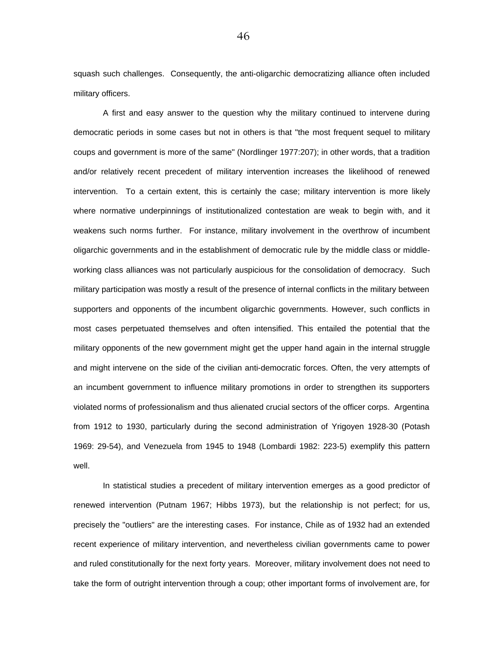squash such challenges. Consequently, the anti-oligarchic democratizing alliance often included military officers.

A first and easy answer to the question why the military continued to intervene during democratic periods in some cases but not in others is that "the most frequent sequel to military coups and government is more of the same" (Nordlinger 1977:207); in other words, that a tradition and/or relatively recent precedent of military intervention increases the likelihood of renewed intervention. To a certain extent, this is certainly the case; military intervention is more likely where normative underpinnings of institutionalized contestation are weak to begin with, and it weakens such norms further. For instance, military involvement in the overthrow of incumbent oligarchic governments and in the establishment of democratic rule by the middle class or middleworking class alliances was not particularly auspicious for the consolidation of democracy. Such military participation was mostly a result of the presence of internal conflicts in the military between supporters and opponents of the incumbent oligarchic governments. However, such conflicts in most cases perpetuated themselves and often intensified. This entailed the potential that the military opponents of the new government might get the upper hand again in the internal struggle and might intervene on the side of the civilian anti-democratic forces. Often, the very attempts of an incumbent government to influence military promotions in order to strengthen its supporters violated norms of professionalism and thus alienated crucial sectors of the officer corps. Argentina from 1912 to 1930, particularly during the second administration of Yrigoyen 1928-30 (Potash 1969: 29-54), and Venezuela from 1945 to 1948 (Lombardi 1982: 223-5) exemplify this pattern well.

In statistical studies a precedent of military intervention emerges as a good predictor of renewed intervention (Putnam 1967; Hibbs 1973), but the relationship is not perfect; for us, precisely the "outliers" are the interesting cases. For instance, Chile as of 1932 had an extended recent experience of military intervention, and nevertheless civilian governments came to power and ruled constitutionally for the next forty years. Moreover, military involvement does not need to take the form of outright intervention through a coup; other important forms of involvement are, for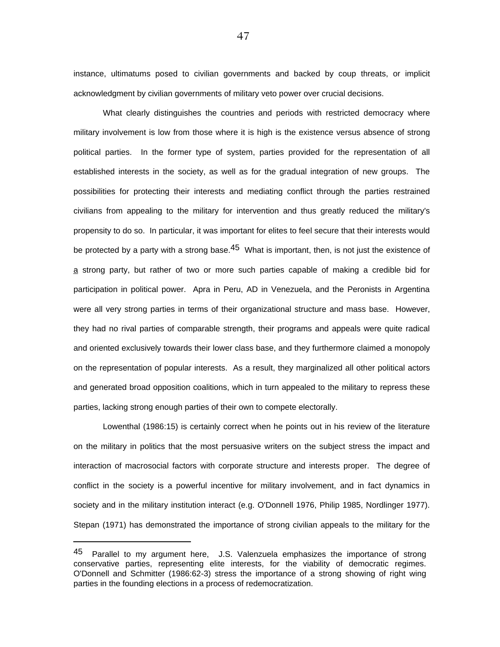instance, ultimatums posed to civilian governments and backed by coup threats, or implicit acknowledgment by civilian governments of military veto power over crucial decisions.

What clearly distinguishes the countries and periods with restricted democracy where military involvement is low from those where it is high is the existence versus absence of strong political parties. In the former type of system, parties provided for the representation of all established interests in the society, as well as for the gradual integration of new groups. The possibilities for protecting their interests and mediating conflict through the parties restrained civilians from appealing to the military for intervention and thus greatly reduced the military's propensity to do so. In particular, it was important for elites to feel secure that their interests would be protected by a party with a strong base.<sup>45</sup> What is important, then, is not just the existence of a strong party, but rather of two or more such parties capable of making a credible bid for participation in political power. Apra in Peru, AD in Venezuela, and the Peronists in Argentina were all very strong parties in terms of their organizational structure and mass base. However, they had no rival parties of comparable strength, their programs and appeals were quite radical and oriented exclusively towards their lower class base, and they furthermore claimed a monopoly on the representation of popular interests. As a result, they marginalized all other political actors and generated broad opposition coalitions, which in turn appealed to the military to repress these parties, lacking strong enough parties of their own to compete electorally.

Lowenthal (1986:15) is certainly correct when he points out in his review of the literature on the military in politics that the most persuasive writers on the subject stress the impact and interaction of macrosocial factors with corporate structure and interests proper. The degree of conflict in the society is a powerful incentive for military involvement, and in fact dynamics in society and in the military institution interact (e.g. O'Donnell 1976, Philip 1985, Nordlinger 1977). Stepan (1971) has demonstrated the importance of strong civilian appeals to the military for the

<sup>45</sup> Parallel to my argument here, J.S. Valenzuela emphasizes the importance of strong conservative parties, representing elite interests, for the viability of democratic regimes. O'Donnell and Schmitter (1986:62-3) stress the importance of a strong showing of right wing parties in the founding elections in a process of redemocratization.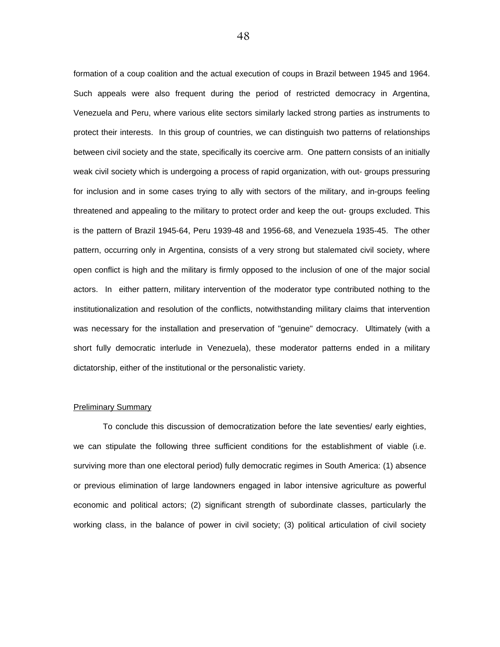formation of a coup coalition and the actual execution of coups in Brazil between 1945 and 1964. Such appeals were also frequent during the period of restricted democracy in Argentina, Venezuela and Peru, where various elite sectors similarly lacked strong parties as instruments to protect their interests. In this group of countries, we can distinguish two patterns of relationships between civil society and the state, specifically its coercive arm. One pattern consists of an initially weak civil society which is undergoing a process of rapid organization, with out- groups pressuring for inclusion and in some cases trying to ally with sectors of the military, and in-groups feeling threatened and appealing to the military to protect order and keep the out- groups excluded. This is the pattern of Brazil 1945-64, Peru 1939-48 and 1956-68, and Venezuela 1935-45. The other pattern, occurring only in Argentina, consists of a very strong but stalemated civil society, where open conflict is high and the military is firmly opposed to the inclusion of one of the major social actors. In either pattern, military intervention of the moderator type contributed nothing to the institutionalization and resolution of the conflicts, notwithstanding military claims that intervention was necessary for the installation and preservation of "genuine" democracy. Ultimately (with a short fully democratic interlude in Venezuela), these moderator patterns ended in a military dictatorship, either of the institutional or the personalistic variety.

#### Preliminary Summary

To conclude this discussion of democratization before the late seventies/ early eighties, we can stipulate the following three sufficient conditions for the establishment of viable (i.e. surviving more than one electoral period) fully democratic regimes in South America: (1) absence or previous elimination of large landowners engaged in labor intensive agriculture as powerful economic and political actors; (2) significant strength of subordinate classes, particularly the working class, in the balance of power in civil society; (3) political articulation of civil society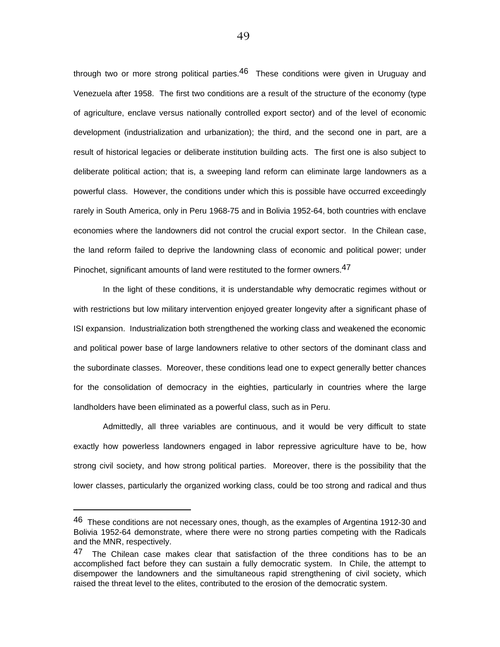through two or more strong political parties. $46$  These conditions were given in Uruguay and Venezuela after 1958. The first two conditions are a result of the structure of the economy (type of agriculture, enclave versus nationally controlled export sector) and of the level of economic development (industrialization and urbanization); the third, and the second one in part, are a result of historical legacies or deliberate institution building acts. The first one is also subject to deliberate political action; that is, a sweeping land reform can eliminate large landowners as a powerful class. However, the conditions under which this is possible have occurred exceedingly rarely in South America, only in Peru 1968-75 and in Bolivia 1952-64, both countries with enclave economies where the landowners did not control the crucial export sector. In the Chilean case, the land reform failed to deprive the landowning class of economic and political power; under Pinochet, significant amounts of land were restituted to the former owners.<sup>47</sup>

In the light of these conditions, it is understandable why democratic regimes without or with restrictions but low military intervention enjoyed greater longevity after a significant phase of ISI expansion. Industrialization both strengthened the working class and weakened the economic and political power base of large landowners relative to other sectors of the dominant class and the subordinate classes. Moreover, these conditions lead one to expect generally better chances for the consolidation of democracy in the eighties, particularly in countries where the large landholders have been eliminated as a powerful class, such as in Peru.

Admittedly, all three variables are continuous, and it would be very difficult to state exactly how powerless landowners engaged in labor repressive agriculture have to be, how strong civil society, and how strong political parties. Moreover, there is the possibility that the lower classes, particularly the organized working class, could be too strong and radical and thus

<sup>46</sup> These conditions are not necessary ones, though, as the examples of Argentina 1912-30 and Bolivia 1952-64 demonstrate, where there were no strong parties competing with the Radicals and the MNR, respectively.

<sup>47</sup> The Chilean case makes clear that satisfaction of the three conditions has to be an accomplished fact before they can sustain a fully democratic system. In Chile, the attempt to disempower the landowners and the simultaneous rapid strengthening of civil society, which raised the threat level to the elites, contributed to the erosion of the democratic system.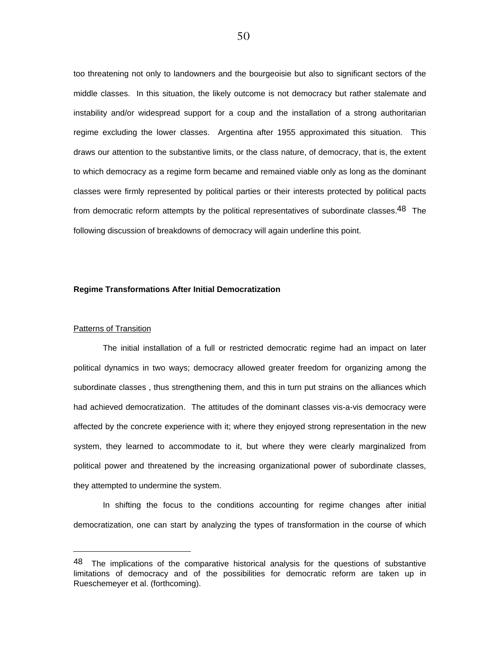too threatening not only to landowners and the bourgeoisie but also to significant sectors of the middle classes. In this situation, the likely outcome is not democracy but rather stalemate and instability and/or widespread support for a coup and the installation of a strong authoritarian regime excluding the lower classes. Argentina after 1955 approximated this situation. This draws our attention to the substantive limits, or the class nature, of democracy, that is, the extent to which democracy as a regime form became and remained viable only as long as the dominant classes were firmly represented by political parties or their interests protected by political pacts from democratic reform attempts by the political representatives of subordinate classes.<sup>48</sup> The following discussion of breakdowns of democracy will again underline this point.

## **Regime Transformations After Initial Democratization**

## Patterns of Transition

 $\overline{a}$ 

The initial installation of a full or restricted democratic regime had an impact on later political dynamics in two ways; democracy allowed greater freedom for organizing among the subordinate classes , thus strengthening them, and this in turn put strains on the alliances which had achieved democratization. The attitudes of the dominant classes vis-a-vis democracy were affected by the concrete experience with it; where they enjoyed strong representation in the new system, they learned to accommodate to it, but where they were clearly marginalized from political power and threatened by the increasing organizational power of subordinate classes, they attempted to undermine the system.

In shifting the focus to the conditions accounting for regime changes after initial democratization, one can start by analyzing the types of transformation in the course of which

<sup>48</sup> The implications of the comparative historical analysis for the questions of substantive limitations of democracy and of the possibilities for democratic reform are taken up in Rueschemeyer et al. (forthcoming).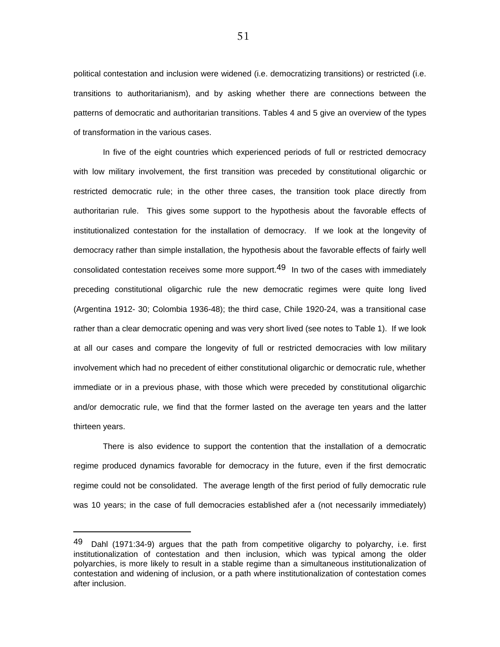political contestation and inclusion were widened (i.e. democratizing transitions) or restricted (i.e. transitions to authoritarianism), and by asking whether there are connections between the patterns of democratic and authoritarian transitions. Tables 4 and 5 give an overview of the types of transformation in the various cases.

In five of the eight countries which experienced periods of full or restricted democracy with low military involvement, the first transition was preceded by constitutional oligarchic or restricted democratic rule; in the other three cases, the transition took place directly from authoritarian rule. This gives some support to the hypothesis about the favorable effects of institutionalized contestation for the installation of democracy. If we look at the longevity of democracy rather than simple installation, the hypothesis about the favorable effects of fairly well consolidated contestation receives some more support.<sup>49</sup> In two of the cases with immediately preceding constitutional oligarchic rule the new democratic regimes were quite long lived (Argentina 1912- 30; Colombia 1936-48); the third case, Chile 1920-24, was a transitional case rather than a clear democratic opening and was very short lived (see notes to Table 1). If we look at all our cases and compare the longevity of full or restricted democracies with low military involvement which had no precedent of either constitutional oligarchic or democratic rule, whether immediate or in a previous phase, with those which were preceded by constitutional oligarchic and/or democratic rule, we find that the former lasted on the average ten years and the latter thirteen years.

There is also evidence to support the contention that the installation of a democratic regime produced dynamics favorable for democracy in the future, even if the first democratic regime could not be consolidated. The average length of the first period of fully democratic rule was 10 years; in the case of full democracies established afer a (not necessarily immediately)

<sup>49</sup> Dahl (1971:34-9) argues that the path from competitive oligarchy to polyarchy, i.e. first institutionalization of contestation and then inclusion, which was typical among the older polyarchies, is more likely to result in a stable regime than a simultaneous institutionalization of contestation and widening of inclusion, or a path where institutionalization of contestation comes after inclusion.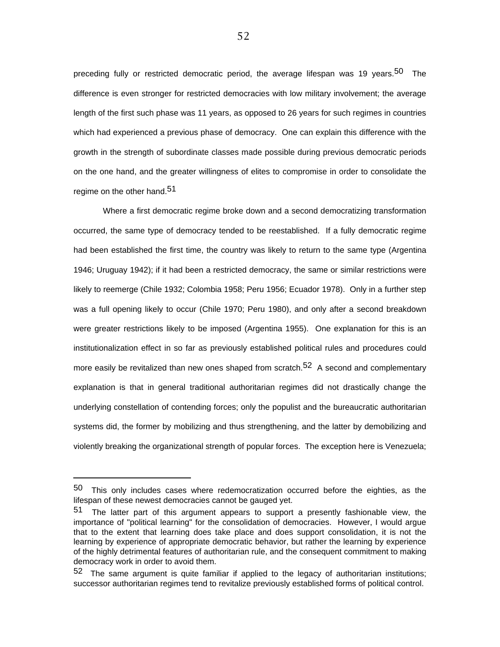preceding fully or restricted democratic period, the average lifespan was 19 years.<sup>50</sup> The difference is even stronger for restricted democracies with low military involvement; the average length of the first such phase was 11 years, as opposed to 26 years for such regimes in countries which had experienced a previous phase of democracy. One can explain this difference with the growth in the strength of subordinate classes made possible during previous democratic periods on the one hand, and the greater willingness of elites to compromise in order to consolidate the regime on the other hand.<sup>51</sup>

Where a first democratic regime broke down and a second democratizing transformation occurred, the same type of democracy tended to be reestablished. If a fully democratic regime had been established the first time, the country was likely to return to the same type (Argentina 1946; Uruguay 1942); if it had been a restricted democracy, the same or similar restrictions were likely to reemerge (Chile 1932; Colombia 1958; Peru 1956; Ecuador 1978). Only in a further step was a full opening likely to occur (Chile 1970; Peru 1980), and only after a second breakdown were greater restrictions likely to be imposed (Argentina 1955). One explanation for this is an institutionalization effect in so far as previously established political rules and procedures could more easily be revitalized than new ones shaped from scratch.<sup>52</sup> A second and complementary explanation is that in general traditional authoritarian regimes did not drastically change the underlying constellation of contending forces; only the populist and the bureaucratic authoritarian systems did, the former by mobilizing and thus strengthening, and the latter by demobilizing and violently breaking the organizational strength of popular forces. The exception here is Venezuela;

<sup>50</sup> This only includes cases where redemocratization occurred before the eighties, as the lifespan of these newest democracies cannot be gauged yet.

<sup>51</sup> The latter part of this argument appears to support a presently fashionable view, the importance of "political learning" for the consolidation of democracies. However, I would argue that to the extent that learning does take place and does support consolidation, it is not the learning by experience of appropriate democratic behavior, but rather the learning by experience of the highly detrimental features of authoritarian rule, and the consequent commitment to making democracy work in order to avoid them.

<sup>52</sup> The same argument is quite familiar if applied to the legacy of authoritarian institutions; successor authoritarian regimes tend to revitalize previously established forms of political control.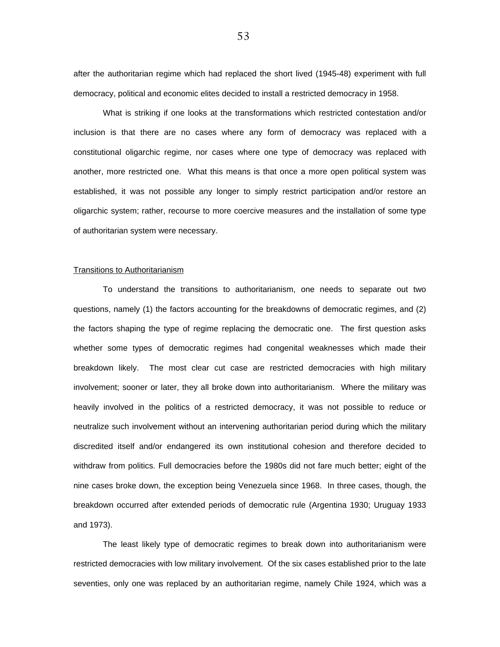after the authoritarian regime which had replaced the short lived (1945-48) experiment with full democracy, political and economic elites decided to install a restricted democracy in 1958.

What is striking if one looks at the transformations which restricted contestation and/or inclusion is that there are no cases where any form of democracy was replaced with a constitutional oligarchic regime, nor cases where one type of democracy was replaced with another, more restricted one. What this means is that once a more open political system was established, it was not possible any longer to simply restrict participation and/or restore an oligarchic system; rather, recourse to more coercive measures and the installation of some type of authoritarian system were necessary.

## Transitions to Authoritarianism

To understand the transitions to authoritarianism, one needs to separate out two questions, namely (1) the factors accounting for the breakdowns of democratic regimes, and (2) the factors shaping the type of regime replacing the democratic one. The first question asks whether some types of democratic regimes had congenital weaknesses which made their breakdown likely. The most clear cut case are restricted democracies with high military involvement; sooner or later, they all broke down into authoritarianism. Where the military was heavily involved in the politics of a restricted democracy, it was not possible to reduce or neutralize such involvement without an intervening authoritarian period during which the military discredited itself and/or endangered its own institutional cohesion and therefore decided to withdraw from politics. Full democracies before the 1980s did not fare much better; eight of the nine cases broke down, the exception being Venezuela since 1968. In three cases, though, the breakdown occurred after extended periods of democratic rule (Argentina 1930; Uruguay 1933 and 1973).

The least likely type of democratic regimes to break down into authoritarianism were restricted democracies with low military involvement. Of the six cases established prior to the late seventies, only one was replaced by an authoritarian regime, namely Chile 1924, which was a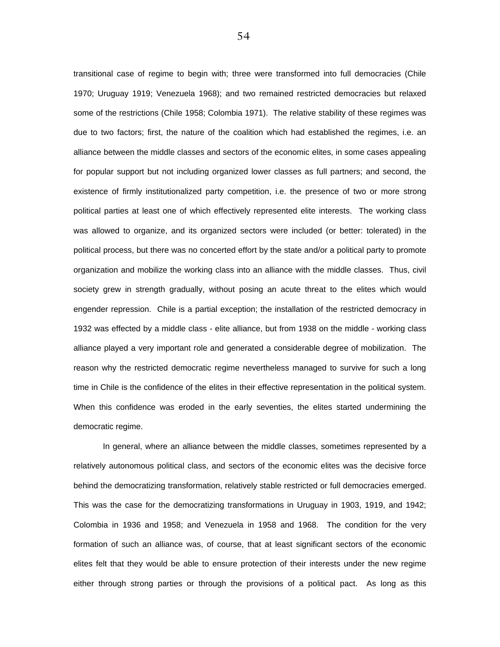transitional case of regime to begin with; three were transformed into full democracies (Chile 1970; Uruguay 1919; Venezuela 1968); and two remained restricted democracies but relaxed some of the restrictions (Chile 1958; Colombia 1971). The relative stability of these regimes was due to two factors; first, the nature of the coalition which had established the regimes, i.e. an alliance between the middle classes and sectors of the economic elites, in some cases appealing for popular support but not including organized lower classes as full partners; and second, the existence of firmly institutionalized party competition, i.e. the presence of two or more strong political parties at least one of which effectively represented elite interests. The working class was allowed to organize, and its organized sectors were included (or better: tolerated) in the political process, but there was no concerted effort by the state and/or a political party to promote organization and mobilize the working class into an alliance with the middle classes. Thus, civil society grew in strength gradually, without posing an acute threat to the elites which would engender repression. Chile is a partial exception; the installation of the restricted democracy in 1932 was effected by a middle class - elite alliance, but from 1938 on the middle - working class alliance played a very important role and generated a considerable degree of mobilization. The reason why the restricted democratic regime nevertheless managed to survive for such a long time in Chile is the confidence of the elites in their effective representation in the political system. When this confidence was eroded in the early seventies, the elites started undermining the democratic regime.

In general, where an alliance between the middle classes, sometimes represented by a relatively autonomous political class, and sectors of the economic elites was the decisive force behind the democratizing transformation, relatively stable restricted or full democracies emerged. This was the case for the democratizing transformations in Uruguay in 1903, 1919, and 1942; Colombia in 1936 and 1958; and Venezuela in 1958 and 1968. The condition for the very formation of such an alliance was, of course, that at least significant sectors of the economic elites felt that they would be able to ensure protection of their interests under the new regime either through strong parties or through the provisions of a political pact. As long as this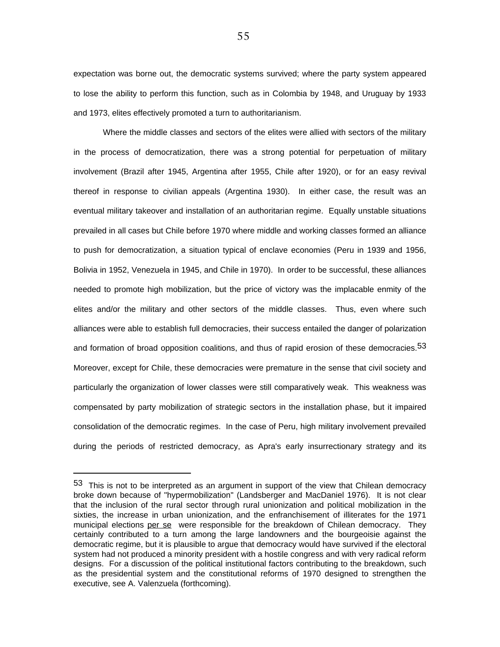expectation was borne out, the democratic systems survived; where the party system appeared to lose the ability to perform this function, such as in Colombia by 1948, and Uruguay by 1933 and 1973, elites effectively promoted a turn to authoritarianism.

Where the middle classes and sectors of the elites were allied with sectors of the military in the process of democratization, there was a strong potential for perpetuation of military involvement (Brazil after 1945, Argentina after 1955, Chile after 1920), or for an easy revival thereof in response to civilian appeals (Argentina 1930). In either case, the result was an eventual military takeover and installation of an authoritarian regime. Equally unstable situations prevailed in all cases but Chile before 1970 where middle and working classes formed an alliance to push for democratization, a situation typical of enclave economies (Peru in 1939 and 1956, Bolivia in 1952, Venezuela in 1945, and Chile in 1970). In order to be successful, these alliances needed to promote high mobilization, but the price of victory was the implacable enmity of the elites and/or the military and other sectors of the middle classes. Thus, even where such alliances were able to establish full democracies, their success entailed the danger of polarization and formation of broad opposition coalitions, and thus of rapid erosion of these democracies.<sup>53</sup> Moreover, except for Chile, these democracies were premature in the sense that civil society and particularly the organization of lower classes were still comparatively weak. This weakness was compensated by party mobilization of strategic sectors in the installation phase, but it impaired consolidation of the democratic regimes. In the case of Peru, high military involvement prevailed during the periods of restricted democracy, as Apra's early insurrectionary strategy and its

<sup>53</sup> This is not to be interpreted as an argument in support of the view that Chilean democracy broke down because of "hypermobilization" (Landsberger and MacDaniel 1976). It is not clear that the inclusion of the rural sector through rural unionization and political mobilization in the sixties, the increase in urban unionization, and the enfranchisement of illiterates for the 1971 municipal elections per se were responsible for the breakdown of Chilean democracy. They certainly contributed to a turn among the large landowners and the bourgeoisie against the democratic regime, but it is plausible to argue that democracy would have survived if the electoral system had not produced a minority president with a hostile congress and with very radical reform designs. For a discussion of the political institutional factors contributing to the breakdown, such as the presidential system and the constitutional reforms of 1970 designed to strengthen the executive, see A. Valenzuela (forthcoming).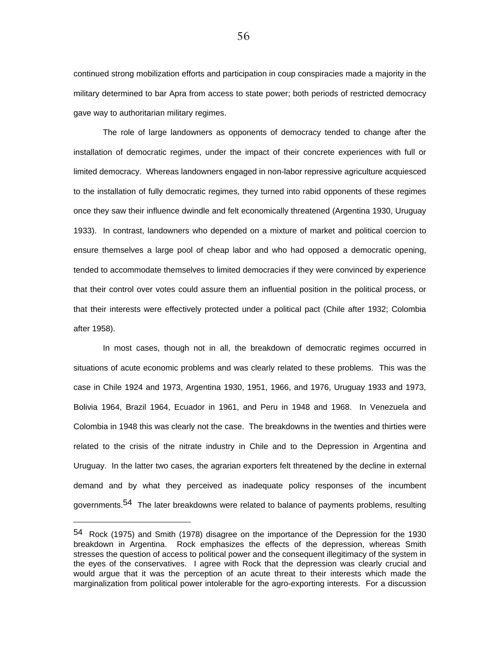continued strong mobilization efforts and participation in coup conspiracies made a majority in the military determined to bar Apra from access to state power; both periods of restricted democracy gave way to authoritarian military regimes.

The role of large landowners as opponents of democracy tended to change after the installation of democratic regimes, under the impact of their concrete experiences with full or limited democracy. Whereas landowners engaged in non-labor repressive agriculture acquiesced to the installation of fully democratic regimes, they turned into rabid opponents of these regimes once they saw their influence dwindle and felt economically threatened (Argentina 1930, Uruguay 1933). In contrast, landowners who depended on a mixture of market and political coercion to ensure themselves a large pool of cheap labor and who had opposed a democratic opening, tended to accommodate themselves to limited democracies if they were convinced by experience that their control over votes could assure them an influential position in the political process, or that their interests were effectively protected under a political pact (Chile after 1932; Colombia after 1958).

In most cases, though not in all, the breakdown of democratic regimes occurred in situations of acute economic problems and was clearly related to these problems. This was the case in Chile 1924 and 1973, Argentina 1930, 1951, 1966, and 1976, Uruguay 1933 and 1973, Bolivia 1964, Brazil 1964, Ecuador in 1961, and Peru in 1948 and 1968. In Venezuela and Colombia in 1948 this was clearly not the case. The breakdowns in the twenties and thirties were related to the crisis of the nitrate industry in Chile and to the Depression in Argentina and Uruguay. In the latter two cases, the agrarian exporters felt threatened by the decline in external demand and by what they perceived as inadequate policy responses of the incumbent governments.<sup>54</sup> The later breakdowns were related to balance of payments problems, resulting

<sup>54</sup> Rock (1975) and Smith (1978) disagree on the importance of the Depression for the 1930 breakdown in Argentina. Rock emphasizes the effects of the depression, whereas Smith stresses the question of access to political power and the consequent illegitimacy of the system in the eyes of the conservatives. I agree with Rock that the depression was clearly crucial and would argue that it was the perception of an acute threat to their interests which made the marginalization from political power intolerable for the agro-exporting interests. For a discussion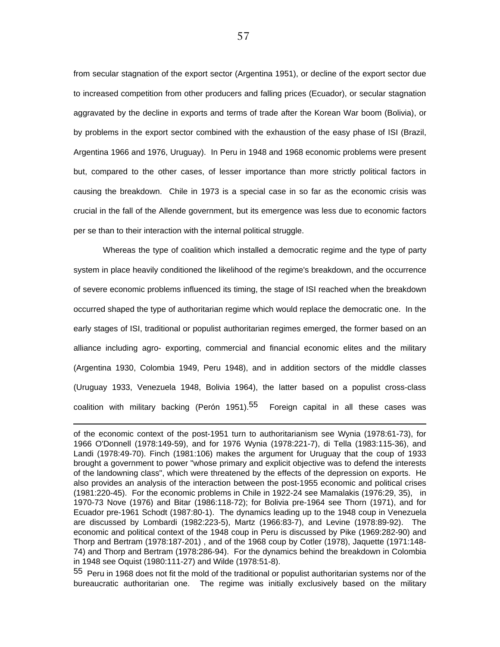from secular stagnation of the export sector (Argentina 1951), or decline of the export sector due to increased competition from other producers and falling prices (Ecuador), or secular stagnation aggravated by the decline in exports and terms of trade after the Korean War boom (Bolivia), or by problems in the export sector combined with the exhaustion of the easy phase of ISI (Brazil, Argentina 1966 and 1976, Uruguay). In Peru in 1948 and 1968 economic problems were present but, compared to the other cases, of lesser importance than more strictly political factors in causing the breakdown. Chile in 1973 is a special case in so far as the economic crisis was crucial in the fall of the Allende government, but its emergence was less due to economic factors per se than to their interaction with the internal political struggle.

Whereas the type of coalition which installed a democratic regime and the type of party system in place heavily conditioned the likelihood of the regime's breakdown, and the occurrence of severe economic problems influenced its timing, the stage of ISI reached when the breakdown occurred shaped the type of authoritarian regime which would replace the democratic one. In the early stages of ISI, traditional or populist authoritarian regimes emerged, the former based on an alliance including agro- exporting, commercial and financial economic elites and the military (Argentina 1930, Colombia 1949, Peru 1948), and in addition sectors of the middle classes (Uruguay 1933, Venezuela 1948, Bolivia 1964), the latter based on a populist cross-class coalition with military backing (Perón 1951).<sup>55</sup> Foreign capital in all these cases was

 $\overline{a}$ 

55 Peru in 1968 does not fit the mold of the traditional or populist authoritarian systems nor of the bureaucratic authoritarian one. The regime was initially exclusively based on the military

of the economic context of the post-1951 turn to authoritarianism see Wynia (1978:61-73), for 1966 O'Donnell (1978:149-59), and for 1976 Wynia (1978:221-7), di Tella (1983:115-36), and Landi (1978:49-70). Finch (1981:106) makes the argument for Uruguay that the coup of 1933 brought a government to power "whose primary and explicit objective was to defend the interests of the landowning class", which were threatened by the effects of the depression on exports. He also provides an analysis of the interaction between the post-1955 economic and political crises (1981:220-45). For the economic problems in Chile in 1922-24 see Mamalakis (1976:29, 35), in 1970-73 Nove (1976) and Bitar (1986:118-72); for Bolivia pre-1964 see Thorn (1971), and for Ecuador pre-1961 Schodt (1987:80-1). The dynamics leading up to the 1948 coup in Venezuela are discussed by Lombardi (1982:223-5), Martz (1966:83-7), and Levine (1978:89-92). The economic and political context of the 1948 coup in Peru is discussed by Pike (1969:282-90) and Thorp and Bertram (1978:187-201) , and of the 1968 coup by Cotler (1978), Jaquette (1971:148- 74) and Thorp and Bertram (1978:286-94). For the dynamics behind the breakdown in Colombia in 1948 see Oquist (1980:111-27) and Wilde (1978:51-8).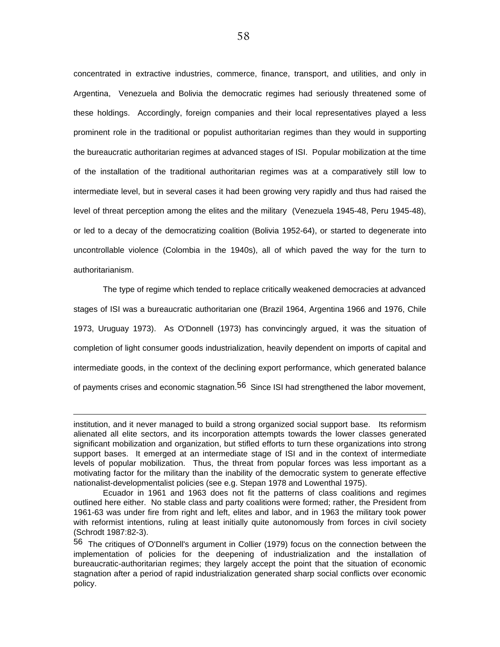concentrated in extractive industries, commerce, finance, transport, and utilities, and only in Argentina, Venezuela and Bolivia the democratic regimes had seriously threatened some of these holdings. Accordingly, foreign companies and their local representatives played a less prominent role in the traditional or populist authoritarian regimes than they would in supporting the bureaucratic authoritarian regimes at advanced stages of ISI. Popular mobilization at the time of the installation of the traditional authoritarian regimes was at a comparatively still low to intermediate level, but in several cases it had been growing very rapidly and thus had raised the level of threat perception among the elites and the military (Venezuela 1945-48, Peru 1945-48), or led to a decay of the democratizing coalition (Bolivia 1952-64), or started to degenerate into uncontrollable violence (Colombia in the 1940s), all of which paved the way for the turn to authoritarianism.

The type of regime which tended to replace critically weakened democracies at advanced stages of ISI was a bureaucratic authoritarian one (Brazil 1964, Argentina 1966 and 1976, Chile 1973, Uruguay 1973). As O'Donnell (1973) has convincingly argued, it was the situation of completion of light consumer goods industrialization, heavily dependent on imports of capital and intermediate goods, in the context of the declining export performance, which generated balance of payments crises and economic stagnation.<sup>56</sup> Since ISI had strengthened the labor movement,

institution, and it never managed to build a strong organized social support base. Its reformism alienated all elite sectors, and its incorporation attempts towards the lower classes generated significant mobilization and organization, but stifled efforts to turn these organizations into strong support bases. It emerged at an intermediate stage of ISI and in the context of intermediate levels of popular mobilization. Thus, the threat from popular forces was less important as a motivating factor for the military than the inability of the democratic system to generate effective nationalist-developmentalist policies (see e.g. Stepan 1978 and Lowenthal 1975).

Ecuador in 1961 and 1963 does not fit the patterns of class coalitions and regimes outlined here either. No stable class and party coalitions were formed; rather, the President from 1961-63 was under fire from right and left, elites and labor, and in 1963 the military took power with reformist intentions, ruling at least initially quite autonomously from forces in civil society (Schrodt 1987:82-3).

<sup>56</sup> The critiques of O'Donnell's argument in Collier (1979) focus on the connection between the implementation of policies for the deepening of industrialization and the installation of bureaucratic-authoritarian regimes; they largely accept the point that the situation of economic stagnation after a period of rapid industrialization generated sharp social conflicts over economic policy.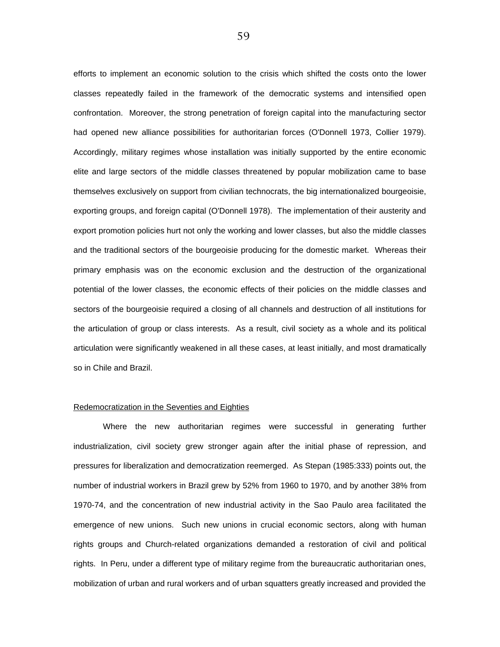efforts to implement an economic solution to the crisis which shifted the costs onto the lower classes repeatedly failed in the framework of the democratic systems and intensified open confrontation. Moreover, the strong penetration of foreign capital into the manufacturing sector had opened new alliance possibilities for authoritarian forces (O'Donnell 1973, Collier 1979). Accordingly, military regimes whose installation was initially supported by the entire economic elite and large sectors of the middle classes threatened by popular mobilization came to base themselves exclusively on support from civilian technocrats, the big internationalized bourgeoisie, exporting groups, and foreign capital (O'Donnell 1978). The implementation of their austerity and export promotion policies hurt not only the working and lower classes, but also the middle classes and the traditional sectors of the bourgeoisie producing for the domestic market. Whereas their primary emphasis was on the economic exclusion and the destruction of the organizational potential of the lower classes, the economic effects of their policies on the middle classes and sectors of the bourgeoisie required a closing of all channels and destruction of all institutions for the articulation of group or class interests. As a result, civil society as a whole and its political articulation were significantly weakened in all these cases, at least initially, and most dramatically so in Chile and Brazil.

#### Redemocratization in the Seventies and Eighties

Where the new authoritarian regimes were successful in generating further industrialization, civil society grew stronger again after the initial phase of repression, and pressures for liberalization and democratization reemerged. As Stepan (1985:333) points out, the number of industrial workers in Brazil grew by 52% from 1960 to 1970, and by another 38% from 1970-74, and the concentration of new industrial activity in the Sao Paulo area facilitated the emergence of new unions. Such new unions in crucial economic sectors, along with human rights groups and Church-related organizations demanded a restoration of civil and political rights. In Peru, under a different type of military regime from the bureaucratic authoritarian ones, mobilization of urban and rural workers and of urban squatters greatly increased and provided the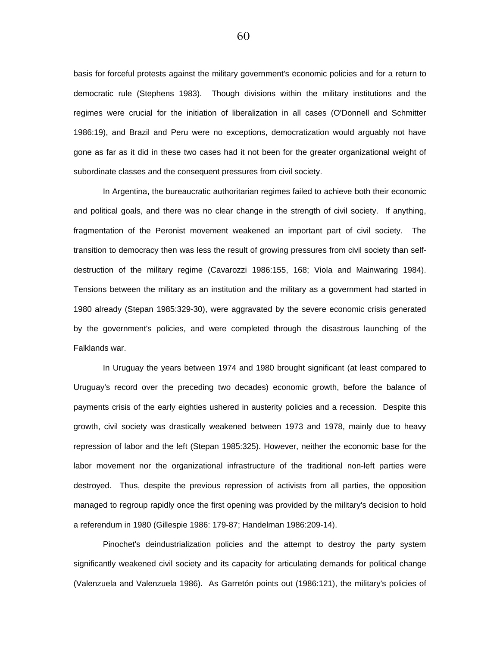basis for forceful protests against the military government's economic policies and for a return to democratic rule (Stephens 1983). Though divisions within the military institutions and the regimes were crucial for the initiation of liberalization in all cases (O'Donnell and Schmitter 1986:19), and Brazil and Peru were no exceptions, democratization would arguably not have gone as far as it did in these two cases had it not been for the greater organizational weight of subordinate classes and the consequent pressures from civil society.

In Argentina, the bureaucratic authoritarian regimes failed to achieve both their economic and political goals, and there was no clear change in the strength of civil society. If anything, fragmentation of the Peronist movement weakened an important part of civil society. The transition to democracy then was less the result of growing pressures from civil society than selfdestruction of the military regime (Cavarozzi 1986:155, 168; Viola and Mainwaring 1984). Tensions between the military as an institution and the military as a government had started in 1980 already (Stepan 1985:329-30), were aggravated by the severe economic crisis generated by the government's policies, and were completed through the disastrous launching of the Falklands war.

In Uruguay the years between 1974 and 1980 brought significant (at least compared to Uruguay's record over the preceding two decades) economic growth, before the balance of payments crisis of the early eighties ushered in austerity policies and a recession. Despite this growth, civil society was drastically weakened between 1973 and 1978, mainly due to heavy repression of labor and the left (Stepan 1985:325). However, neither the economic base for the labor movement nor the organizational infrastructure of the traditional non-left parties were destroyed. Thus, despite the previous repression of activists from all parties, the opposition managed to regroup rapidly once the first opening was provided by the military's decision to hold a referendum in 1980 (Gillespie 1986: 179-87; Handelman 1986:209-14).

Pinochet's deindustrialization policies and the attempt to destroy the party system significantly weakened civil society and its capacity for articulating demands for political change (Valenzuela and Valenzuela 1986). As Garretón points out (1986:121), the military's policies of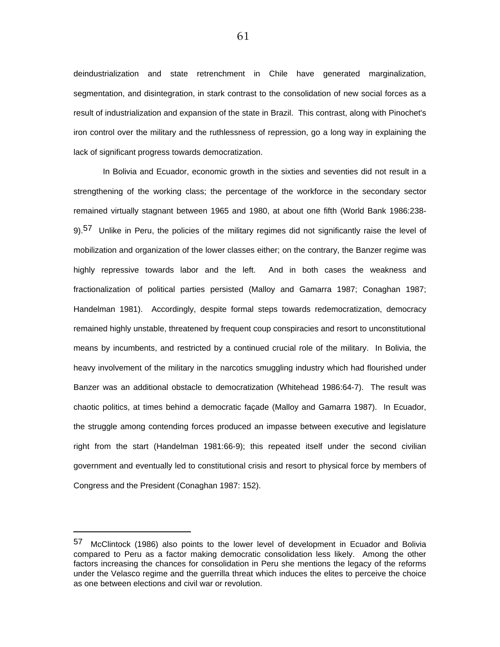deindustrialization and state retrenchment in Chile have generated marginalization, segmentation, and disintegration, in stark contrast to the consolidation of new social forces as a result of industrialization and expansion of the state in Brazil. This contrast, along with Pinochet's iron control over the military and the ruthlessness of repression, go a long way in explaining the lack of significant progress towards democratization.

In Bolivia and Ecuador, economic growth in the sixties and seventies did not result in a strengthening of the working class; the percentage of the workforce in the secondary sector remained virtually stagnant between 1965 and 1980, at about one fifth (World Bank 1986:238- 9).<sup>57</sup> Unlike in Peru, the policies of the military regimes did not significantly raise the level of mobilization and organization of the lower classes either; on the contrary, the Banzer regime was highly repressive towards labor and the left. And in both cases the weakness and fractionalization of political parties persisted (Malloy and Gamarra 1987; Conaghan 1987; Handelman 1981). Accordingly, despite formal steps towards redemocratization, democracy remained highly unstable, threatened by frequent coup conspiracies and resort to unconstitutional means by incumbents, and restricted by a continued crucial role of the military. In Bolivia, the heavy involvement of the military in the narcotics smuggling industry which had flourished under Banzer was an additional obstacle to democratization (Whitehead 1986:64-7). The result was chaotic politics, at times behind a democratic façade (Malloy and Gamarra 1987). In Ecuador, the struggle among contending forces produced an impasse between executive and legislature right from the start (Handelman 1981:66-9); this repeated itself under the second civilian government and eventually led to constitutional crisis and resort to physical force by members of Congress and the President (Conaghan 1987: 152).

<sup>57</sup> McClintock (1986) also points to the lower level of development in Ecuador and Bolivia compared to Peru as a factor making democratic consolidation less likely. Among the other factors increasing the chances for consolidation in Peru she mentions the legacy of the reforms under the Velasco regime and the guerrilla threat which induces the elites to perceive the choice as one between elections and civil war or revolution.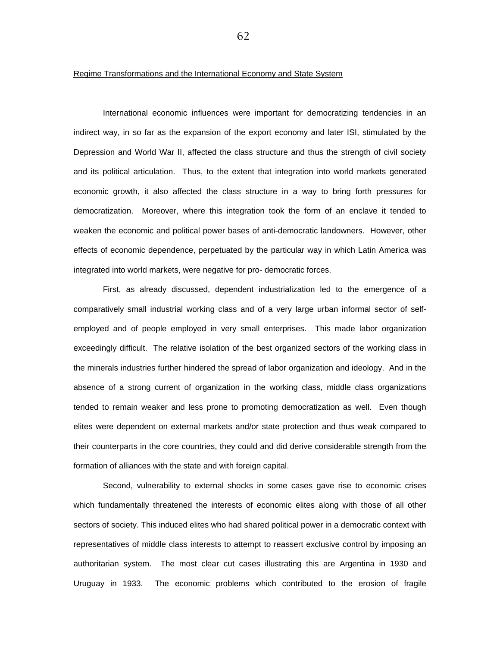Regime Transformations and the International Economy and State System

International economic influences were important for democratizing tendencies in an indirect way, in so far as the expansion of the export economy and later ISI, stimulated by the Depression and World War II, affected the class structure and thus the strength of civil society and its political articulation. Thus, to the extent that integration into world markets generated economic growth, it also affected the class structure in a way to bring forth pressures for democratization. Moreover, where this integration took the form of an enclave it tended to weaken the economic and political power bases of anti-democratic landowners. However, other effects of economic dependence, perpetuated by the particular way in which Latin America was integrated into world markets, were negative for pro- democratic forces.

First, as already discussed, dependent industrialization led to the emergence of a comparatively small industrial working class and of a very large urban informal sector of selfemployed and of people employed in very small enterprises. This made labor organization exceedingly difficult. The relative isolation of the best organized sectors of the working class in the minerals industries further hindered the spread of labor organization and ideology. And in the absence of a strong current of organization in the working class, middle class organizations tended to remain weaker and less prone to promoting democratization as well. Even though elites were dependent on external markets and/or state protection and thus weak compared to their counterparts in the core countries, they could and did derive considerable strength from the formation of alliances with the state and with foreign capital.

Second, vulnerability to external shocks in some cases gave rise to economic crises which fundamentally threatened the interests of economic elites along with those of all other sectors of society. This induced elites who had shared political power in a democratic context with representatives of middle class interests to attempt to reassert exclusive control by imposing an authoritarian system. The most clear cut cases illustrating this are Argentina in 1930 and Uruguay in 1933. The economic problems which contributed to the erosion of fragile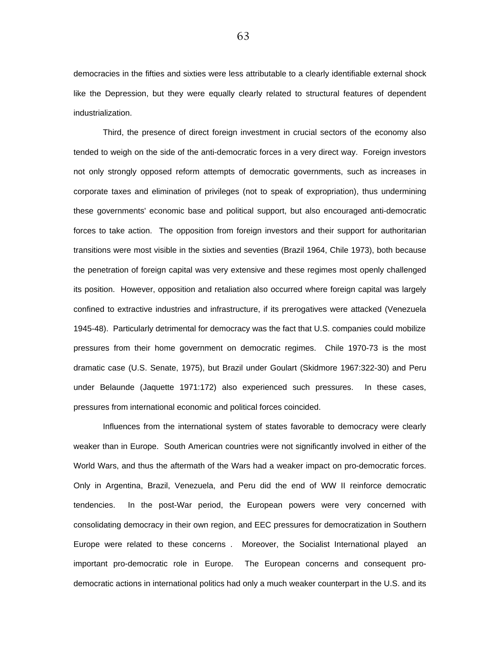democracies in the fifties and sixties were less attributable to a clearly identifiable external shock like the Depression, but they were equally clearly related to structural features of dependent industrialization.

Third, the presence of direct foreign investment in crucial sectors of the economy also tended to weigh on the side of the anti-democratic forces in a very direct way. Foreign investors not only strongly opposed reform attempts of democratic governments, such as increases in corporate taxes and elimination of privileges (not to speak of expropriation), thus undermining these governments' economic base and political support, but also encouraged anti-democratic forces to take action. The opposition from foreign investors and their support for authoritarian transitions were most visible in the sixties and seventies (Brazil 1964, Chile 1973), both because the penetration of foreign capital was very extensive and these regimes most openly challenged its position. However, opposition and retaliation also occurred where foreign capital was largely confined to extractive industries and infrastructure, if its prerogatives were attacked (Venezuela 1945-48). Particularly detrimental for democracy was the fact that U.S. companies could mobilize pressures from their home government on democratic regimes. Chile 1970-73 is the most dramatic case (U.S. Senate, 1975), but Brazil under Goulart (Skidmore 1967:322-30) and Peru under Belaunde (Jaquette 1971:172) also experienced such pressures. In these cases, pressures from international economic and political forces coincided.

Influences from the international system of states favorable to democracy were clearly weaker than in Europe. South American countries were not significantly involved in either of the World Wars, and thus the aftermath of the Wars had a weaker impact on pro-democratic forces. Only in Argentina, Brazil, Venezuela, and Peru did the end of WW II reinforce democratic tendencies. In the post-War period, the European powers were very concerned with consolidating democracy in their own region, and EEC pressures for democratization in Southern Europe were related to these concerns . Moreover, the Socialist International played an important pro-democratic role in Europe. The European concerns and consequent prodemocratic actions in international politics had only a much weaker counterpart in the U.S. and its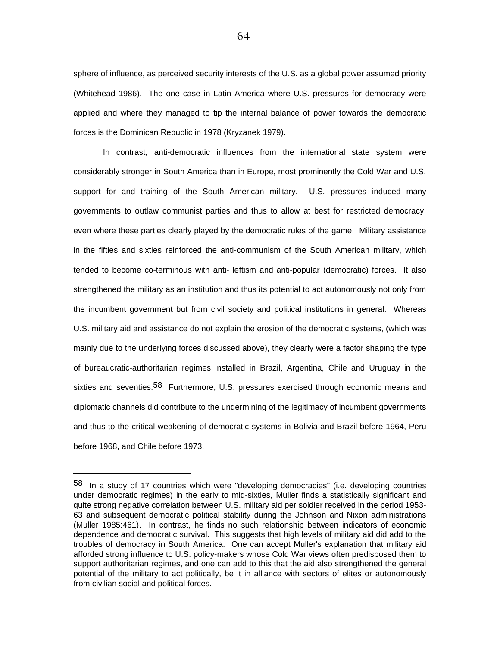sphere of influence, as perceived security interests of the U.S. as a global power assumed priority (Whitehead 1986). The one case in Latin America where U.S. pressures for democracy were applied and where they managed to tip the internal balance of power towards the democratic forces is the Dominican Republic in 1978 (Kryzanek 1979).

In contrast, anti-democratic influences from the international state system were considerably stronger in South America than in Europe, most prominently the Cold War and U.S. support for and training of the South American military. U.S. pressures induced many governments to outlaw communist parties and thus to allow at best for restricted democracy, even where these parties clearly played by the democratic rules of the game. Military assistance in the fifties and sixties reinforced the anti-communism of the South American military, which tended to become co-terminous with anti- leftism and anti-popular (democratic) forces. It also strengthened the military as an institution and thus its potential to act autonomously not only from the incumbent government but from civil society and political institutions in general. Whereas U.S. military aid and assistance do not explain the erosion of the democratic systems, (which was mainly due to the underlying forces discussed above), they clearly were a factor shaping the type of bureaucratic-authoritarian regimes installed in Brazil, Argentina, Chile and Uruguay in the sixties and seventies.<sup>58</sup> Furthermore, U.S. pressures exercised through economic means and diplomatic channels did contribute to the undermining of the legitimacy of incumbent governments and thus to the critical weakening of democratic systems in Bolivia and Brazil before 1964, Peru before 1968, and Chile before 1973.

<sup>58</sup> In a study of 17 countries which were "developing democracies" (i.e. developing countries under democratic regimes) in the early to mid-sixties, Muller finds a statistically significant and quite strong negative correlation between U.S. military aid per soldier received in the period 1953- 63 and subsequent democratic political stability during the Johnson and Nixon administrations (Muller 1985:461). In contrast, he finds no such relationship between indicators of economic dependence and democratic survival. This suggests that high levels of military aid did add to the troubles of democracy in South America. One can accept Muller's explanation that military aid afforded strong influence to U.S. policy-makers whose Cold War views often predisposed them to support authoritarian regimes, and one can add to this that the aid also strengthened the general potential of the military to act politically, be it in alliance with sectors of elites or autonomously from civilian social and political forces.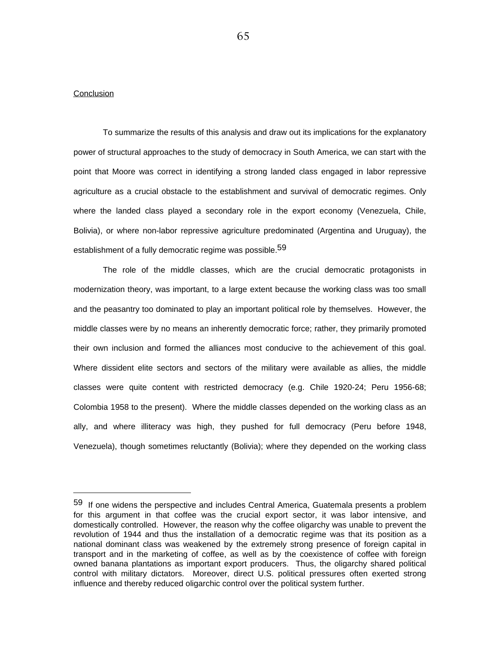# **Conclusion**

 $\overline{a}$ 

To summarize the results of this analysis and draw out its implications for the explanatory power of structural approaches to the study of democracy in South America, we can start with the point that Moore was correct in identifying a strong landed class engaged in labor repressive agriculture as a crucial obstacle to the establishment and survival of democratic regimes. Only where the landed class played a secondary role in the export economy (Venezuela, Chile, Bolivia), or where non-labor repressive agriculture predominated (Argentina and Uruguay), the establishment of a fully democratic regime was possible.<sup>59</sup>

The role of the middle classes, which are the crucial democratic protagonists in modernization theory, was important, to a large extent because the working class was too small and the peasantry too dominated to play an important political role by themselves. However, the middle classes were by no means an inherently democratic force; rather, they primarily promoted their own inclusion and formed the alliances most conducive to the achievement of this goal. Where dissident elite sectors and sectors of the military were available as allies, the middle classes were quite content with restricted democracy (e.g. Chile 1920-24; Peru 1956-68; Colombia 1958 to the present). Where the middle classes depended on the working class as an ally, and where illiteracy was high, they pushed for full democracy (Peru before 1948, Venezuela), though sometimes reluctantly (Bolivia); where they depended on the working class

<sup>59</sup> If one widens the perspective and includes Central America, Guatemala presents a problem for this argument in that coffee was the crucial export sector, it was labor intensive, and domestically controlled. However, the reason why the coffee oligarchy was unable to prevent the revolution of 1944 and thus the installation of a democratic regime was that its position as a national dominant class was weakened by the extremely strong presence of foreign capital in transport and in the marketing of coffee, as well as by the coexistence of coffee with foreign owned banana plantations as important export producers. Thus, the oligarchy shared political control with military dictators. Moreover, direct U.S. political pressures often exerted strong influence and thereby reduced oligarchic control over the political system further.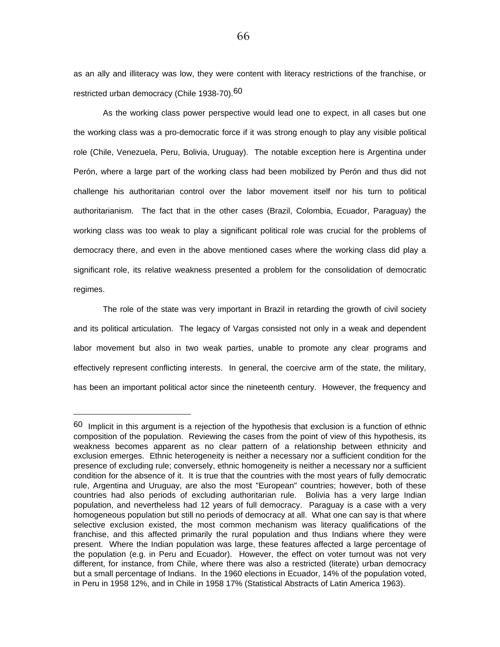as an ally and illiteracy was low, they were content with literacy restrictions of the franchise, or restricted urban democracy (Chile 1938-70).<sup>60</sup>

As the working class power perspective would lead one to expect, in all cases but one the working class was a pro-democratic force if it was strong enough to play any visible political role (Chile, Venezuela, Peru, Bolivia, Uruguay). The notable exception here is Argentina under Perón, where a large part of the working class had been mobilized by Perón and thus did not challenge his authoritarian control over the labor movement itself nor his turn to political authoritarianism. The fact that in the other cases (Brazil, Colombia, Ecuador, Paraguay) the working class was too weak to play a significant political role was crucial for the problems of democracy there, and even in the above mentioned cases where the working class did play a significant role, its relative weakness presented a problem for the consolidation of democratic regimes.

The role of the state was very important in Brazil in retarding the growth of civil society and its political articulation. The legacy of Vargas consisted not only in a weak and dependent labor movement but also in two weak parties, unable to promote any clear programs and effectively represent conflicting interests. In general, the coercive arm of the state, the military, has been an important political actor since the nineteenth century. However, the frequency and

 $60$  Implicit in this argument is a rejection of the hypothesis that exclusion is a function of ethnic composition of the population. Reviewing the cases from the point of view of this hypothesis, its weakness becomes apparent as no clear pattern of a relationship between ethnicity and exclusion emerges. Ethnic heterogeneity is neither a necessary nor a sufficient condition for the presence of excluding rule; conversely, ethnic homogeneity is neither a necessary nor a sufficient condition for the absence of it. It is true that the countries with the most years of fully democratic rule, Argentina and Uruguay, are also the most "European" countries; however, both of these countries had also periods of excluding authoritarian rule. Bolivia has a very large Indian population, and nevertheless had 12 years of full democracy. Paraguay is a case with a very homogeneous population but still no periods of democracy at all. What one can say is that where selective exclusion existed, the most common mechanism was literacy qualifications of the franchise, and this affected primarily the rural population and thus Indians where they were present. Where the Indian population was large, these features affected a large percentage of the population (e.g. in Peru and Ecuador). However, the effect on voter turnout was not very different, for instance, from Chile, where there was also a restricted (literate) urban democracy but a small percentage of Indians. In the 1960 elections in Ecuador, 14% of the population voted, in Peru in 1958 12%, and in Chile in 1958 17% (Statistical Abstracts of Latin America 1963).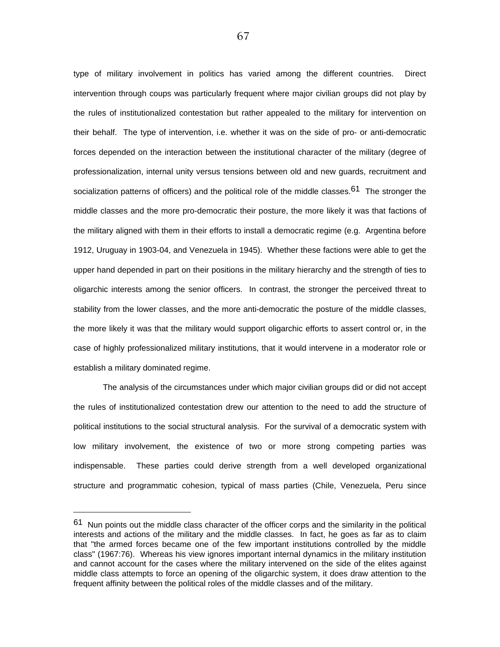type of military involvement in politics has varied among the different countries. Direct intervention through coups was particularly frequent where major civilian groups did not play by the rules of institutionalized contestation but rather appealed to the military for intervention on their behalf. The type of intervention, i.e. whether it was on the side of pro- or anti-democratic forces depended on the interaction between the institutional character of the military (degree of professionalization, internal unity versus tensions between old and new guards, recruitment and socialization patterns of officers) and the political role of the middle classes.<sup>61</sup> The stronger the middle classes and the more pro-democratic their posture, the more likely it was that factions of the military aligned with them in their efforts to install a democratic regime (e.g. Argentina before 1912, Uruguay in 1903-04, and Venezuela in 1945). Whether these factions were able to get the upper hand depended in part on their positions in the military hierarchy and the strength of ties to oligarchic interests among the senior officers. In contrast, the stronger the perceived threat to stability from the lower classes, and the more anti-democratic the posture of the middle classes, the more likely it was that the military would support oligarchic efforts to assert control or, in the case of highly professionalized military institutions, that it would intervene in a moderator role or establish a military dominated regime.

The analysis of the circumstances under which major civilian groups did or did not accept the rules of institutionalized contestation drew our attention to the need to add the structure of political institutions to the social structural analysis. For the survival of a democratic system with low military involvement, the existence of two or more strong competing parties was indispensable. These parties could derive strength from a well developed organizational structure and programmatic cohesion, typical of mass parties (Chile, Venezuela, Peru since

<sup>&</sup>lt;sup>61</sup> Nun points out the middle class character of the officer corps and the similarity in the political interests and actions of the military and the middle classes. In fact, he goes as far as to claim that "the armed forces became one of the few important institutions controlled by the middle class" (1967:76). Whereas his view ignores important internal dynamics in the military institution and cannot account for the cases where the military intervened on the side of the elites against middle class attempts to force an opening of the oligarchic system, it does draw attention to the frequent affinity between the political roles of the middle classes and of the military.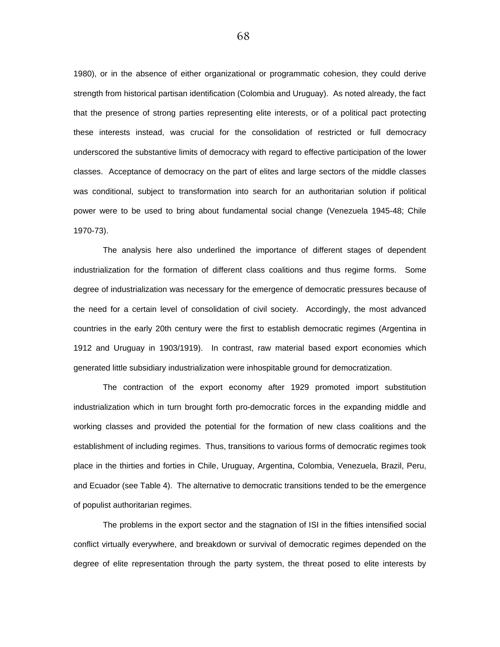1980), or in the absence of either organizational or programmatic cohesion, they could derive strength from historical partisan identification (Colombia and Uruguay). As noted already, the fact that the presence of strong parties representing elite interests, or of a political pact protecting these interests instead, was crucial for the consolidation of restricted or full democracy underscored the substantive limits of democracy with regard to effective participation of the lower classes. Acceptance of democracy on the part of elites and large sectors of the middle classes was conditional, subject to transformation into search for an authoritarian solution if political power were to be used to bring about fundamental social change (Venezuela 1945-48; Chile 1970-73).

The analysis here also underlined the importance of different stages of dependent industrialization for the formation of different class coalitions and thus regime forms. Some degree of industrialization was necessary for the emergence of democratic pressures because of the need for a certain level of consolidation of civil society. Accordingly, the most advanced countries in the early 20th century were the first to establish democratic regimes (Argentina in 1912 and Uruguay in 1903/1919). In contrast, raw material based export economies which generated little subsidiary industrialization were inhospitable ground for democratization.

The contraction of the export economy after 1929 promoted import substitution industrialization which in turn brought forth pro-democratic forces in the expanding middle and working classes and provided the potential for the formation of new class coalitions and the establishment of including regimes. Thus, transitions to various forms of democratic regimes took place in the thirties and forties in Chile, Uruguay, Argentina, Colombia, Venezuela, Brazil, Peru, and Ecuador (see Table 4). The alternative to democratic transitions tended to be the emergence of populist authoritarian regimes.

The problems in the export sector and the stagnation of ISI in the fifties intensified social conflict virtually everywhere, and breakdown or survival of democratic regimes depended on the degree of elite representation through the party system, the threat posed to elite interests by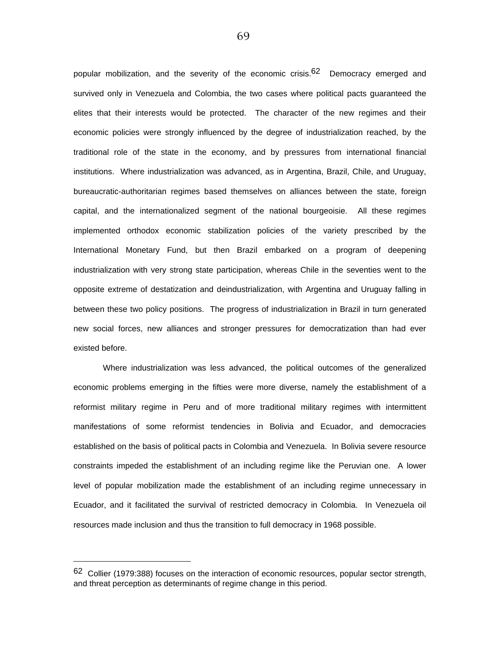popular mobilization, and the severity of the economic crisis.<sup>62</sup> Democracy emerged and survived only in Venezuela and Colombia, the two cases where political pacts guaranteed the elites that their interests would be protected. The character of the new regimes and their economic policies were strongly influenced by the degree of industrialization reached, by the traditional role of the state in the economy, and by pressures from international financial institutions. Where industrialization was advanced, as in Argentina, Brazil, Chile, and Uruguay, bureaucratic-authoritarian regimes based themselves on alliances between the state, foreign capital, and the internationalized segment of the national bourgeoisie. All these regimes implemented orthodox economic stabilization policies of the variety prescribed by the International Monetary Fund, but then Brazil embarked on a program of deepening industrialization with very strong state participation, whereas Chile in the seventies went to the opposite extreme of destatization and deindustrialization, with Argentina and Uruguay falling in between these two policy positions. The progress of industrialization in Brazil in turn generated new social forces, new alliances and stronger pressures for democratization than had ever existed before.

Where industrialization was less advanced, the political outcomes of the generalized economic problems emerging in the fifties were more diverse, namely the establishment of a reformist military regime in Peru and of more traditional military regimes with intermittent manifestations of some reformist tendencies in Bolivia and Ecuador, and democracies established on the basis of political pacts in Colombia and Venezuela. In Bolivia severe resource constraints impeded the establishment of an including regime like the Peruvian one. A lower level of popular mobilization made the establishment of an including regime unnecessary in Ecuador, and it facilitated the survival of restricted democracy in Colombia. In Venezuela oil resources made inclusion and thus the transition to full democracy in 1968 possible.

<sup>62</sup> Collier (1979:388) focuses on the interaction of economic resources, popular sector strength, and threat perception as determinants of regime change in this period.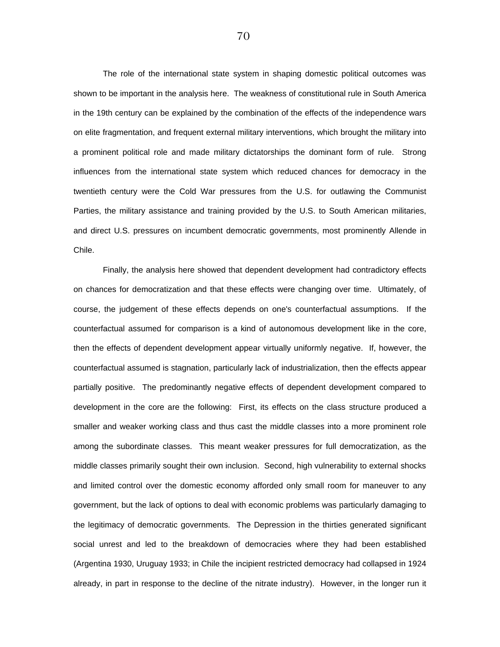The role of the international state system in shaping domestic political outcomes was shown to be important in the analysis here. The weakness of constitutional rule in South America in the 19th century can be explained by the combination of the effects of the independence wars on elite fragmentation, and frequent external military interventions, which brought the military into a prominent political role and made military dictatorships the dominant form of rule. Strong influences from the international state system which reduced chances for democracy in the twentieth century were the Cold War pressures from the U.S. for outlawing the Communist Parties, the military assistance and training provided by the U.S. to South American militaries, and direct U.S. pressures on incumbent democratic governments, most prominently Allende in Chile.

Finally, the analysis here showed that dependent development had contradictory effects on chances for democratization and that these effects were changing over time. Ultimately, of course, the judgement of these effects depends on one's counterfactual assumptions. If the counterfactual assumed for comparison is a kind of autonomous development like in the core, then the effects of dependent development appear virtually uniformly negative. If, however, the counterfactual assumed is stagnation, particularly lack of industrialization, then the effects appear partially positive. The predominantly negative effects of dependent development compared to development in the core are the following: First, its effects on the class structure produced a smaller and weaker working class and thus cast the middle classes into a more prominent role among the subordinate classes. This meant weaker pressures for full democratization, as the middle classes primarily sought their own inclusion. Second, high vulnerability to external shocks and limited control over the domestic economy afforded only small room for maneuver to any government, but the lack of options to deal with economic problems was particularly damaging to the legitimacy of democratic governments. The Depression in the thirties generated significant social unrest and led to the breakdown of democracies where they had been established (Argentina 1930, Uruguay 1933; in Chile the incipient restricted democracy had collapsed in 1924 already, in part in response to the decline of the nitrate industry). However, in the longer run it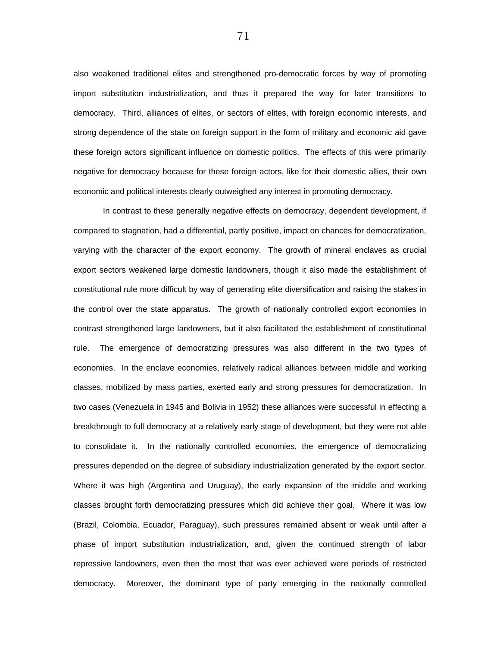also weakened traditional elites and strengthened pro-democratic forces by way of promoting import substitution industrialization, and thus it prepared the way for later transitions to democracy. Third, alliances of elites, or sectors of elites, with foreign economic interests, and strong dependence of the state on foreign support in the form of military and economic aid gave these foreign actors significant influence on domestic politics. The effects of this were primarily negative for democracy because for these foreign actors, like for their domestic allies, their own economic and political interests clearly outweighed any interest in promoting democracy.

In contrast to these generally negative effects on democracy, dependent development, if compared to stagnation, had a differential, partly positive, impact on chances for democratization, varying with the character of the export economy. The growth of mineral enclaves as crucial export sectors weakened large domestic landowners, though it also made the establishment of constitutional rule more difficult by way of generating elite diversification and raising the stakes in the control over the state apparatus. The growth of nationally controlled export economies in contrast strengthened large landowners, but it also facilitated the establishment of constitutional rule. The emergence of democratizing pressures was also different in the two types of economies. In the enclave economies, relatively radical alliances between middle and working classes, mobilized by mass parties, exerted early and strong pressures for democratization. In two cases (Venezuela in 1945 and Bolivia in 1952) these alliances were successful in effecting a breakthrough to full democracy at a relatively early stage of development, but they were not able to consolidate it. In the nationally controlled economies, the emergence of democratizing pressures depended on the degree of subsidiary industrialization generated by the export sector. Where it was high (Argentina and Uruguay), the early expansion of the middle and working classes brought forth democratizing pressures which did achieve their goal. Where it was low (Brazil, Colombia, Ecuador, Paraguay), such pressures remained absent or weak until after a phase of import substitution industrialization, and, given the continued strength of labor repressive landowners, even then the most that was ever achieved were periods of restricted democracy. Moreover, the dominant type of party emerging in the nationally controlled

71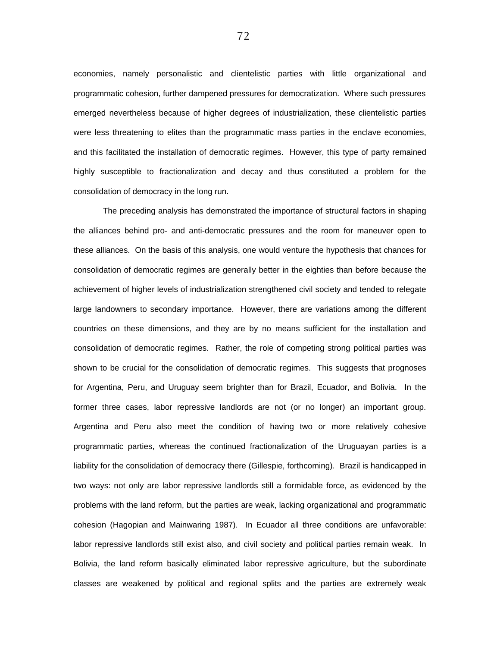economies, namely personalistic and clientelistic parties with little organizational and programmatic cohesion, further dampened pressures for democratization. Where such pressures emerged nevertheless because of higher degrees of industrialization, these clientelistic parties were less threatening to elites than the programmatic mass parties in the enclave economies, and this facilitated the installation of democratic regimes. However, this type of party remained highly susceptible to fractionalization and decay and thus constituted a problem for the consolidation of democracy in the long run.

The preceding analysis has demonstrated the importance of structural factors in shaping the alliances behind pro- and anti-democratic pressures and the room for maneuver open to these alliances. On the basis of this analysis, one would venture the hypothesis that chances for consolidation of democratic regimes are generally better in the eighties than before because the achievement of higher levels of industrialization strengthened civil society and tended to relegate large landowners to secondary importance. However, there are variations among the different countries on these dimensions, and they are by no means sufficient for the installation and consolidation of democratic regimes. Rather, the role of competing strong political parties was shown to be crucial for the consolidation of democratic regimes. This suggests that prognoses for Argentina, Peru, and Uruguay seem brighter than for Brazil, Ecuador, and Bolivia. In the former three cases, labor repressive landlords are not (or no longer) an important group. Argentina and Peru also meet the condition of having two or more relatively cohesive programmatic parties, whereas the continued fractionalization of the Uruguayan parties is a liability for the consolidation of democracy there (Gillespie, forthcoming). Brazil is handicapped in two ways: not only are labor repressive landlords still a formidable force, as evidenced by the problems with the land reform, but the parties are weak, lacking organizational and programmatic cohesion (Hagopian and Mainwaring 1987). In Ecuador all three conditions are unfavorable: labor repressive landlords still exist also, and civil society and political parties remain weak. In Bolivia, the land reform basically eliminated labor repressive agriculture, but the subordinate classes are weakened by political and regional splits and the parties are extremely weak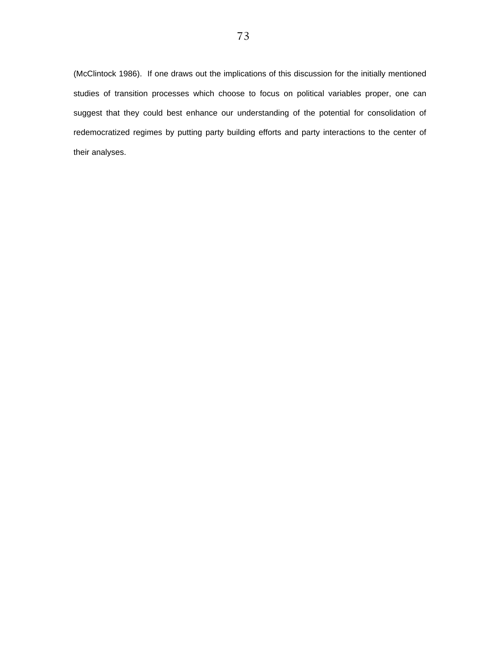(McClintock 1986). If one draws out the implications of this discussion for the initially mentioned studies of transition processes which choose to focus on political variables proper, one can suggest that they could best enhance our understanding of the potential for consolidation of redemocratized regimes by putting party building efforts and party interactions to the center of their analyses.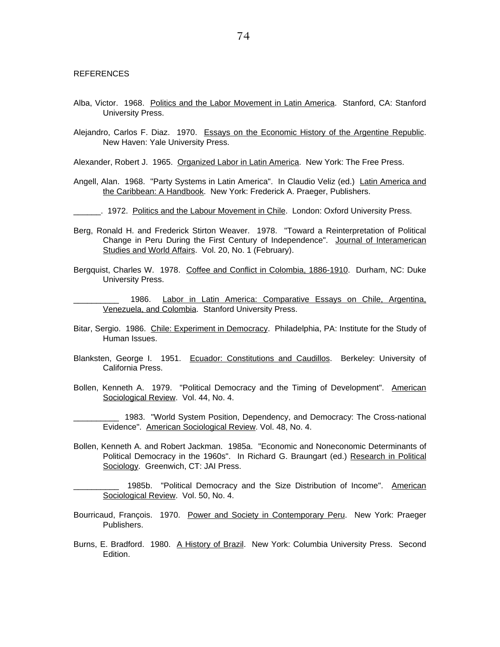- Alba, Victor. 1968. Politics and the Labor Movement in Latin America. Stanford, CA: Stanford University Press.
- Alejandro, Carlos F. Diaz. 1970. Essays on the Economic History of the Argentine Republic. New Haven: Yale University Press.

Alexander, Robert J. 1965. Organized Labor in Latin America. New York: The Free Press.

- Angell, Alan. 1968. "Party Systems in Latin America". In Claudio Veliz (ed.) Latin America and the Caribbean: A Handbook. New York: Frederick A. Praeger, Publishers.
- \_\_\_\_\_\_. 1972. Politics and the Labour Movement in Chile. London: Oxford University Press.
- Berg, Ronald H. and Frederick Stirton Weaver. 1978. "Toward a Reinterpretation of Political Change in Peru During the First Century of Independence". Journal of Interamerican Studies and World Affairs. Vol. 20, No. 1 (February).
- Bergquist, Charles W. 1978. Coffee and Conflict in Colombia, 1886-1910. Durham, NC: Duke University Press.
- 1986. Labor in Latin America: Comparative Essays on Chile, Argentina, Venezuela, and Colombia. Stanford University Press.
- Bitar, Sergio. 1986. Chile: Experiment in Democracy. Philadelphia, PA: Institute for the Study of Human Issues.
- Blanksten, George I. 1951. Ecuador: Constitutions and Caudillos. Berkeley: University of California Press.
- Bollen, Kenneth A. 1979. "Political Democracy and the Timing of Development". American Sociological Review. Vol. 44, No. 4.
	- 1983. "World System Position, Dependency, and Democracy: The Cross-national Evidence". American Sociological Review. Vol. 48, No. 4.
- Bollen, Kenneth A. and Robert Jackman. 1985a. "Economic and Noneconomic Determinants of Political Democracy in the 1960s". In Richard G. Braungart (ed.) Research in Political Sociology. Greenwich, CT: JAI Press.
- 1985b. "Political Democracy and the Size Distribution of Income". American Sociological Review. Vol. 50, No. 4.
- Bourricaud, François. 1970. Power and Society in Contemporary Peru. New York: Praeger Publishers.
- Burns, E. Bradford. 1980. A History of Brazil. New York: Columbia University Press. Second Edition.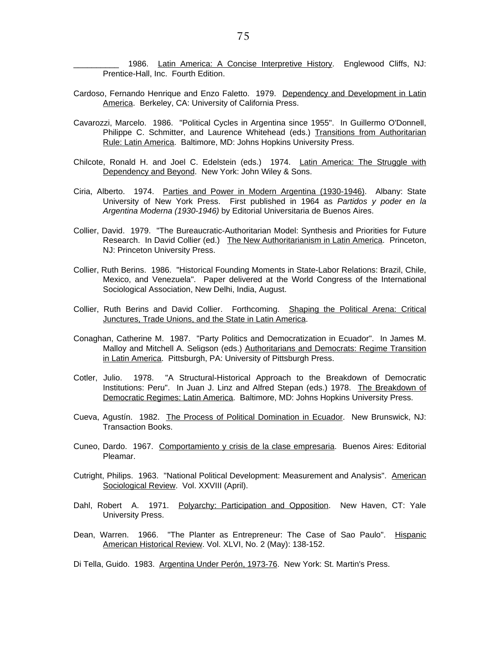1986. Latin America: A Concise Interpretive History. Englewood Cliffs, NJ: Prentice-Hall, Inc. Fourth Edition.

- Cardoso, Fernando Henrique and Enzo Faletto. 1979. Dependency and Development in Latin America. Berkeley, CA: University of California Press.
- Cavarozzi, Marcelo. 1986. "Political Cycles in Argentina since 1955". In Guillermo O'Donnell, Philippe C. Schmitter, and Laurence Whitehead (eds.) Transitions from Authoritarian Rule: Latin America. Baltimore, MD: Johns Hopkins University Press.
- Chilcote, Ronald H. and Joel C. Edelstein (eds.) 1974. Latin America: The Struggle with Dependency and Beyond. New York: John Wiley & Sons.
- Ciria, Alberto. 1974. Parties and Power in Modern Argentina (1930-1946). Albany: State University of New York Press. First published in 1964 as *Partidos y poder en la Argentina Moderna (1930-1946)* by Editorial Universitaria de Buenos Aires.
- Collier, David. 1979. "The Bureaucratic-Authoritarian Model: Synthesis and Priorities for Future Research. In David Collier (ed.) The New Authoritarianism in Latin America. Princeton, NJ: Princeton University Press.
- Collier, Ruth Berins. 1986. "Historical Founding Moments in State-Labor Relations: Brazil, Chile, Mexico, and Venezuela". Paper delivered at the World Congress of the International Sociological Association, New Delhi, India, August.
- Collier, Ruth Berins and David Collier. Forthcoming. Shaping the Political Arena: Critical Junctures, Trade Unions, and the State in Latin America.
- Conaghan, Catherine M. 1987. "Party Politics and Democratization in Ecuador". In James M. Malloy and Mitchell A. Seligson (eds.) Authoritarians and Democrats: Regime Transition in Latin America. Pittsburgh, PA: University of Pittsburgh Press.
- Cotler, Julio. 1978. "A Structural-Historical Approach to the Breakdown of Democratic Institutions: Peru". In Juan J. Linz and Alfred Stepan (eds.) 1978. The Breakdown of Democratic Regimes: Latin America. Baltimore, MD: Johns Hopkins University Press.
- Cueva, Agustín. 1982. The Process of Political Domination in Ecuador. New Brunswick, NJ: Transaction Books.
- Cuneo, Dardo. 1967. Comportamiento y crisis de la clase empresaria. Buenos Aires: Editorial Pleamar.
- Cutright, Philips. 1963. "National Political Development: Measurement and Analysis". American Sociological Review. Vol. XXVIII (April).
- Dahl, Robert A. 1971. Polyarchy: Participation and Opposition. New Haven, CT: Yale University Press.
- Dean, Warren. 1966. "The Planter as Entrepreneur: The Case of Sao Paulo". Hispanic American Historical Review. Vol. XLVI, No. 2 (May): 138-152.

Di Tella, Guido. 1983. Argentina Under Perón, 1973-76. New York: St. Martin's Press.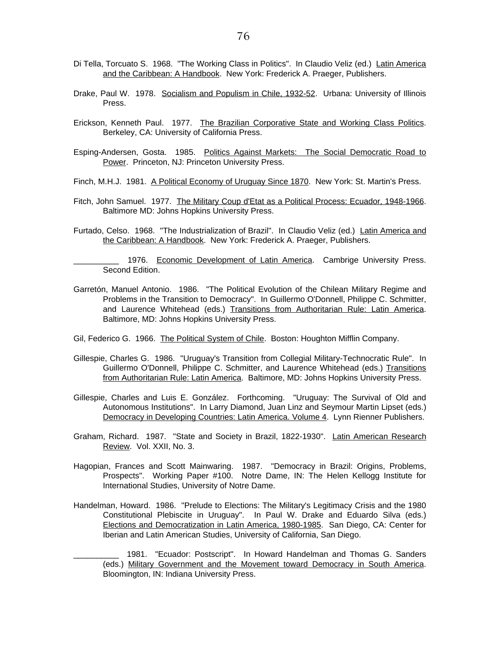- Di Tella, Torcuato S. 1968. "The Working Class in Politics". In Claudio Veliz (ed.) Latin America and the Caribbean: A Handbook. New York: Frederick A. Praeger, Publishers.
- Drake, Paul W. 1978. Socialism and Populism in Chile, 1932-52. Urbana: University of Illinois Press.
- Erickson, Kenneth Paul. 1977. The Brazilian Corporative State and Working Class Politics. Berkeley, CA: University of California Press.
- Esping-Andersen, Gosta. 1985. Politics Against Markets: The Social Democratic Road to Power. Princeton, NJ: Princeton University Press.
- Finch, M.H.J. 1981. A Political Economy of Uruguay Since 1870. New York: St. Martin's Press.
- Fitch, John Samuel. 1977. The Military Coup d'Etat as a Political Process: Ecuador, 1948-1966. Baltimore MD: Johns Hopkins University Press.
- Furtado, Celso. 1968. "The Industrialization of Brazil". In Claudio Veliz (ed.) Latin America and the Caribbean: A Handbook. New York: Frederick A. Praeger, Publishers.

1976. Economic Development of Latin America. Cambrige University Press. Second Edition.

Garretón, Manuel Antonio. 1986. "The Political Evolution of the Chilean Military Regime and Problems in the Transition to Democracy". In Guillermo O'Donnell, Philippe C. Schmitter, and Laurence Whitehead (eds.) Transitions from Authoritarian Rule: Latin America. Baltimore, MD: Johns Hopkins University Press.

Gil, Federico G. 1966. The Political System of Chile. Boston: Houghton Mifflin Company.

- Gillespie, Charles G. 1986. "Uruguay's Transition from Collegial Military-Technocratic Rule". In Guillermo O'Donnell, Philippe C. Schmitter, and Laurence Whitehead (eds.) Transitions from Authoritarian Rule: Latin America. Baltimore, MD: Johns Hopkins University Press.
- Gillespie, Charles and Luis E. González. Forthcoming. "Uruguay: The Survival of Old and Autonomous Institutions". In Larry Diamond, Juan Linz and Seymour Martin Lipset (eds.) Democracy in Developing Countries: Latin America. Volume 4. Lynn Rienner Publishers.
- Graham, Richard. 1987. "State and Society in Brazil, 1822-1930". Latin American Research Review. Vol. XXII, No. 3.
- Hagopian, Frances and Scott Mainwaring. 1987. "Democracy in Brazil: Origins, Problems, Prospects". Working Paper #100. Notre Dame, IN: The Helen Kellogg Institute for International Studies, University of Notre Dame.
- Handelman, Howard. 1986. "Prelude to Elections: The Military's Legitimacy Crisis and the 1980 Constitutional Plebiscite in Uruguay". In Paul W. Drake and Eduardo Silva (eds.) Elections and Democratization in Latin America, 1980-1985. San Diego, CA: Center for Iberian and Latin American Studies, University of California, San Diego.

1981. "Ecuador: Postscript". In Howard Handelman and Thomas G. Sanders (eds.) Military Government and the Movement toward Democracy in South America. Bloomington, IN: Indiana University Press.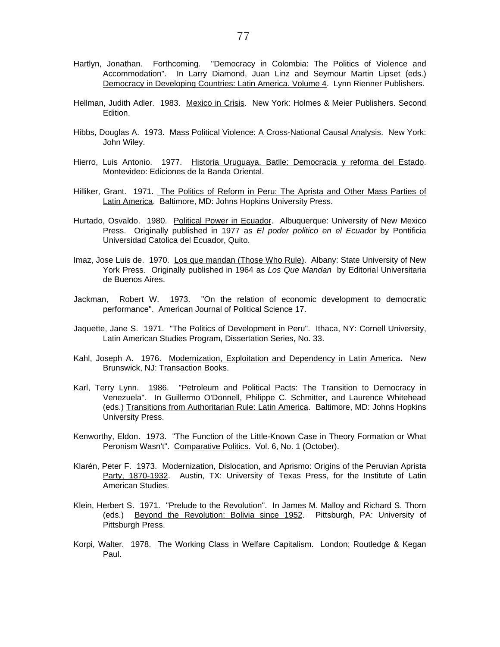- Hartlyn, Jonathan. Forthcoming. "Democracy in Colombia: The Politics of Violence and Accommodation". In Larry Diamond, Juan Linz and Seymour Martin Lipset (eds.) Democracy in Developing Countries: Latin America. Volume 4. Lynn Rienner Publishers.
- Hellman, Judith Adler. 1983. Mexico in Crisis. New York: Holmes & Meier Publishers. Second Edition.
- Hibbs, Douglas A. 1973. Mass Political Violence: A Cross-National Causal Analysis. New York: John Wiley.
- Hierro, Luis Antonio. 1977. Historia Uruguaya. Batlle: Democracia y reforma del Estado. Montevideo: Ediciones de la Banda Oriental.
- Hilliker, Grant. 1971. The Politics of Reform in Peru: The Aprista and Other Mass Parties of Latin America. Baltimore, MD: Johns Hopkins University Press.
- Hurtado, Osvaldo. 1980. Political Power in Ecuador. Albuquerque: University of New Mexico Press. Originally published in 1977 as *El poder politico en el Ecuador* by Pontificia Universidad Catolica del Ecuador, Quito.
- Imaz, Jose Luis de. 1970. Los que mandan (Those Who Rule). Albany: State University of New York Press. Originally published in 1964 as *Los Que Mandan* by Editorial Universitaria de Buenos Aires.
- Jackman, Robert W. 1973. "On the relation of economic development to democratic performance". American Journal of Political Science 17.
- Jaquette, Jane S. 1971. "The Politics of Development in Peru". Ithaca, NY: Cornell University, Latin American Studies Program, Dissertation Series, No. 33.
- Kahl, Joseph A. 1976. Modernization, Exploitation and Dependency in Latin America. New Brunswick, NJ: Transaction Books.
- Karl, Terry Lynn. 1986. "Petroleum and Political Pacts: The Transition to Democracy in Venezuela". In Guillermo O'Donnell, Philippe C. Schmitter, and Laurence Whitehead (eds.) Transitions from Authoritarian Rule: Latin America. Baltimore, MD: Johns Hopkins University Press.
- Kenworthy, Eldon. 1973. "The Function of the Little-Known Case in Theory Formation or What Peronism Wasn't". Comparative Politics. Vol. 6, No. 1 (October).
- Klarén, Peter F. 1973. Modernization, Dislocation, and Aprismo: Origins of the Peruvian Aprista Party, 1870-1932. Austin, TX: University of Texas Press, for the Institute of Latin American Studies.
- Klein, Herbert S. 1971. "Prelude to the Revolution". In James M. Malloy and Richard S. Thorn (eds.) Beyond the Revolution: Bolivia since 1952. Pittsburgh, PA: University of Pittsburgh Press.
- Korpi, Walter. 1978. The Working Class in Welfare Capitalism. London: Routledge & Kegan Paul.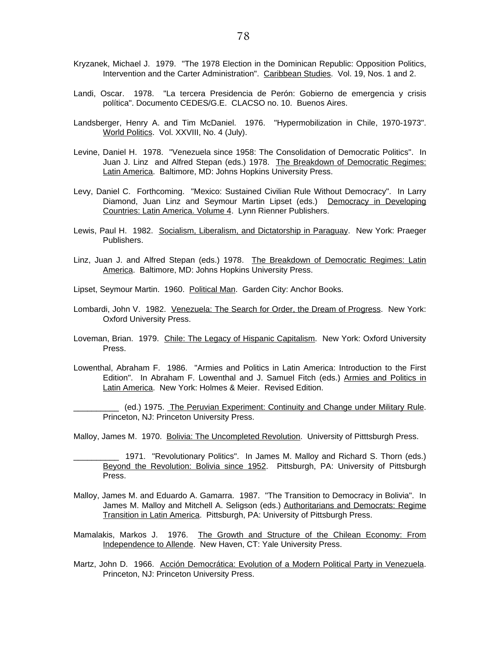- Kryzanek, Michael J. 1979. "The 1978 Election in the Dominican Republic: Opposition Politics, Intervention and the Carter Administration". Caribbean Studies. Vol. 19, Nos. 1 and 2.
- Landi, Oscar. 1978. "La tercera Presidencia de Perón: Gobierno de emergencia y crisis política". Documento CEDES/G.E. CLACSO no. 10. Buenos Aires.
- Landsberger, Henry A. and Tim McDaniel. 1976. "Hypermobilization in Chile, 1970-1973". World Politics. Vol. XXVIII, No. 4 (July).
- Levine, Daniel H. 1978. "Venezuela since 1958: The Consolidation of Democratic Politics". In Juan J. Linz and Alfred Stepan (eds.) 1978. The Breakdown of Democratic Regimes: Latin America. Baltimore, MD: Johns Hopkins University Press.
- Levy, Daniel C. Forthcoming. "Mexico: Sustained Civilian Rule Without Democracy". In Larry Diamond, Juan Linz and Seymour Martin Lipset (eds.) Democracy in Developing Countries: Latin America. Volume 4. Lynn Rienner Publishers.
- Lewis, Paul H. 1982. Socialism, Liberalism, and Dictatorship in Paraguay. New York: Praeger Publishers.
- Linz, Juan J. and Alfred Stepan (eds.) 1978. The Breakdown of Democratic Regimes: Latin America. Baltimore, MD: Johns Hopkins University Press.
- Lipset, Seymour Martin. 1960. Political Man. Garden City: Anchor Books.
- Lombardi, John V. 1982. Venezuela: The Search for Order, the Dream of Progress. New York: Oxford University Press.
- Loveman, Brian. 1979. Chile: The Legacy of Hispanic Capitalism. New York: Oxford University Press.
- Lowenthal, Abraham F. 1986. "Armies and Politics in Latin America: Introduction to the First Edition". In Abraham F. Lowenthal and J. Samuel Fitch (eds.) Armies and Politics in Latin America. New York: Holmes & Meier. Revised Edition.
- \_\_\_\_\_\_\_\_\_\_ (ed.) 1975. The Peruvian Experiment: Continuity and Change under Military Rule. Princeton, NJ: Princeton University Press.

Malloy, James M. 1970. Bolivia: The Uncompleted Revolution. University of Pitttsburgh Press.

- 1971. "Revolutionary Politics". In James M. Malloy and Richard S. Thorn (eds.) Beyond the Revolution: Bolivia since 1952. Pittsburgh, PA: University of Pittsburgh Press.
- Malloy, James M. and Eduardo A. Gamarra. 1987. "The Transition to Democracy in Bolivia". In James M. Malloy and Mitchell A. Seligson (eds.) Authoritarians and Democrats: Regime Transition in Latin America. Pittsburgh, PA: University of Pittsburgh Press.
- Mamalakis, Markos J. 1976. The Growth and Structure of the Chilean Economy: From Independence to Allende. New Haven, CT: Yale University Press.
- Martz, John D. 1966. Acción Democrática: Evolution of a Modern Political Party in Venezuela. Princeton, NJ: Princeton University Press.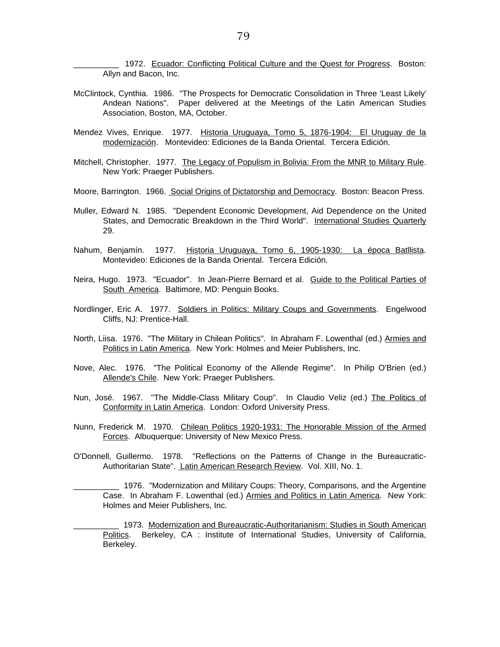1972. Ecuador: Conflicting Political Culture and the Quest for Progress. Boston: Allyn and Bacon, Inc.

- McClintock, Cynthia. 1986. "The Prospects for Democratic Consolidation in Three 'Least Likely' Andean Nations". Paper delivered at the Meetings of the Latin American Studies Association, Boston, MA, October.
- Mendez Vives, Enrique. 1977. Historia Uruguaya, Tomo 5, 1876-1904: El Uruguay de la modernización. Montevideo: Ediciones de la Banda Oriental. Tercera Edición.
- Mitchell, Christopher. 1977. The Legacy of Populism in Bolivia: From the MNR to Military Rule. New York: Praeger Publishers.
- Moore, Barrington. 1966. Social Origins of Dictatorship and Democracy. Boston: Beacon Press.
- Muller, Edward N. 1985. "Dependent Economic Development, Aid Dependence on the United States, and Democratic Breakdown in the Third World". International Studies Quarterly 29.
- Nahum, Benjamín. 1977. Historia Uruguaya, Tomo 6, 1905-1930: La época Batllista. Montevideo: Ediciones de la Banda Oriental. Tercera Edición.
- Neira, Hugo. 1973. "Ecuador". In Jean-Pierre Bernard et al. Guide to the Political Parties of South America. Baltimore, MD: Penguin Books.
- Nordlinger, Eric A. 1977. Soldiers in Politics: Military Coups and Governments. Engelwood Cliffs, NJ: Prentice-Hall.
- North, Liisa. 1976. "The Military in Chilean Politics". In Abraham F. Lowenthal (ed.) Armies and Politics in Latin America. New York: Holmes and Meier Publishers, Inc.
- Nove, Alec. 1976. "The Political Economy of the Allende Regime". In Philip O'Brien (ed.) Allende's Chile. New York: Praeger Publishers.
- Nun, José. 1967. "The Middle-Class Military Coup". In Claudio Veliz (ed.) The Politics of Conformity in Latin America. London: Oxford University Press.
- Nunn, Frederick M. 1970. Chilean Politics 1920-1931: The Honorable Mission of the Armed Forces. Albuquerque: University of New Mexico Press.
- O'Donnell, Guillermo. 1978. "Reflections on the Patterns of Change in the Bureaucratic-Authoritarian State". Latin American Research Review. Vol. XIII, No. 1.

1976. "Modernization and Military Coups: Theory, Comparisons, and the Argentine Case. In Abraham F. Lowenthal (ed.) Armies and Politics in Latin America. New York: Holmes and Meier Publishers, Inc.

\_\_\_\_\_\_\_\_\_\_ 1973. Modernization and Bureaucratic-Authoritarianism: Studies in South American Politics. Berkeley, CA : Institute of International Studies, University of California, Berkeley.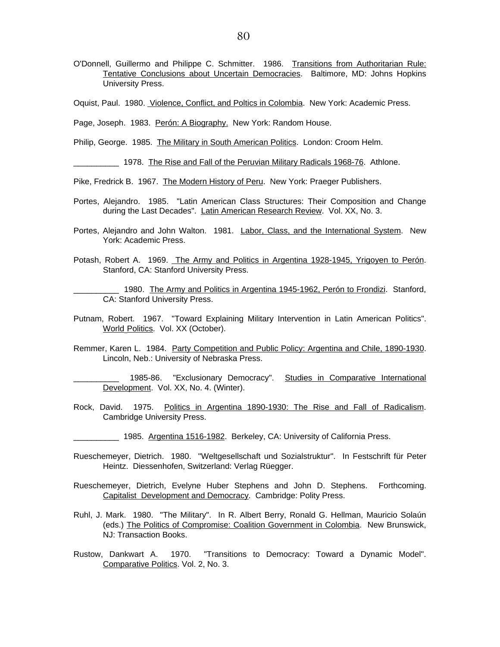O'Donnell, Guillermo and Philippe C. Schmitter. 1986. Transitions from Authoritarian Rule: Tentative Conclusions about Uncertain Democracies. Baltimore, MD: Johns Hopkins University Press.

Oquist, Paul. 1980. Violence, Conflict, and Poltics in Colombia. New York: Academic Press.

Page, Joseph. 1983. Perón: A Biography. New York: Random House.

Philip, George. 1985. The Military in South American Politics. London: Croom Helm.

1978. The Rise and Fall of the Peruvian Military Radicals 1968-76. Athlone.

Pike, Fredrick B. 1967. The Modern History of Peru. New York: Praeger Publishers.

- Portes, Alejandro. 1985. "Latin American Class Structures: Their Composition and Change during the Last Decades". Latin American Research Review. Vol. XX, No. 3.
- Portes, Alejandro and John Walton. 1981. Labor, Class, and the International System. New York: Academic Press.
- Potash, Robert A. 1969. The Army and Politics in Argentina 1928-1945, Yrigoyen to Perón. Stanford, CA: Stanford University Press.

1980. The Army and Politics in Argentina 1945-1962, Perón to Frondizi. Stanford, CA: Stanford University Press.

- Putnam, Robert. 1967. "Toward Explaining Military Intervention in Latin American Politics". World Politics. Vol. XX (October).
- Remmer, Karen L. 1984. Party Competition and Public Policy: Argentina and Chile, 1890-1930. Lincoln, Neb.: University of Nebraska Press.

1985-86. "Exclusionary Democracy". Studies in Comparative International Development. Vol. XX, No. 4. (Winter).

Rock, David. 1975. Politics in Argentina 1890-1930: The Rise and Fall of Radicalism. Cambridge University Press.

\_\_\_\_\_\_\_\_\_\_ 1985. Argentina 1516-1982. Berkeley, CA: University of California Press.

- Rueschemeyer, Dietrich. 1980. "Weltgesellschaft und Sozialstruktur". In Festschrift für Peter Heintz. Diessenhofen, Switzerland: Verlag Rüegger.
- Rueschemeyer, Dietrich, Evelyne Huber Stephens and John D. Stephens. Forthcoming. Capitalist Development and Democracy. Cambridge: Polity Press.
- Ruhl, J. Mark. 1980. "The Military". In R. Albert Berry, Ronald G. Hellman, Mauricio Solaún (eds.) The Politics of Compromise: Coalition Government in Colombia. New Brunswick, NJ: Transaction Books.
- Rustow, Dankwart A. 1970. "Transitions to Democracy: Toward a Dynamic Model". Comparative Politics. Vol. 2, No. 3.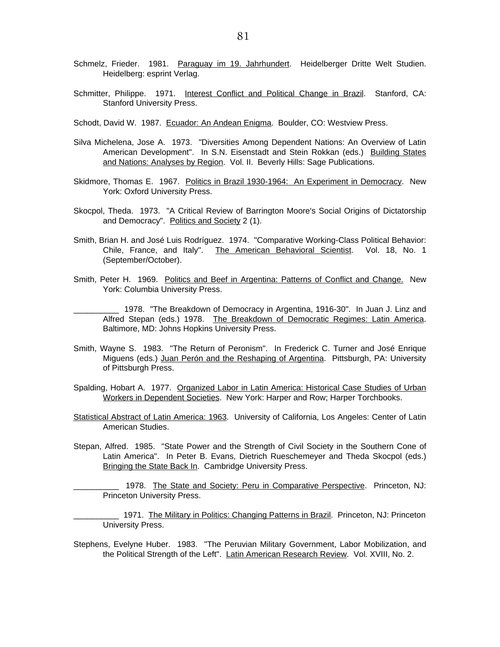- Schmelz, Frieder. 1981. Paraguay im 19. Jahrhundert. Heidelberger Dritte Welt Studien. Heidelberg: esprint Verlag.
- Schmitter, Philippe. 1971. Interest Conflict and Political Change in Brazil. Stanford, CA: Stanford University Press.
- Schodt, David W. 1987. Ecuador: An Andean Enigma. Boulder, CO: Westview Press.
- Silva Michelena, Jose A. 1973. "Diversities Among Dependent Nations: An Overview of Latin American Development". In S.N. Eisenstadt and Stein Rokkan (eds.) Building States and Nations: Analyses by Region. Vol. II. Beverly Hills: Sage Publications.
- Skidmore, Thomas E. 1967. Politics in Brazil 1930-1964: An Experiment in Democracy. New York: Oxford University Press.
- Skocpol, Theda. 1973. "A Critical Review of Barrington Moore's Social Origins of Dictatorship and Democracy". Politics and Society 2 (1).
- Smith, Brian H. and José Luis Rodríguez. 1974. "Comparative Working-Class Political Behavior: Chile, France, and Italy". The American Behavioral Scientist. Vol. 18, No. 1 (September/October).
- Smith, Peter H. 1969. Politics and Beef in Argentina: Patterns of Conflict and Change. New York: Columbia University Press.
	- 1978. "The Breakdown of Democracy in Argentina, 1916-30". In Juan J. Linz and Alfred Stepan (eds.) 1978. The Breakdown of Democratic Regimes: Latin America. Baltimore, MD: Johns Hopkins University Press.
- Smith, Wayne S. 1983. "The Return of Peronism". In Frederick C. Turner and José Enrique Miguens (eds.) Juan Perón and the Reshaping of Argentina. Pittsburgh, PA: University of Pittsburgh Press.
- Spalding, Hobart A. 1977. Organized Labor in Latin America: Historical Case Studies of Urban Workers in Dependent Societies. New York: Harper and Row; Harper Torchbooks.
- Statistical Abstract of Latin America: 1963. University of California, Los Angeles: Center of Latin American Studies.
- Stepan, Alfred. 1985. "State Power and the Strength of Civil Society in the Southern Cone of Latin America". In Peter B. Evans, Dietrich Rueschemeyer and Theda Skocpol (eds.) Bringing the State Back In. Cambridge University Press.

1978. The State and Society: Peru in Comparative Perspective. Princeton, NJ: Princeton University Press.

\_\_\_\_\_\_\_\_\_\_ 1971. The Military in Politics: Changing Patterns in Brazil. Princeton, NJ: Princeton University Press.

Stephens, Evelyne Huber. 1983. "The Peruvian Military Government, Labor Mobilization, and the Political Strength of the Left". Latin American Research Review. Vol. XVIII, No. 2.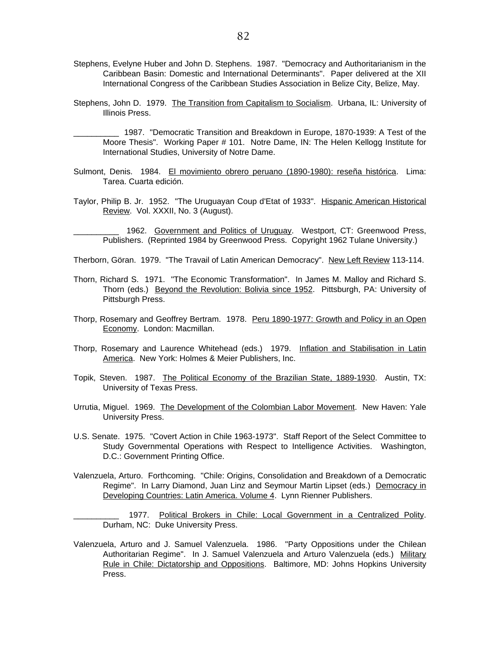- Stephens, Evelyne Huber and John D. Stephens. 1987. "Democracy and Authoritarianism in the Caribbean Basin: Domestic and International Determinants". Paper delivered at the XII International Congress of the Caribbean Studies Association in Belize City, Belize, May.
- Stephens, John D. 1979. The Transition from Capitalism to Socialism. Urbana, IL: University of Illinois Press.

\_\_\_\_\_\_\_\_\_\_ 1987. "Democratic Transition and Breakdown in Europe, 1870-1939: A Test of the Moore Thesis". Working Paper # 101. Notre Dame, IN: The Helen Kellogg Institute for International Studies, University of Notre Dame.

- Sulmont, Denis. 1984. El movimiento obrero peruano (1890-1980): reseña histórica. Lima: Tarea. Cuarta edición.
- Taylor, Philip B. Jr. 1952. "The Uruguayan Coup d'Etat of 1933". Hispanic American Historical Review. Vol. XXXII, No. 3 (August).

1962. Government and Politics of Uruguay. Westport, CT: Greenwood Press, Publishers. (Reprinted 1984 by Greenwood Press. Copyright 1962 Tulane University.)

Therborn, Göran. 1979. "The Travail of Latin American Democracy". New Left Review 113-114.

- Thorn, Richard S. 1971. "The Economic Transformation". In James M. Malloy and Richard S. Thorn (eds.) Beyond the Revolution: Bolivia since 1952. Pittsburgh, PA: University of Pittsburgh Press.
- Thorp, Rosemary and Geoffrey Bertram. 1978. Peru 1890-1977: Growth and Policy in an Open Economy. London: Macmillan.
- Thorp, Rosemary and Laurence Whitehead (eds.) 1979. Inflation and Stabilisation in Latin America. New York: Holmes & Meier Publishers, Inc.
- Topik, Steven. 1987. The Political Economy of the Brazilian State, 1889-1930. Austin, TX: University of Texas Press.
- Urrutia, Miguel. 1969. The Development of the Colombian Labor Movement. New Haven: Yale University Press.
- U.S. Senate. 1975. "Covert Action in Chile 1963-1973". Staff Report of the Select Committee to Study Governmental Operations with Respect to Intelligence Activities. Washington, D.C.: Government Printing Office.
- Valenzuela, Arturo. Forthcoming. "Chile: Origins, Consolidation and Breakdown of a Democratic Regime". In Larry Diamond, Juan Linz and Seymour Martin Lipset (eds.) Democracy in Developing Countries: Latin America. Volume 4. Lynn Rienner Publishers.

1977. Political Brokers in Chile: Local Government in a Centralized Polity. Durham, NC: Duke University Press.

Valenzuela, Arturo and J. Samuel Valenzuela. 1986. "Party Oppositions under the Chilean Authoritarian Regime". In J. Samuel Valenzuela and Arturo Valenzuela (eds.) Military Rule in Chile: Dictatorship and Oppositions. Baltimore, MD: Johns Hopkins University Press.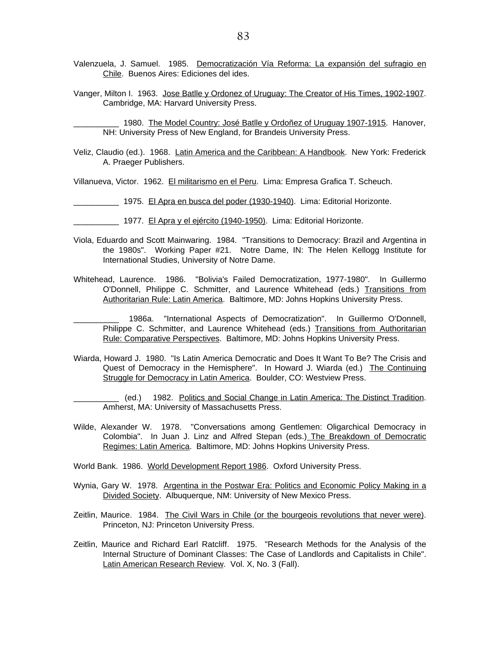- Valenzuela, J. Samuel. 1985. Democratización Vía Reforma: La expansión del sufragio en Chile. Buenos Aires: Ediciones del ides.
- Vanger, Milton I. 1963. Jose Batlle y Ordonez of Uruguay: The Creator of His Times, 1902-1907. Cambridge, MA: Harvard University Press.

\_\_\_\_\_\_\_\_\_\_ 1980. The Model Country: José Batlle y Ordoñez of Uruguay 1907-1915. Hanover, NH: University Press of New England, for Brandeis University Press.

Veliz, Claudio (ed.). 1968. Latin America and the Caribbean: A Handbook. New York: Frederick A. Praeger Publishers.

Villanueva, Victor. 1962. El militarismo en el Peru. Lima: Empresa Grafica T. Scheuch.

- 1975. El Apra en busca del poder (1930-1940). Lima: Editorial Horizonte.
	- \_\_\_\_\_\_\_\_\_\_ 1977. El Apra y el ejército (1940-1950). Lima: Editorial Horizonte.
- Viola, Eduardo and Scott Mainwaring. 1984. "Transitions to Democracy: Brazil and Argentina in the 1980s". Working Paper #21. Notre Dame, IN: The Helen Kellogg Institute for International Studies, University of Notre Dame.
- Whitehead, Laurence. 1986. "Bolivia's Failed Democratization, 1977-1980". In Guillermo O'Donnell, Philippe C. Schmitter, and Laurence Whitehead (eds.) Transitions from Authoritarian Rule: Latin America. Baltimore, MD: Johns Hopkins University Press.
	- 1986a. "International Aspects of Democratization". In Guillermo O'Donnell, Philippe C. Schmitter, and Laurence Whitehead (eds.) Transitions from Authoritarian Rule: Comparative Perspectives. Baltimore, MD: Johns Hopkins University Press.
- Wiarda, Howard J. 1980. "Is Latin America Democratic and Does It Want To Be? The Crisis and Quest of Democracy in the Hemisphere". In Howard J. Wiarda (ed.) The Continuing Struggle for Democracy in Latin America. Boulder, CO: Westview Press.

\_\_\_\_\_\_\_\_\_\_ (ed.) 1982. Politics and Social Change in Latin America: The Distinct Tradition. Amherst, MA: University of Massachusetts Press.

Wilde, Alexander W. 1978. "Conversations among Gentlemen: Oligarchical Democracy in Colombia". In Juan J. Linz and Alfred Stepan (eds.) The Breakdown of Democratic Regimes: Latin America. Baltimore, MD: Johns Hopkins University Press.

World Bank. 1986. World Development Report 1986. Oxford University Press.

- Wynia, Gary W. 1978. Argentina in the Postwar Era: Politics and Economic Policy Making in a Divided Society. Albuquerque, NM: University of New Mexico Press.
- Zeitlin, Maurice. 1984. The Civil Wars in Chile (or the bourgeois revolutions that never were). Princeton, NJ: Princeton University Press.
- Zeitlin, Maurice and Richard Earl Ratcliff. 1975. "Research Methods for the Analysis of the Internal Structure of Dominant Classes: The Case of Landlords and Capitalists in Chile". Latin American Research Review. Vol. X, No. 3 (Fall).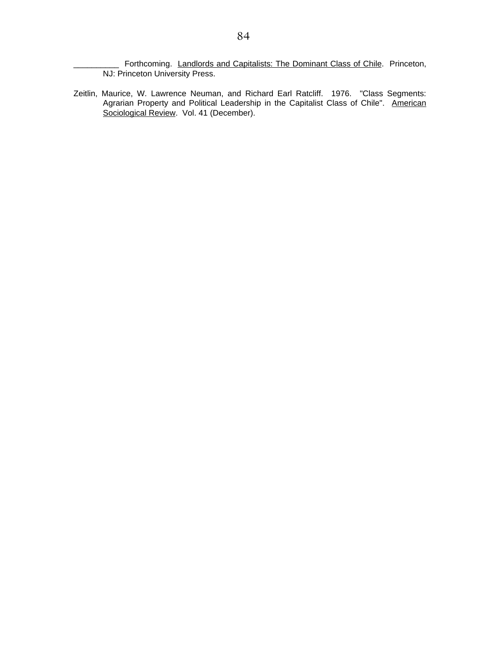Forthcoming. Landlords and Capitalists: The Dominant Class of Chile. Princeton, NJ: Princeton University Press.

Zeitlin, Maurice, W. Lawrence Neuman, and Richard Earl Ratcliff. 1976. "Class Segments: Agrarian Property and Political Leadership in the Capitalist Class of Chile". American Sociological Review. Vol. 41 (December).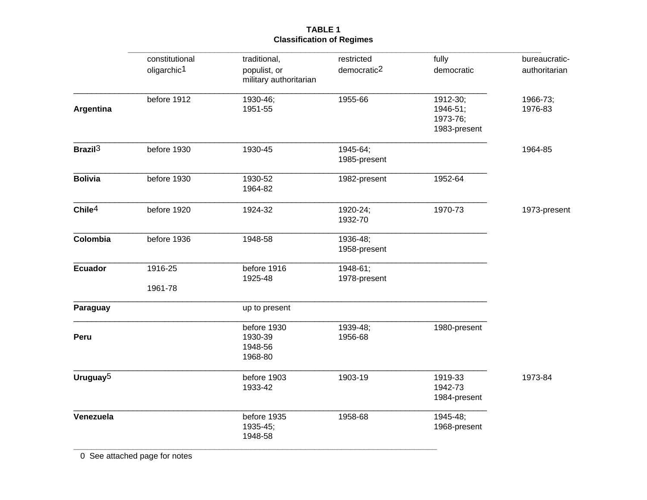#### **TABLE 1 Classification of Regimes**

|                          | constitutional<br>oligarchic1 | traditional,<br>populist, or<br>military authoritarian | restricted<br>democratic <sup>2</sup> | fully<br>democratic                              | bureaucratic-<br>authoritarian |  |
|--------------------------|-------------------------------|--------------------------------------------------------|---------------------------------------|--------------------------------------------------|--------------------------------|--|
| before 1912<br>Argentina |                               | 1930-46;<br>1955-66<br>1951-55                         |                                       | 1912-30;<br>1946-51;<br>1973-76;<br>1983-present | 1966-73;<br>1976-83            |  |
| Brazil <sup>3</sup>      | before 1930                   | 1930-45                                                | 1945-64;<br>1985-present              |                                                  | 1964-85                        |  |
| <b>Bolivia</b>           | before 1930                   | 1930-52<br>1964-82                                     | 1982-present                          | 1952-64                                          |                                |  |
| Chile <sup>4</sup>       | before 1920                   | 1924-32                                                | 1920-24;<br>1932-70                   | 1970-73                                          | 1973-present                   |  |
| Colombia                 | before 1936                   | 1948-58                                                | 1936-48;<br>1958-present              |                                                  |                                |  |
| <b>Ecuador</b>           | 1916-25<br>1961-78            | before 1916<br>1925-48                                 | 1948-61;<br>1978-present              |                                                  |                                |  |
| Paraguay                 |                               | up to present                                          |                                       |                                                  |                                |  |
| Peru                     |                               | before 1930<br>1930-39<br>1948-56<br>1968-80           | 1939-48;<br>1956-68                   | 1980-present                                     |                                |  |
| Uruguay <sup>5</sup>     |                               | before 1903<br>1933-42                                 | 1903-19                               | 1919-33<br>1942-73<br>1984-present               | 1973-84                        |  |
| Venezuela                |                               | before 1935<br>1935-45;<br>1948-58                     | 1958-68                               | 1945-48;<br>1968-present                         |                                |  |

0 See attached page for notes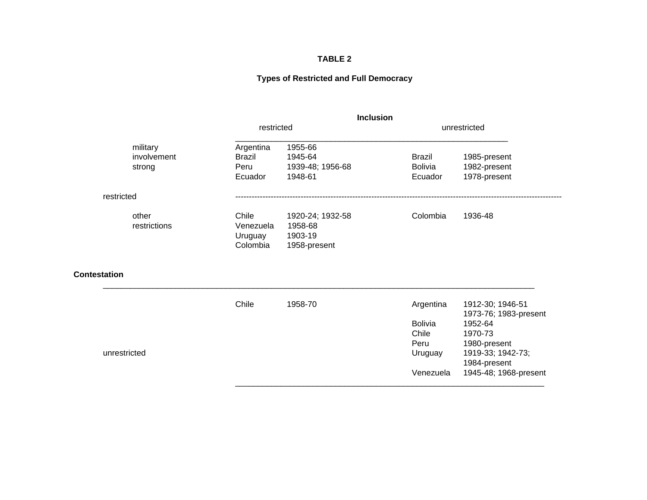## **TABLE 2**

## **Types of Restricted and Full Democracy**

|                                   | <b>Inclusion</b>                              |                                                        |                                     |                                              |  |
|-----------------------------------|-----------------------------------------------|--------------------------------------------------------|-------------------------------------|----------------------------------------------|--|
|                                   | restricted                                    |                                                        |                                     | unrestricted                                 |  |
| military<br>involvement<br>strong | Argentina<br><b>Brazil</b><br>Peru<br>Ecuador | 1955-66<br>1945-64<br>1939-48; 1956-68<br>1948-61      | Brazil<br><b>Bolivia</b><br>Ecuador | 1985-present<br>1982-present<br>1978-present |  |
| restricted                        |                                               |                                                        |                                     |                                              |  |
| other<br>restrictions             | Chile<br>Venezuela<br>Uruguay<br>Colombia     | 1920-24; 1932-58<br>1958-68<br>1903-19<br>1958-present | Colombia                            | 1936-48                                      |  |
| Contestation                      |                                               |                                                        |                                     |                                              |  |
|                                   | Chile                                         | 1958-70                                                | Argentina                           | 1912-30; 1946-51<br>1973-76; 1983-present    |  |
|                                   |                                               |                                                        | <b>Bolivia</b>                      | 1952-64                                      |  |
|                                   |                                               |                                                        | Chile                               | 1970-73                                      |  |
|                                   |                                               |                                                        | Peru                                | 1980-present                                 |  |
| unrestricted                      |                                               |                                                        | Uruguay                             | 1919-33; 1942-73;<br>1984-present            |  |
|                                   |                                               |                                                        |                                     | 1945-48; 1968-present                        |  |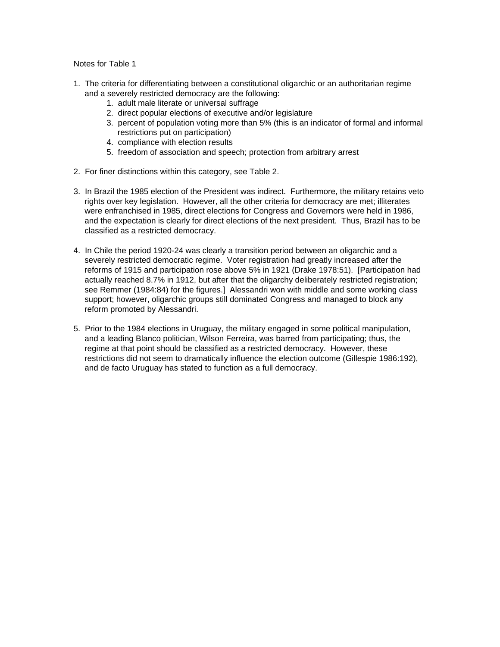Notes for Table 1

- 1. The criteria for differentiating between a constitutional oligarchic or an authoritarian regime and a severely restricted democracy are the following:
	- 1. adult male literate or universal suffrage
	- 2. direct popular elections of executive and/or legislature
	- 3. percent of population voting more than 5% (this is an indicator of formal and informal restrictions put on participation)
	- 4. compliance with election results
	- 5. freedom of association and speech; protection from arbitrary arrest
- 2. For finer distinctions within this category, see Table 2.
- 3. In Brazil the 1985 election of the President was indirect. Furthermore, the military retains veto rights over key legislation. However, all the other criteria for democracy are met; illiterates were enfranchised in 1985, direct elections for Congress and Governors were held in 1986, and the expectation is clearly for direct elections of the next president. Thus, Brazil has to be classified as a restricted democracy.
- 4. In Chile the period 1920-24 was clearly a transition period between an oligarchic and a severely restricted democratic regime. Voter registration had greatly increased after the reforms of 1915 and participation rose above 5% in 1921 (Drake 1978:51). [Participation had actually reached 8.7% in 1912, but after that the oligarchy deliberately restricted registration; see Remmer (1984:84) for the figures.] Alessandri won with middle and some working class support; however, oligarchic groups still dominated Congress and managed to block any reform promoted by Alessandri.
- 5. Prior to the 1984 elections in Uruguay, the military engaged in some political manipulation, and a leading Blanco politician, Wilson Ferreira, was barred from participating; thus, the regime at that point should be classified as a restricted democracy. However, these restrictions did not seem to dramatically influence the election outcome (Gillespie 1986:192), and de facto Uruguay has stated to function as a full democracy.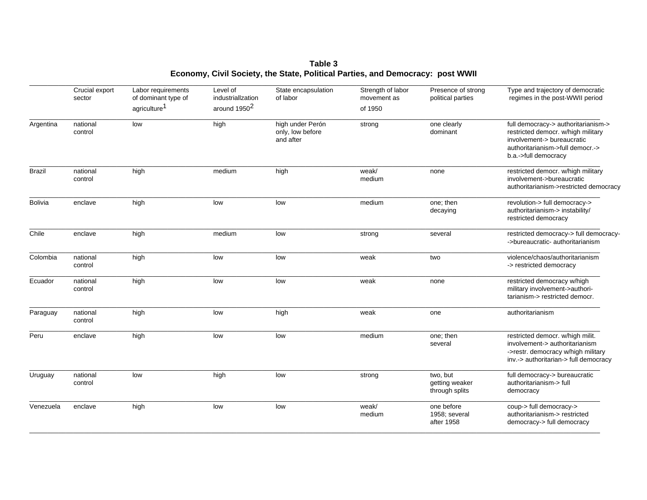**Table 3 Economy, Civil Society, the State, Political Parties, and Democracy: post WWII**

|               | Crucial export<br>sector | Labor requirements<br>of dominant type of<br>agriculture <sup>1</sup> | Level of<br>industriallzation<br>around 1950 <sup>2</sup> | State encapsulation<br>of labor                   | Strength of labor<br>movement as<br>of 1950 | Presence of strong<br>political parties      | Type and trajectory of democratic<br>regimes in the post-WWII period                                                                                                |
|---------------|--------------------------|-----------------------------------------------------------------------|-----------------------------------------------------------|---------------------------------------------------|---------------------------------------------|----------------------------------------------|---------------------------------------------------------------------------------------------------------------------------------------------------------------------|
| Argentina     | national<br>control      | low                                                                   | high                                                      | high under Perón<br>only, low before<br>and after | strong                                      | one clearly<br>dominant                      | full democracy-> authoritarianism-><br>restricted democr. w/high military<br>involvement-> bureaucratic<br>authoritarianism->full democr.-><br>b.a.->full democracy |
| <b>Brazil</b> | national<br>control      | high                                                                  | medium                                                    | high                                              | weak/<br>medium                             | none                                         | restricted democr. w/high military<br>involvement->bureaucratic<br>authoritarianism->restricted democracy                                                           |
| Bolivia       | enclave                  | high                                                                  | low                                                       | low                                               | medium                                      | one; then<br>decaying                        | revolution-> full democracy-><br>authoritarianism-> instability/<br>restricted democracy                                                                            |
| Chile         | enclave                  | high                                                                  | medium                                                    | low                                               | strong                                      | several                                      | restricted democracy-> full democracy-<br>->bureaucratic- authoritarianism                                                                                          |
| Colombia      | national<br>control      | high                                                                  | low                                                       | low                                               | weak                                        | two                                          | violence/chaos/authoritarianism<br>-> restricted democracy                                                                                                          |
| Ecuador       | national<br>control      | high                                                                  | low                                                       | low                                               | weak                                        | none                                         | restricted democracy w/high<br>military involvement->authori-<br>tarianism-> restricted democr.                                                                     |
| Paraguay      | national<br>control      | high                                                                  | low                                                       | high                                              | weak                                        | one                                          | authoritarianism                                                                                                                                                    |
| Peru          | enclave                  | high                                                                  | low                                                       | low                                               | medium                                      | one; then<br>several                         | restricted democr. w/high milit.<br>involvement-> authoritarianism<br>->restr. democracy w/high military<br>inv.-> authoritarian-> full democracy                   |
| Uruguay       | national<br>control      | low                                                                   | high                                                      | low                                               | strong                                      | two, but<br>getting weaker<br>through splits | full democracy-> bureaucratic<br>authoritarianism-> full<br>democracy                                                                                               |
| Venezuela     | enclave                  | high                                                                  | low                                                       | low                                               | weak/<br>medium                             | one before<br>1958; several<br>after 1958    | coup-> full democracy-><br>authoritarianism-> restricted<br>democracy-> full democracy                                                                              |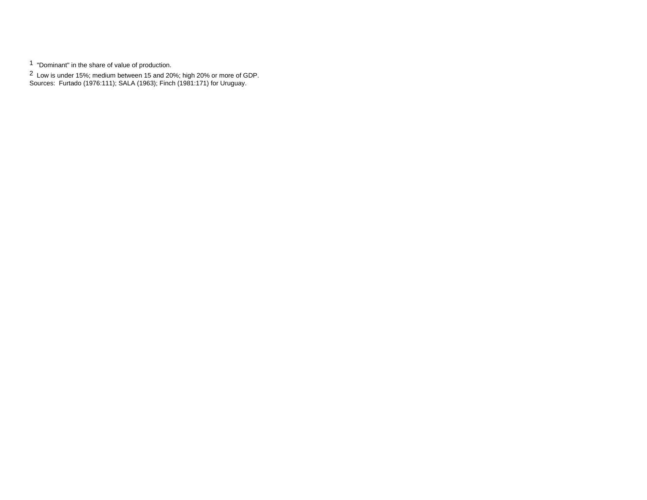1 "Dominant" in the share of value of production.

 $2$  Low is under 15%; medium between 15 and 20%; high 20% or more of GDP. Sources: Furtado (1976:111); SALA (1963); Finch (1981:171) for Uruguay.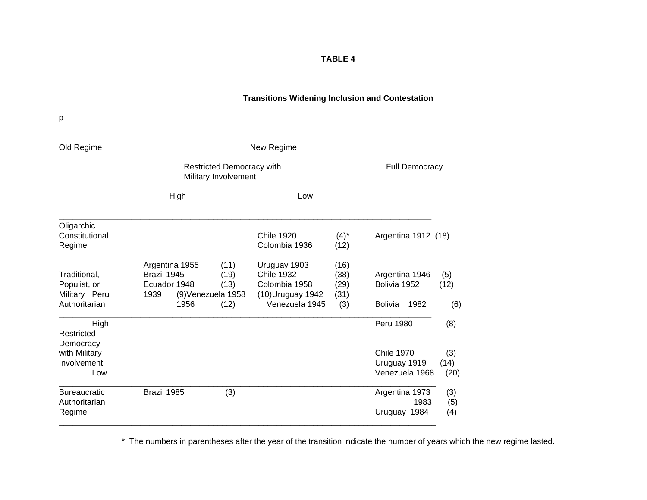## **TABLE 4**

## **Transitions Widening Inclusion and Contestation**

| Old Regime                                                     |                                                               |                                                    | New Regime                                                                                |                                     |                                                          |                     |
|----------------------------------------------------------------|---------------------------------------------------------------|----------------------------------------------------|-------------------------------------------------------------------------------------------|-------------------------------------|----------------------------------------------------------|---------------------|
|                                                                | Restricted Democracy with<br>Military Involvement             |                                                    |                                                                                           |                                     | <b>Full Democracy</b>                                    |                     |
|                                                                | High                                                          |                                                    | Low                                                                                       |                                     |                                                          |                     |
| Oligarchic<br>Constitutional<br>Regime                         |                                                               |                                                    | <b>Chile 1920</b><br>Colombia 1936                                                        | $(4)^{*}$<br>(12)                   | Argentina 1912 (18)                                      |                     |
| Traditional,<br>Populist, or<br>Military Peru<br>Authoritarian | Argentina 1955<br>Brazil 1945<br>Ecuador 1948<br>1939<br>1956 | (11)<br>(19)<br>(13)<br>(9) Venezuela 1958<br>(12) | Uruguay 1903<br><b>Chile 1932</b><br>Colombia 1958<br>(10) Uruguay 1942<br>Venezuela 1945 | (16)<br>(38)<br>(29)<br>(31)<br>(3) | Argentina 1946<br>Bolivia 1952<br>1982<br><b>Bolivia</b> | (5)<br>(12)<br>(6)  |
| High<br>Restricted                                             |                                                               |                                                    |                                                                                           |                                     | Peru 1980                                                | (8)                 |
| Democracy<br>with Military<br>Involvement<br>Low               |                                                               |                                                    |                                                                                           |                                     | <b>Chile 1970</b><br>Uruguay 1919<br>Venezuela 1968      | (3)<br>(14)<br>(20) |
| <b>Bureaucratic</b><br>Authoritarian<br>Regime                 | Brazil 1985                                                   | (3)                                                |                                                                                           |                                     | Argentina 1973<br>1983<br>Uruguay 1984                   | (3)<br>(5)<br>(4)   |

\* The numbers in parentheses after the year of the transition indicate the number of years which the new regime lasted.